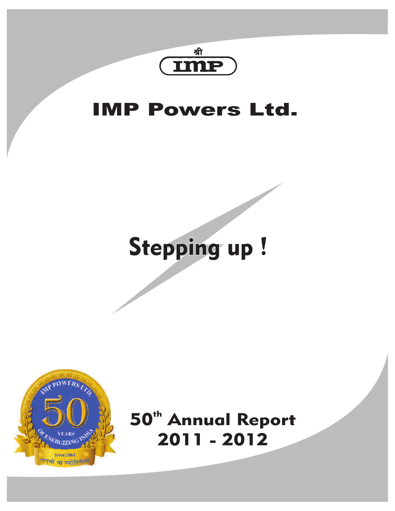

# **IMP Powers Ltd.**

# Stepping up!



50<sup>th</sup> Annual Report 2011 - 2012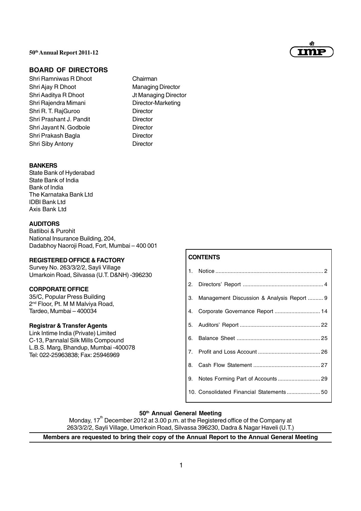

# **BOARD OF DIRECTORS**

- Shri Ramniwas R Dhoot Chairman Shri Ajay R Dhoot Managing Director Shri Aaditya R Dhoot Jt Managing Director Shri Rajendra Mimani Director-Marketing Shri R. T. RajGuroo Director Shri Prashant J. Pandit Director Shri Jayant N. Godbole Director Shri Prakash Bagla **Director** Shri Siby Antony **Director** 
	-

#### **BANKERS**

State Bank of Hyderabad State Bank of India Bank of India The Karnataka Bank Ltd IDBI Bank Ltd Axis Bank Ltd

# **AUDITORS**

Batliboi & Purohit National Insurance Building, 204, Dadabhoy Naoroji Road, Fort, Mumbai – 400 001

#### **REGISTERED OFFICE & FACTORY**

Survey No. 263/3/2/2, Sayli Village Umarkoin Road, Silvassa (U.T. D&NH) -396230

#### **CORPORATE OFFICE**

35/C, Popular Press Building 2<sup>nd</sup> Floor, Pt. M M Malviya Road, Tardeo, Mumbai – 400034

#### **Registrar & Transfer Agents**

Link Intime India (Private) Limited C-13, Pannalal Silk Mills Compound L.B.S. Marg, Bhandup, Mumbai -400078 Tel: 022-25963838; Fax: 25946969

# **CONTENTS**

| 3. Management Discussion & Analysis Report  9 |
|-----------------------------------------------|
| 4. Corporate Governance Report  14            |
|                                               |
|                                               |
|                                               |
|                                               |
|                                               |
|                                               |

# **50th Annual General Meeting**

Monday, 17<sup>th</sup> December 2012 at 3.00 p.m. at the Registered office of the Company at 263/3/2/2, Sayli Village, Umerkoin Road, Silvassa 396230, Dadra & Nagar Haveli (U.T.)

# **Members are requested to bring their copy of the Annual Report to the Annual General Meeting**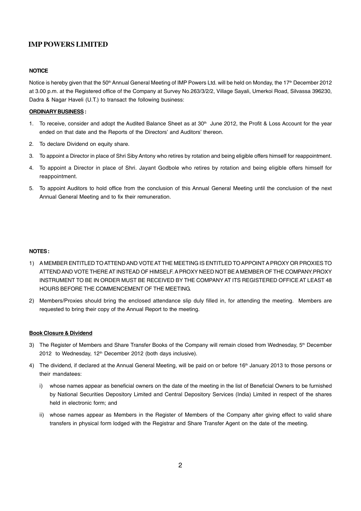#### **NOTICE**

Notice is hereby given that the 50<sup>th</sup> Annual General Meeting of IMP Powers Ltd. will be held on Monday, the 17<sup>th</sup> December 2012 at 3.00 p.m. at the Registered office of the Company at Survey No.263/3/2/2, Village Sayali, Umerkoi Road, Silvassa 396230, Dadra & Nagar Haveli (U.T.) to transact the following business:

#### **ORDINARY BUSINESS :**

- 1. To receive, consider and adopt the Audited Balance Sheet as at  $30<sup>th</sup>$  June 2012, the Profit & Loss Account for the year ended on that date and the Reports of the Directors' and Auditors' thereon.
- 2. To declare Dividend on equity share.
- 3. To appoint a Director in place of Shri Siby Antony who retires by rotation and being eligible offers himself for reappointment.
- 4. To appoint a Director in place of Shri. Jayant Godbole who retires by rotation and being eligible offers himself for reappointment.
- 5. To appoint Auditors to hold office from the conclusion of this Annual General Meeting until the conclusion of the next Annual General Meeting and to fix their remuneration.

#### **NOTES :**

- 1) A MEMBER ENTITLED TO ATTEND AND VOTE AT THE MEETING IS ENTITLED TO APPOINT A PROXY OR PROXIES TO ATTEND AND VOTE THERE AT INSTEAD OF HIMSELF. A PROXY NEED NOT BE A MEMBER OF THE COMPANY.PROXY INSTRUMENT TO BE IN ORDER MUST BE RECEIVED BY THE COMPANY AT ITS REGISTERED OFFICE AT LEAST 48 HOURS BEFORE THE COMMENCEMENT OF THE MEETING.
- 2) Members/Proxies should bring the enclosed attendance slip duly filled in, for attending the meeting. Members are requested to bring their copy of the Annual Report to the meeting.

#### **Book Closure & Dividend**

- 3) The Register of Members and Share Transfer Books of the Company will remain closed from Wednesday, 5<sup>th</sup> December 2012 to Wednesday, 12<sup>th</sup> December 2012 (both days inclusive).
- 4) The dividend, if declared at the Annual General Meeting, will be paid on or before 16<sup>th</sup> January 2013 to those persons or their mandatees:
	- i) whose names appear as beneficial owners on the date of the meeting in the list of Beneficial Owners to be furnished by National Securities Depository Limited and Central Depository Services (India) Limited in respect of the shares held in electronic form; and
	- ii) whose names appear as Members in the Register of Members of the Company after giving effect to valid share transfers in physical form lodged with the Registrar and Share Transfer Agent on the date of the meeting.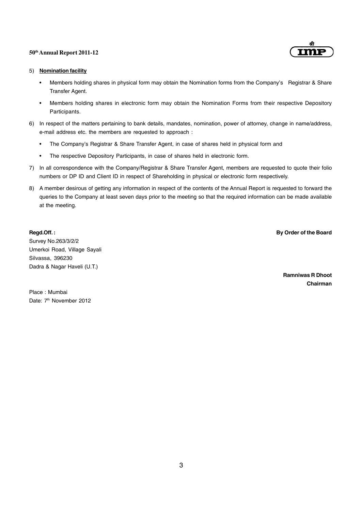

#### 5) **Nomination facility**

- Members holding shares in physical form may obtain the Nomination forms from the Company's Registrar & Share Transfer Agent.
- Members holding shares in electronic form may obtain the Nomination Forms from their respective Depository Participants.
- 6) In respect of the matters pertaining to bank details, mandates, nomination, power of attorney, change in name/address, e-mail address etc. the members are requested to approach :
	- The Company's Registrar & Share Transfer Agent, in case of shares held in physical form and
	- The respective Depository Participants, in case of shares held in electronic form.
- 7) In all correspondence with the Company/Registrar & Share Transfer Agent, members are requested to quote their folio numbers or DP ID and Client ID in respect of Shareholding in physical or electronic form respectively.
- 8) A member desirous of getting any information in respect of the contents of the Annual Report is requested to forward the queries to the Company at least seven days prior to the meeting so that the required information can be made available at the meeting.

#### **Regd.Off. : By Order of the Board**

Survey No.263/3/2/2 Umerkoi Road, Village Sayali Silvassa, 396230 Dadra & Nagar Haveli (U.T.)

**Ramniwas R Dhoot**

**Chairman**

Place : Mumbai Date: 7<sup>th</sup> November 2012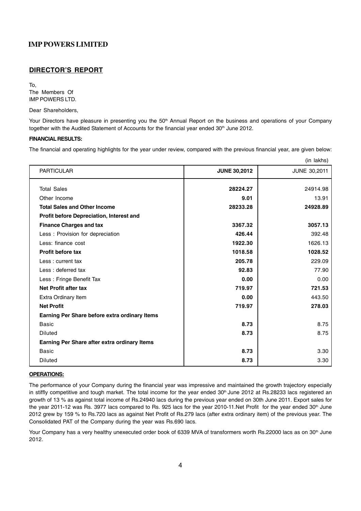#### **DIRECTOR'S REPORT**

To, The Members Of IMP POWERS LTD.

Dear Shareholders,

Your Directors have pleasure in presenting you the 50<sup>th</sup> Annual Report on the business and operations of your Company together with the Audited Statement of Accounts for the financial year ended 30<sup>th</sup> June 2012.

#### **FINANCIAL RESULTS:**

The financial and operating highlights for the year under review, compared with the previous financial year, are given below:

|                                                 |                     | (in lakhs)          |
|-------------------------------------------------|---------------------|---------------------|
| <b>PARTICULAR</b>                               | <b>JUNE 30,2012</b> | <b>JUNE 30,2011</b> |
| <b>Total Sales</b>                              | 28224.27            | 24914.98            |
| Other Income                                    | 9.01                | 13.91               |
| <b>Total Sales and Other Income</b>             | 28233.28            | 24928.89            |
| <b>Profit before Depreciation, Interest and</b> |                     |                     |
| <b>Finance Charges and tax</b>                  | 3367.32             | 3057.13             |
| Less: Provision for depreciation                | 426.44              | 392.48              |
| Less: finance cost                              | 1922.30             | 1626.13             |
| <b>Profit before tax</b>                        | 1018.58             | 1028.52             |
| Less: current tax                               | 205.78              | 229.09              |
| Less: deferred tax                              | 92.83               | 77.90               |
| Less: Fringe Benefit Tax                        | 0.00                | 0.00                |
| <b>Net Profit after tax</b>                     | 719.97              | 721.53              |
| Extra Ordinary Item                             | 0.00                | 443.50              |
| <b>Net Profit</b>                               | 719.97              | 278.03              |
| Earning Per Share before extra ordinary Items   |                     |                     |
| <b>Basic</b>                                    | 8.73                | 8.75                |
| <b>Diluted</b>                                  | 8.73                | 8.75                |
| Earning Per Share after extra ordinary Items    |                     |                     |
| <b>Basic</b>                                    | 8.73                | 3.30                |
| <b>Diluted</b>                                  | 8.73                | 3.30                |

#### **OPERATIONS:**

The performance of your Company during the financial year was impressive and maintained the growth trajectory especially in stiffly competitive and tough market. The total income for the year ended  $30<sup>th</sup>$  June 2012 at Rs.28233 lacs registered an growth of 13 % as against total income of Rs.24940 lacs during the previous year ended on 30th June 2011. Export sales for the year 2011-12 was Rs. 3977 lacs compared to Rs. 925 lacs for the year 2010-11.Net Profit for the year ended 30<sup>th</sup> June 2012 grew by 159 % to Rs.720 lacs as against Net Profit of Rs.279 lacs (after extra ordinary item) of the previous year. The Consolidated PAT of the Company during the year was Rs.690 lacs.

Your Company has a very healthy unexecuted order book of 6339 MVA of transformers worth Rs.22000 lacs as on 30<sup>th</sup> June 2012.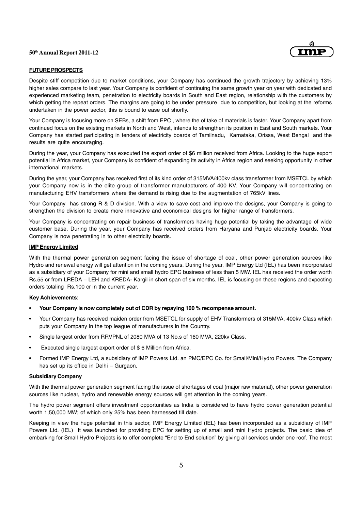

#### **FUTURE PROSPECTS**

Despite stiff competition due to market conditions, your Company has continued the growth trajectory by achieving 13% higher sales compare to last year. Your Company is confident of continuing the same growth year on year with dedicated and experienced marketing team, penetration to electricity boards in South and East region, relationship with the customers by which getting the repeat orders. The margins are going to be under pressure due to competition, but looking at the reforms undertaken in the power sector, this is bound to ease out shortly.

Your Company is focusing more on SEBs, a shift from EPC , where the of take of materials is faster. Your Company apart from continued focus on the existing markets in North and West, intends to strengthen its position in East and South markets. Your Company has started participating in tenders of electricity boards of Tamilnadu, Karnataka, Orissa, West Bengal and the results are quite encouraging.

During the year, your Company has executed the export order of \$6 million received from Africa. Looking to the huge export potential in Africa market, your Company is confident of expanding its activity in Africa region and seeking opportunity in other international markets.

During the year, your Company has received first of its kind order of 315MVA/400kv class transformer from MSETCL by which your Company now is in the elite group of transformer manufacturers of 400 KV. Your Company will concentrating on manufacturing EHV transformers where the demand is rising due to the augmentation of 765kV lines.

Your Company has strong R & D division. With a view to save cost and improve the designs, your Company is going to strengthen the division to create more innovative and economical designs for higher range of transformers.

Your Company is concentrating on repair business of transformers having huge potential by taking the advantage of wide customer base. During the year, your Company has received orders from Haryana and Punjab electricity boards. Your Company is now penetrating in to other electricity boards.

#### **IMP Energy Limited**

With the thermal power generation segment facing the issue of shortage of coal, other power generation sources like Hydro and renewal energy will get attention in the coming years. During the year, IMP Energy Ltd (IEL) has been incorporated as a subsidiary of your Company for mini and small hydro EPC business of less than 5 MW. IEL has received the order worth Rs.55 cr from LREDA – LEH and KREDA- Kargil in short span of six months. IEL is focusing on these regions and expecting orders totaling Rs.100 cr in the current year.

#### **Key Achievements**:

- **Your Company is now completely out of CDR by repaying 100 % recompense amount.**
- Your Company has received maiden order from MSETCL for supply of EHV Transformers of 315MVA, 400kv Class which puts your Company in the top league of manufacturers in the Country.
- Single largest order from RRVPNL of 2080 MVA of 13 No.s of 160 MVA, 220kv Class.
- Executed single largest export order of \$6 Million from Africa.
- Formed IMP Energy Ltd, a subsidiary of IMP Powers Ltd. an PMC/EPC Co. for Small/Mini/Hydro Powers. The Company has set up its office in Delhi – Gurgaon.

#### **Subsidiary Company**

With the thermal power generation segment facing the issue of shortages of coal (major raw material), other power generation sources like nuclear, hydro and renewable energy sources will get attention in the coming years.

The hydro power segment offers investment opportunities as India is considered to have hydro power generation potential worth 1,50,000 MW; of which only 25% has been harnessed till date.

Keeping in view the huge potential in this sector, IMP Energy Limited (IEL) has been incorporated as a subsidiary of IMP Powers Ltd. (IEL) It was launched for providing EPC for setting up of small and mini Hydro projects. The basic idea of embarking for Small Hydro Projects is to offer complete "End to End solution" by giving all services under one roof. The most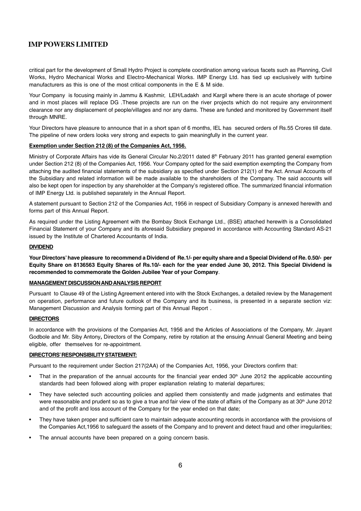critical part for the development of Small Hydro Project is complete coordination among various facets such as Planning, Civil Works, Hydro Mechanical Works and Electro-Mechanical Works. IMP Energy Ltd. has tied up exclusively with turbine manufacturers as this is one of the most critical components in the E & M side.

Your Company is focusing mainly in Jammu & Kashmir, LEH/Ladakh and Kargil where there is an acute shortage of power and in most places will replace DG .These projects are run on the river projects which do not require any environment clearance nor any displacement of people/villages and nor any dams. These are funded and monitored by Government itself through MNRE.

Your Directors have pleasure to announce that in a short span of 6 months, IEL has secured orders of Rs.55 Crores till date. The pipeline of new orders looks very strong and expects to gain meaningfully in the current year.

#### **Exemption under Section 212 (8) of the Companies Act, 1956.**

Ministry of Corporate Affairs has vide its General Circular No.2/2011 dated 8<sup>th</sup> February 2011 has granted general exemption under Section 212 (8) of the Companies Act, 1956. Your Company opted for the said exemption exempting the Company from attaching the audited financial statements of the subsidiary as specified under Section 212(1) of the Act. Annual Accounts of the Subsidiary and related information will be made available to the shareholders of the Company. The said accounts will also be kept open for inspection by any shareholder at the Company's registered office. The summarized financial information of IMP Energy Ltd. is published separately in the Annual Report.

A statement pursuant to Section 212 of the Companies Act, 1956 in respect of Subsidiary Company is annexed herewith and forms part of this Annual Report.

As required under the Listing Agreement with the Bombay Stock Exchange Ltd., (BSE) attached herewith is a Consolidated Financial Statement of your Company and its aforesaid Subsidiary prepared in accordance with Accounting Standard AS-21 issued by the Institute of Chartered Accountants of India.

#### **DIVIDEND**

**Your Directors' have pleasure to recommend a Dividend of Re.1/- per equity share and a Special Dividend of Re. 0.50/- per Equity Share on 8136563 Equity Shares of Rs.10/- each for the year ended June 30, 2012. This Special Dividend is recommended to commemorate the Golden Jubilee Year of your Company**.

#### **MANAGEMENT DISCUSSION AND ANALYSIS REPORT**

Pursuant to Clause 49 of the Listing Agreement entered into with the Stock Exchanges, a detailed review by the Management on operation, performance and future outlook of the Company and its business, is presented in a separate section viz: Management Discussion and Analysis forming part of this Annual Report .

#### **DIRECTORS**

In accordance with the provisions of the Companies Act, 1956 and the Articles of Associations of the Company, Mr. Jayant Godbole and Mr. Siby Antony**,** Directors of the Company, retire by rotation at the ensuing Annual General Meeting and being eligible, offer themselves for re-appointment.

#### **DIRECTORS' RESPONSIBILITY STATEMENT:**

Pursuant to the requirement under Section 217(2AA) of the Companies Act, 1956, your Directors confirm that:

- That in the preparation of the annual accounts for the financial year ended  $30<sup>th</sup>$  June 2012 the applicable accounting standards had been followed along with proper explanation relating to material departures;
- They have selected such accounting policies and applied them consistently and made judgments and estimates that were reasonable and prudent so as to give a true and fair view of the state of affairs of the Company as at 30<sup>th</sup> June 2012 and of the profit and loss account of the Company for the year ended on that date;
- They have taken proper and sufficient care to maintain adequate accounting records in accordance with the provisions of the Companies Act,1956 to safeguard the assets of the Company and to prevent and detect fraud and other irregularities;
- The annual accounts have been prepared on a going concern basis.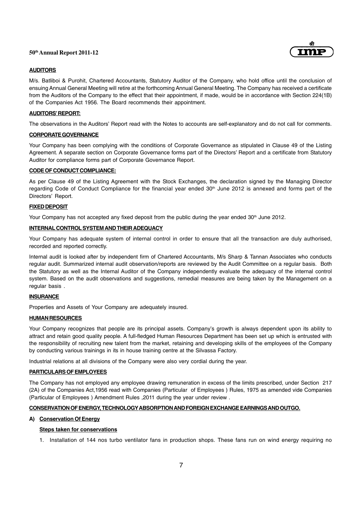

#### **AUDITORS**

M/s. Batliboi & Purohit, Chartered Accountants, Statutory Auditor of the Company, who hold office until the conclusion of ensuing Annual General Meeting will retire at the forthcoming Annual General Meeting. The Company has received a certificate from the Auditors of the Company to the effect that their appointment, if made, would be in accordance with Section 224(1B) of the Companies Act 1956. The Board recommends their appointment.

#### **AUDITORS' REPORT:**

The observations in the Auditors' Report read with the Notes to accounts are self-explanatory and do not call for comments.

#### **CORPORATE GOVERNANCE**

Your Company has been complying with the conditions of Corporate Governance as stipulated in Clause 49 of the Listing Agreement. A separate section on Corporate Governance forms part of the Directors' Report and a certificate from Statutory Auditor for compliance forms part of Corporate Governance Report.

#### **CODE OF CONDUCT COMPLIANCE:**

As per Clause 49 of the Listing Agreement with the Stock Exchanges, the declaration signed by the Managing Director regarding Code of Conduct Compliance for the financial year ended 30<sup>th</sup> June 2012 is annexed and forms part of the Directors' Report.

#### **FIXED DEPOSIT**

Your Company has not accepted any fixed deposit from the public during the year ended 30<sup>th</sup> June 2012.

#### **INTERNAL CONTROL SYSTEM AND THEIR ADEQUACY**

Your Company has adequate system of internal control in order to ensure that all the transaction are duly authorised, recorded and reported correctly.

Internal audit is looked after by independent firm of Chartered Accountants, M/s Sharp & Tannan Associates who conducts regular audit. Summarized internal audit observation/reports are reviewed by the Audit Committee on a regular basis. Both the Statutory as well as the Internal Auditor of the Company independently evaluate the adequacy of the internal control system. Based on the audit observations and suggestions, remedial measures are being taken by the Management on a regular basis .

#### **INSURANCE**

Properties and Assets of Your Company are adequately insured.

#### **HUMAN RESOURCES**

Your Company recognizes that people are its principal assets. Company's growth is always dependent upon its ability to attract and retain good quality people. A full-fledged Human Resources Department has been set up which is entrusted with the responsibility of recruiting new talent from the market, retaining and developing skills of the employees of the Company by conducting various trainings in its in house training centre at the Silvassa Factory.

Industrial relations at all divisions of the Company were also very cordial during the year.

#### **PARTICULARS OF EMPLOYEES**

The Company has not employed any employee drawing remuneration in excess of the limits prescribed, under Section 217 (2A) of the Companies Act,1956 read with Companies (Particular of Employees ) Rules, 1975 as amended vide Companies (Particular of Employees ) Amendment Rules ,2011 during the year under review .

#### **CONSERVATION OF ENERGY, TECHNOLOGYABSORPTION AND FOREIGN EXCHANGE EARNINGS AND OUTGO.**

#### **A) Conservation Of Energy**

#### **Steps taken for conservations**

1. Installation of 144 nos turbo ventilator fans in production shops. These fans run on wind energy requiring no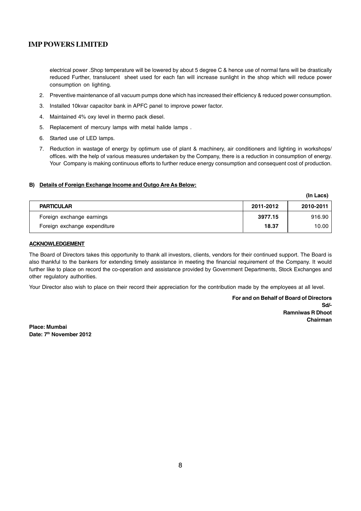electrical power .Shop temperature will be lowered by about 5 degree C & hence use of normal fans will be drastically reduced Further, translucent sheet used for each fan will increase sunlight in the shop which will reduce power consumption on lighting.

- 2. Preventive maintenance of all vacuum pumps done which has increased their efficiency & reduced power consumption.
- 3. Installed 10kvar capacitor bank in APFC panel to improve power factor.
- 4. Maintained 4% oxy level in thermo pack diesel.
- 5. Replacement of mercury lamps with metal halide lamps .
- 6. Started use of LED lamps.
- 7. Reduction in wastage of energy by optimum use of plant & machinery, air conditioners and lighting in workshops/ offices. with the help of various measures undertaken by the Company, there is a reduction in consumption of energy. Your Company is making continuous efforts to further reduce energy consumption and consequent cost of production.

#### **B) Details of Foreign Exchange Income and Outgo Are As Below:**

|                              |           | (In Lacs) |
|------------------------------|-----------|-----------|
| <b>PARTICULAR</b>            | 2011-2012 | 2010-2011 |
| Foreign exchange earnings    | 3977.15   | 916.90    |
| Foreign exchange expenditure | 18.37     | 10.00     |

#### **ACKNOWLEDGEMENT**

The Board of Directors takes this opportunity to thank all investors, clients, vendors for their continued support. The Board is also thankful to the bankers for extending timely assistance in meeting the financial requirement of the Company. It would further like to place on record the co-operation and assistance provided by Government Departments, Stock Exchanges and other regulatory authorities.

Your Director also wish to place on their record their appreciation for the contribution made by the employees at all level.

**For and on Behalf of Board of Directors Sd/- Ramniwas R Dhoot Chairman**

**Place: Mumbai Date: 7th November 2012**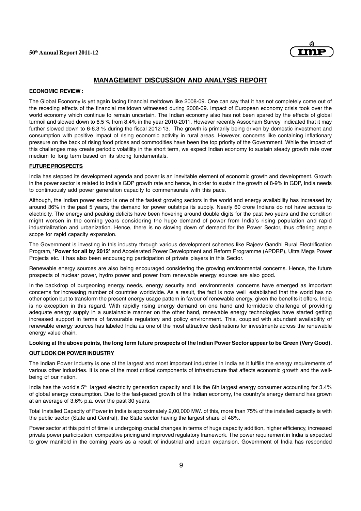

#### **MANAGEMENT DISCUSSION AND ANALYSIS REPORT**

#### **ECONOMIC REVIEW :**

The Global Economy is yet again facing financial meltdown like 2008-09. One can say that it has not completely come out of the receding effects of the financial meltdown witnessed during 2008-09. Impact of European economy crisis took over the world economy which continue to remain uncertain. The Indian economy also has not been spared by the effects of global turmoil and slowed down to 6.5 % from 8.4% in the year 2010-2011. However recently Assocham Survey indicated that it may further slowed down to 6-6.3 % during the fiscal 2012-13. The growth is primarily being driven by domestic investment and consumption with positive impact of rising economic activity in rural areas. However, concerns like containing inflationary pressure on the back of rising food prices and commodities have been the top priority of the Government. While the impact of this challenges may create periodic volatility in the short term, we expect Indian economy to sustain steady growth rate over medium to long term based on its strong fundamentals.

#### **FUTURE PROSPECTS**

India has stepped its development agenda and power is an inevitable element of economic growth and development. Growth in the power sector is related to India's GDP growth rate and hence, in order to sustain the growth of 8-9% in GDP, India needs to continuously add power generation capacity to commensurate with this pace.

Although, the Indian power sector is one of the fastest growing sectors in the world and energy availability has increased by around 36% in the past 5 years, the demand for power outstrips its supply. Nearly 60 crore Indians do not have access to electricity. The energy and peaking deficits have been hovering around double digits for the past two years and the condition might worsen in the coming years considering the huge demand of power from India's rising population and rapid industrialization and urbanization. Hence, there is no slowing down of demand for the Power Sector, thus offering ample scope for rapid capacity expansion.

The Government is investing in this industry through various development schemes like Rajeev Gandhi Rural Electrification Program, **'Power for all by 2012'** and Accelerated Power Development and Reform Programme (APDRP), Ultra Mega Power Projects etc. It has also been encouraging participation of private players in this Sector.

Renewable energy sources are also being encouraged considering the growing environmental concerns. Hence, the future prospects of nuclear power, hydro power and power from renewable energy sources are also good.

In the backdrop of burgeoning energy needs, energy security and environmental concerns have emerged as important concerns for increasing number of countries worldwide. As a result, the fact is now well established that the world has no other option but to transform the present energy usage pattern in favour of renewable energy, given the benefits it offers. India is no exception in this regard. With rapidly rising energy demand on one hand and formidable challenge of providing adequate energy supply in a sustainable manner on the other hand, renewable energy technologies have started getting increased support in terms of favourable regulatory and policy environment. This, coupled with abundant availability of renewable energy sources has labeled India as one of the most attractive destinations for investments across the renewable energy value chain.

#### **Looking at the above points, the long term future prospects of the Indian Power Sector appear to be Green (Very Good).**

#### **OUT LOOK ON POWER INDUSTRY**

The Indian Power Industry is one of the largest and most important industries in India as it fulfills the energy requirements of various other industries. It is one of the most critical components of infrastructure that affects economic growth and the wellbeing of our nation.

India has the world's 5<sup>th</sup> largest electricity generation capacity and it is the 6th largest energy consumer accounting for 3.4% of global energy consumption. Due to the fast-paced growth of the Indian economy, the country's energy demand has grown at an average of 3.6% p.a. over the past 30 years.

Total Installed Capacity of Power in India is approximately 2,00,000 MW. of this, more than 75% of the installed capacity is with the public sector (State and Central), the State sector having the largest share of 48%.

Power sector at this point of time is undergoing crucial changes in terms of huge capacity addition, higher efficiency, increased private power participation, competitive pricing and improved regulatory framework. The power requirement in India is expected to grow manifold in the coming years as a result of industrial and urban expansion. Government of India has responded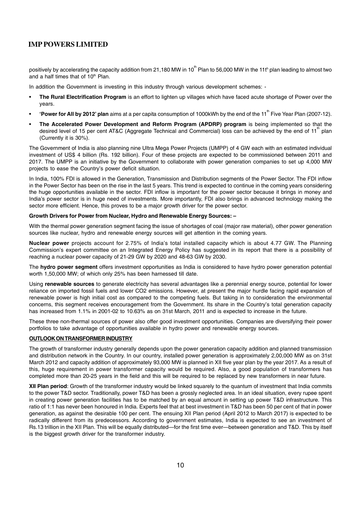positively by accelerating the capacity addition from 21,180 MW in 10<sup>th</sup> Plan to 56,000 MW in the 11t<sup>h</sup> plan leading to almost two and a half times that of 10<sup>th</sup> Plan.

In addition the Government is investing in this industry through various development schemes: -

- **The Rural Electrification Program** is an effort to lighten up villages which have faced acute shortage of Power over the years.
- 'Power for All by 2012' plan aims at a per capita consumption of 1000kWh by the end of the 11<sup>th</sup> Five Year Plan (2007-12).
- **The Accelerated Power Development and Reform Program (APDRP) program** is being implemented so that the desired level of 15 per cent AT&C (Aggregate Technical and Commercial) loss can be achieved by the end of 11<sup>th</sup> plan (Currently it is 30%).

The Government of India is also planning nine Ultra Mega Power Projects (UMPP) of 4 GW each with an estimated individual investment of US\$ 4 billion (Rs. 192 billion). Four of these projects are expected to be commissioned between 2011 and 2017. The UMPP is an initiative by the Government to collaborate with power generation companies to set up 4,000 MW projects to ease the Country's power deficit situation.

In India, 100% FDI is allowed in the Generation, Transmission and Distribution segments of the Power Sector. The FDI inflow in the Power Sector has been on the rise in the last 5 years. This trend is expected to continue in the coming years considering the huge opportunities available in the sector. FDI inflow is important for the power sector because it brings in money and India's power sector is in huge need of investments. More importantly, FDI also brings in advanced technology making the sector more efficient. Hence, this proves to be a major growth driver for the power sector.

#### **Growth Drivers for Power from Nuclear, Hydro and Renewable Energy Sources: –**

With the thermal power generation segment facing the issue of shortages of coal (major raw material), other power generation sources like nuclear, hydro and renewable energy sources will get attention in the coming years.

**Nuclear power** projects account for 2.75% of India's total installed capacity which is about 4.77 GW. The Planning Commission's expert committee on an Integrated Energy Policy has suggested in its report that there is a possibility of reaching a nuclear power capacity of 21-29 GW by 2020 and 48-63 GW by 2030.

The **hydro power segment** offers investment opportunities as India is considered to have hydro power generation potential worth 1,50,000 MW; of which only 25% has been harnessed till date.

Using **renewable sources** to generate electricity has several advantages like a perennial energy source, potential for lower reliance on imported fossil fuels and lower CO2 emissions. However, at present the major hurdle facing rapid expansion of renewable power is high initial cost as compared to the competing fuels. But taking in to consideration the environmental concerns, this segment receives encouragement from the Government. Its share in the Country's total generation capacity has increased from 1.1% in 2001-02 to 10.63% as on 31st March, 2011 and is expected to increase in the future.

These three non-thermal sources of power also offer good investment opportunities. Companies are diversifying their power portfolios to take advantage of opportunities available in hydro power and renewable energy sources.

#### **OUTLOOK ON TRANSFORMER INDUSTRY**

The growth of transformer industry generally depends upon the power generation capacity addition and planned transmission and distribution network in the Country. In our country, installed power generation is approximately 2,00,000 MW as on 31st March 2012 and capacity addition of approximately 93,000 MW is planned in XII five year plan by the year 2017. As a result of this, huge requirement in power transformer capacity would be required. Also, a good population of transformers has completed more than 20-25 years in the field and this will be required to be replaced by new transformers in near future.

**XII Plan period**: Growth of the transformer industry would be linked squarely to the quantum of investment that India commits to the power T&D sector. Traditionally, power T&D has been a grossly neglected area. In an ideal situation, every rupee spent in creating power generation facilities has to be matched by an equal amount in setting up power T&D infrastructure. This ratio of 1:1 has never been honoured in India. Experts feel that at best investment in T&D has been 50 per cent of that in power generation, as against the desirable 100 per cent. The ensuing XII Plan period (April 2012 to March 2017) is expected to be radically different from its predecessors. According to government estimates, India is expected to see an investment of Rs.13 trillion in the XII Plan. This will be equally distributed—for the first time ever—between generation and T&D. This by itself is the biggest growth driver for the transformer industry.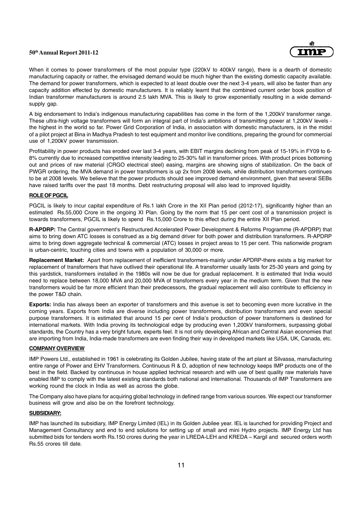

When it comes to power transformers of the most popular type (220kV to 400kV range), there is a dearth of domestic manufacturing capacity or rather, the envisaged demand would be much higher than the existing domestic capacity available. The demand for power transformers, which is expected to at least double over the next 3-4 years, will also be faster than any capacity addition effected by domestic manufacturers. It is reliably learnt that the combined current order book position of Indian transformer manufacturers is around 2.5 lakh MVA. This is likely to grow exponentially resulting in a wide demandsupply gap.

A big endorsement to India's indigenous manufacturing capabilities has come in the form of the 1,200kV transformer range. These ultra-high voltage transformers will form an integral part of India's ambitions of transmitting power at 1,200kV levels the highest in the world so far. Power Grid Corporation of India, in association with domestic manufacturers, is in the midst of a pilot project at Bina in Madhya Pradesh to test equipment and monitor live conditions, preparing the ground for commercial use of 1,200kV power transmission.

Profitability in power products has eroded over last 3-4 years, with EBIT margins declining from peak of 15-19% in FY09 to 6- 8% currently due to increased competitive intensity leading to 25-30% fall in transformer prices. With product prices bottoming out and prices of raw material (CRGO electrical steel) easing, margins are showing signs of stabilization. On the back of PWGR ordering, the MVA demand in power transformers is up 2x from 2008 levels, while distribution transformers continues to be at 2008 levels. We believe that the power products should see improved demand environment, given that several SEBs have raised tariffs over the past 18 months. Debt restructuring proposal will also lead to improved liquidity.

#### **ROLE OF PGCIL**

PGCIL is likely to incur capital expenditure of Rs.1 lakh Crore in the XII Plan period (2012-17), significantly higher than an estimated Rs.55,000 Crore in the ongoing XI Plan. Going by the norm that 15 per cent cost of a transmission project is towards transformers, PGCIL is likely to spend Rs.15,000 Crore to this effect during the entire XII Plan period.

**R-APDRP:** The Central government's Restructured Accelerated Power Development & Reforms Programme (R-APDRP) that aims to bring down ATC losses is construed as a big demand driver for both power and distribution transformers. R-APDRP aims to bring down aggregate technical & commercial (ATC) losses in project areas to 15 per cent. This nationwide program is urban-centric, touching cities and towns with a population of 30,000 or more.

**Replacement Market:** Apart from replacement of inefficient transformers-mainly under APDRP-there exists a big market for replacement of transformers that have outlived their operational life. A transformer usually lasts for 25-30 years and going by this yardstick, transformers installed in the 1980s will now be due for gradual replacement. It is estimated that India would need to replace between 18,000 MVA and 20,000 MVA of transformers every year in the medium term. Given that the new transformers would be far more efficient than their predecessors, the gradual replacement will also contribute to efficiency in the power T&D chain.

**Exports:** India has always been an exporter of transformers and this avenue is set to becoming even more lucrative in the coming years. Exports from India are diverse including power transformers, distribution transformers and even special purpose transformers. It is estimated that around 15 per cent of India's production of power transformers is destined for international markets. With India proving its technological edge by producing even 1,200kV transformers, surpassing global standards, the Country has a very bright future, experts feel. It is not only developing African and Central Asian economies that are importing from India, India-made transformers are even finding their way in developed markets like USA, UK, Canada, etc.

#### **COMPANY OVERVIEW**

IMP Powers Ltd., established in 1961 is celebrating its Golden Jubilee, having state of the art plant at Silvassa, manufacturing entire range of Power and EHV Transformers. Continuous R & D, adoption of new technology keeps IMP products one of the best in the field. Backed by continuous in house applied technical research and with use of best quality raw materials have enabled IMP to comply with the latest existing standards both national and international. Thousands of IMP Transformers are working round the clock in India as well as across the globe.

The Company also have plans for acquiring global technology in defined range from various sources. We expect our transformer business will grow and also be on the forefront technology.

#### **SUBSIDIARY:**

IMP has launched its subsidiary, IMP Energy Limited (IEL) in its Golden Jubilee year. IEL is launched for providing Project and Management Consultancy and end to end solutions for setting up of small and mini Hydro projects. IMP Energy Ltd has submitted bids for tenders worth Rs.150 crores during the year in LREDA-LEH and KREDA – Kargil and secured orders worth Rs.55 crores till date.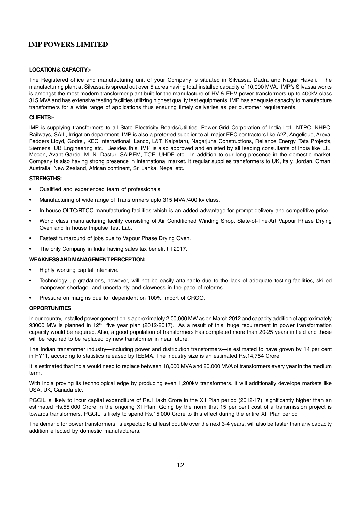#### **LOCATION & CAPACITY:-**

The Registered office and manufacturing unit of your Company is situated in Silvassa, Dadra and Nagar Haveli. The manufacturing plant at Silvassa is spread out over 5 acres having total installed capacity of 10,000 MVA. IMP's Silvassa works is amongst the most modern transformer plant built for the manufacture of HV & EHV power transformers up to 400kV class 315 MVA and has extensive testing facilities utilizing highest quality test equipments. IMP has adequate capacity to manufacture transformers for a wide range of applications thus ensuring timely deliveries as per customer requirements.

#### **CLIENTS:-**

IMP is supplying transformers to all State Electricity Boards/Utilities, Power Grid Corporation of India Ltd., NTPC, NHPC, Railways, SAIL, Irrigation department. IMP is also a preferred supplier to all major EPC contractors like A2Z, Angelique, Areva, Fedders Lloyd, Godrej, KEC International, Lanco, L&T, Kalpataru, Nagarjuna Constructions, Reliance Energy, Tata Projects, Siemens, UB Engineering etc. Besides this, IMP is also approved and enlisted by all leading consultants of India like EIL, Mecon, Avant Garde, M. N. Dastur, SAIPEM, TCE, UHDE etc. In addition to our long presence in the domestic market, Company is also having strong presence in International market. It regular supplies transformers to UK, Italy, Jordan, Oman, Australia, New Zealand, African continent, Sri Lanka, Nepal etc.

#### **STRENGTHS:**

- Qualified and experienced team of professionals.
- Manufacturing of wide range of Transformers upto 315 MVA /400 kv class.
- In house OLTC/RTCC manufacturing facilities which is an added advantage for prompt delivery and competitive price.
- World class manufacturing facility consisting of Air Conditioned Winding Shop, State-of-The-Art Vapour Phase Drying Oven and In house Impulse Test Lab.
- Fastest turnaround of jobs due to Vapour Phase Drying Oven.
- The only Company in India having sales tax benefit till 2017.

#### **WEAKNESS AND MANAGEMENT PERCEPTION:**

- Highly working capital Intensive.
- Technology up gradations, however, will not be easily attainable due to the lack of adequate testing facilities, skilled manpower shortage, and uncertainty and slowness in the pace of reforms.
- Pressure on margins due to dependent on 100% import of CRGO.

#### **OPPORTUNITIES**

In our country, installed power generation is approximately 2,00,000 MW as on March 2012 and capacity addition of approximately 93000 MW is planned in 12<sup>th</sup> five year plan (2012-2017). As a result of this, huge requirement in power transformation capacity would be required. Also, a good population of transformers has completed more than 20-25 years in field and these will be required to be replaced by new transformer in near future.

The Indian transformer industry—including power and distribution transformers—is estimated to have grown by 14 per cent in FY11, according to statistics released by IEEMA. The industry size is an estimated Rs.14,754 Crore.

It is estimated that India would need to replace between 18,000 MVA and 20,000 MVA of transformers every year in the medium term.

With India proving its technological edge by producing even 1,200kV transformers. It will additionally develope markets like USA, UK, Canada etc.

PGCIL is likely to incur capital expenditure of Rs.1 lakh Crore in the XII Plan period (2012-17), significantly higher than an estimated Rs.55,000 Crore in the ongoing XI Plan. Going by the norm that 15 per cent cost of a transmission project is towards transformers, PGCIL is likely to spend Rs.15,000 Crore to this effect during the entire XII Plan period

The demand for power transformers, is expected to at least double over the next 3-4 years, will also be faster than any capacity addition effected by domestic manufacturers.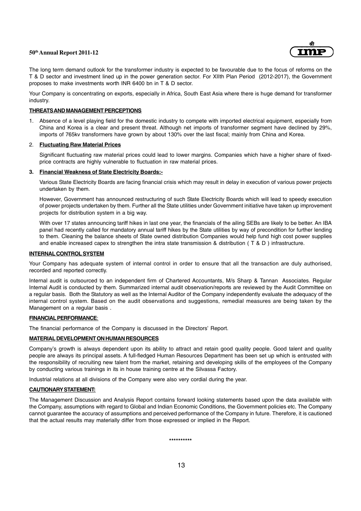

The long term demand outlook for the transformer industry is expected to be favourable due to the focus of reforms on the T & D sector and investment lined up in the power generation sector. For XIIth Plan Period (2012-2017), the Government proposes to make investments worth INR 6400 bn in T & D sector.

Your Company is concentrating on exports, especially in Africa, South East Asia where there is huge demand for transformer industry.

#### **THREATS AND MANAGEMENT PERCEPTIONS**

1. Absence of a level playing field for the domestic industry to compete with imported electrical equipment, especially from China and Korea is a clear and present threat. Although net imports of transformer segment have declined by 29%, imports of 765kv transformers have grown by about 130% over the last fiscal; mainly from China and Korea.

#### 2. **Fluctuating Raw Material Prices**

Significant fluctuating raw material prices could lead to lower margins. Companies which have a higher share of fixedprice contracts are highly vulnerable to fluctuation in raw material prices.

#### **3. Financial Weakness of State Electricity Boards:-**

Various State Electricity Boards are facing financial crisis which may result in delay in execution of various power projects undertaken by them.

However, Government has announced restructuring of such State Electricity Boards which will lead to speedy execution of power projects undertaken by them. Further all the State utilities under Government initiative have taken up improvement projects for distribution system in a big way.

With over 17 states announcing tariff hikes in last one year, the financials of the ailing SEBs are likely to be better. An IBA panel had recently called for mandatory annual tariff hikes by the State utilities by way of precondition for further lending to them. Cleaning the balance sheets of State owned distribution Companies would help fund high cost power supplies and enable increased capex to strengthen the intra state transmission & distribution ( T & D ) infrastructure.

#### **INTERNAL CONTROL SYSTEM**

Your Company has adequate system of internal control in order to ensure that all the transaction are duly authorised, recorded and reported correctly.

Internal audit is outsourced to an independent firm of Chartered Accountants, M/s Sharp & Tannan Associates. Regular Internal Audit is conducted by them. Summarized internal audit observation/reports are reviewed by the Audit Committee on a regular basis. Both the Statutory as well as the Internal Auditor of the Company independently evaluate the adequacy of the internal control system. Based on the audit observations and suggestions, remedial measures are being taken by the Management on a regular basis .

#### **FINANCIAL PERFORMANCE**:

The financial performance of the Company is discussed in the Directors' Report.

#### **MATERIAL DEVELOPMENT ON HUMAN RESOURCES**

Company's growth is always dependent upon its ability to attract and retain good quality people. Good talent and quality people are always its principal assets. A full-fledged Human Resources Department has been set up which is entrusted with the responsibility of recruiting new talent from the market, retaining and developing skills of the employees of the Company by conducting various trainings in its in house training centre at the Silvassa Factory.

Industrial relations at all divisions of the Company were also very cordial during the year.

#### **CAUTIONARY STATEMENT:**

The Management Discussion and Analysis Report contains forward looking statements based upon the data available with the Company, assumptions with regard to Global and Indian Economic Conditions, the Government policies etc. The Company cannot guarantee the accuracy of assumptions and perceived performance of the Company in future. Therefore, it is cautioned that the actual results may materially differ from those expressed or implied in the Report.

**\*\*\*\*\*\*\*\*\*\***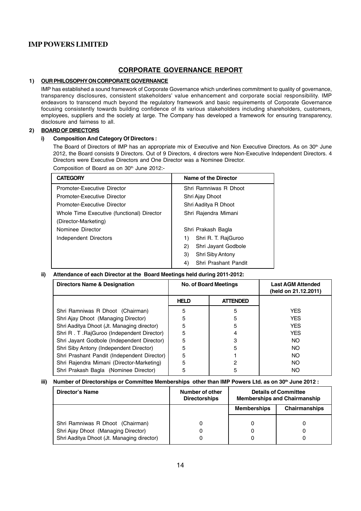# **CORPORATE GOVERNANCE REPORT**

#### **1) OUR PHILOSOPHY ON CORPORATE GOVERNANCE**

IMP has established a sound framework of Corporate Governance which underlines commitment to quality of governance, transparency disclosures, consistent stakeholders' value enhancement and corporate social responsibility. IMP endeavors to transcend much beyond the regulatory framework and basic requirements of Corporate Governance focusing consistently towards building confidence of its various stakeholders including shareholders, customers, employees, suppliers and the society at large. The Company has developed a framework for ensuring transparency, disclosure and fairness to all.

#### **2) BOARD OF DIRECTORS**

#### **i) Composition And Category Of Directors :**

The Board of Directors of IMP has an appropriate mix of Executive and Non Executive Directors. As on 30<sup>th</sup> June 2012, the Board consists 9 Directors. Out of 9 Directors, 4 directors were Non-Executive Independent Directors. 4 Directors were Executive Directors and One Director was a Nominee Director.

Composition of Board as on 30<sup>th</sup> June 2012:-

| <b>CATEGORY</b>                            | Name of the Director       |
|--------------------------------------------|----------------------------|
| Promoter-Executive Director                | Shri Ramniwas R Dhoot      |
| Promoter-Executive Director                | Shri Ajay Dhoot            |
| Promoter-Executive Director                | Shri Aaditya R Dhoot       |
| Whole Time Executive (functional) Director | Shri Rajendra Mimani       |
| (Director-Marketing)                       |                            |
| Nominee Director                           | Shri Prakash Bagla         |
| Independent Directors                      | Shri R. T. RajGuroo<br>1)  |
|                                            | 2)<br>Shri Jayant Godbole  |
|                                            | Shri Siby Antony<br>3)     |
|                                            | 4)<br>Shri Prashant Pandit |

#### **ii) Attendance of each Director at the Board Meetings held during 2011-2012:**

| Directors Name & Designation                | <b>No. of Board Meetings</b> |                 | <b>Last AGM Attended</b><br>(held on 21.12.2011) |
|---------------------------------------------|------------------------------|-----------------|--------------------------------------------------|
|                                             | <b>HELD</b>                  | <b>ATTENDED</b> |                                                  |
| Shri Ramniwas R Dhoot (Chairman)            | 5                            | 5               | <b>YES</b>                                       |
| Shri Ajay Dhoot (Managing Director)         | 5                            | 5               | <b>YES</b>                                       |
| Shri Aaditya Dhoot (Jt. Managing director)  | 5                            | 5               | <b>YES</b>                                       |
| Shri R. T. RajGuroo (Independent Director)  | 5                            |                 | <b>YES</b>                                       |
| Shri Jayant Godbole (Independent Director)  | 5                            | 3               | NO.                                              |
| Shri Siby Antony (Independent Director)     | 5                            | 5               | NO.                                              |
| Shri Prashant Pandit (Independent Director) | 5                            |                 | NO.                                              |
| Shri Rajendra Mimani (Director-Marketing)   | 5                            | 2               | NO.                                              |
| Shri Prakash Bagla (Nominee Director)       | 5                            | 5               | NO.                                              |

iii) Number of Directorships or Committee Memberships other than IMP Powers Ltd. as on 30<sup>th</sup> June 2012 :

| Director's Name                                                                                                       | Number of other<br><b>Directorships</b> |                    | <b>Details of Committee</b><br><b>Memberships and Chairmanship</b> |
|-----------------------------------------------------------------------------------------------------------------------|-----------------------------------------|--------------------|--------------------------------------------------------------------|
|                                                                                                                       |                                         | <b>Memberships</b> | Chairmanships                                                      |
| Shri Ramniwas R Dhoot (Chairman)<br>Shri Ajay Dhoot (Managing Director)<br>Shri Aaditya Dhoot (Jt. Managing director) |                                         |                    |                                                                    |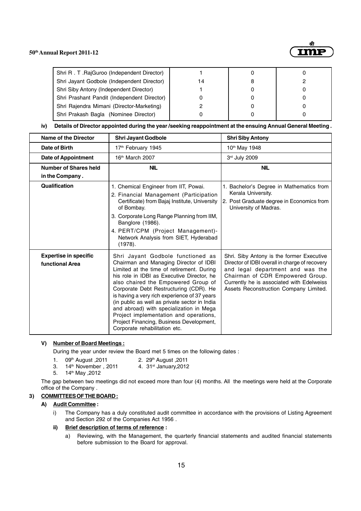

| Shri R. T. RajGuroo (Independent Director)  |    |  |
|---------------------------------------------|----|--|
| Shri Jayant Godbole (Independent Director)  | 14 |  |
| Shri Siby Antony (Independent Director)     |    |  |
| Shri Prashant Pandit (Independent Director) |    |  |
| Shri Rajendra Mimani (Director-Marketing)   |    |  |
| Shri Prakash Bagla (Nominee Director)       |    |  |

**iv) Details of Director appointed during the year /seeking reappointment at the ensuing Annual General Meeting .**

| Name of the Director                            | <b>Shri Jayant Godbole</b>                                                                                                                                                                                                                                                                                                                                                                                                                                                                                                 | <b>Shri Siby Antony</b>                                                                                                                                                                                                                                    |
|-------------------------------------------------|----------------------------------------------------------------------------------------------------------------------------------------------------------------------------------------------------------------------------------------------------------------------------------------------------------------------------------------------------------------------------------------------------------------------------------------------------------------------------------------------------------------------------|------------------------------------------------------------------------------------------------------------------------------------------------------------------------------------------------------------------------------------------------------------|
| Date of Birth                                   | 17 <sup>th</sup> February 1945                                                                                                                                                                                                                                                                                                                                                                                                                                                                                             | 10 <sup>th</sup> May 1948                                                                                                                                                                                                                                  |
| Date of Appointment                             | 16 <sup>th</sup> March 2007                                                                                                                                                                                                                                                                                                                                                                                                                                                                                                | 3rd July 2009                                                                                                                                                                                                                                              |
| Number of Shares held<br>in the Company.        | <b>NIL</b>                                                                                                                                                                                                                                                                                                                                                                                                                                                                                                                 | <b>NIL</b>                                                                                                                                                                                                                                                 |
| Qualification                                   | 1. Chemical Engineer from IIT, Powai.<br>2. Financial Management (Participation<br>Certificate) from Bajaj Institute, University<br>of Bombay.<br>3. Corporate Long Range Planning from IIM,<br>Banglore (1986).<br>4. PERT/CPM (Project Management)-<br>Network Analysis from SIET, Hyderabad<br>(1978).                                                                                                                                                                                                                  | 1. Bachelor's Degree in Mathematics from<br>Kerala University.<br>2. Post Graduate degree in Economics from<br>University of Madras.                                                                                                                       |
| <b>Expertise in specific</b><br>functional Area | Shri Jayant Godbole functioned as<br>Chairman and Managing Director of IDBI<br>Limited at the time of retirement. During<br>his role in IDBI as Executive Director, he<br>also chaired the Empowered Group of<br>Corporate Debt Restructuring (CDR). He<br>is having a very rich experience of 37 years<br>(in public as well as private sector in India<br>and abroad) with specialization in Mega<br>Project implementation and operations,<br>Project Financing, Business Development,<br>Corporate rehabilitation etc. | Shri. Siby Antony is the former Executive<br>Director of IDBI overall in charge of recovery<br>and legal department and was the<br>Chairman of CDR Empowered Group.<br>Currently he is associated with Edelweiss<br>Assets Reconstruction Company Limited. |

#### **V) Number of Board Meetings :**

During the year under review the Board met 5 times on the following dates :

- 1. 09th August , 2011 2. 29th August , 2011
- 3. 14<sup>th</sup> November, 2011 4. 31<sup>st</sup> January, 2012
- 5. 14th May ,2012

The gap between two meetings did not exceed more than four (4) months. All the meetings were held at the Corporate office of the Company .

#### **3) COMMITTEES OF THE BOARD :**

#### **A) Audit Committee :**

i) The Company has a duly constituted audit committee in accordance with the provisions of Listing Agreement and Section 292 of the Companies Act 1956 .

#### **ii) Brief description of terms of reference :**

a) Reviewing, with the Management, the quarterly financial statements and audited financial statements before submission to the Board for approval.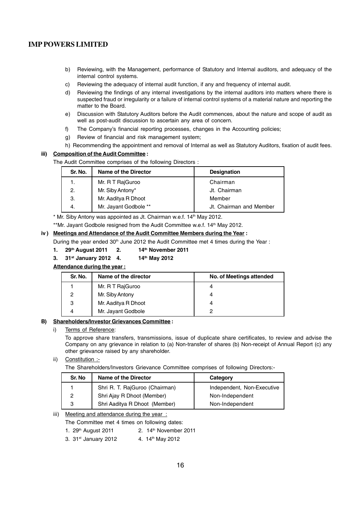- b) Reviewing, with the Management, performance of Statutory and Internal auditors, and adequacy of the internal control systems.
- c) Reviewing the adequacy of internal audit function, if any and frequency of internal audit.
- d) Reviewing the findings of any internal investigations by the internal auditors into matters where there is suspected fraud or irregularity or a failure of internal control systems of a material nature and reporting the matter to the Board.
- e) Discussion with Statutory Auditors before the Audit commences, about the nature and scope of audit as well as post-audit discussion to ascertain any area of concern.
- f) The Company's financial reporting processes, changes in the Accounting policies;
- g) Review of financial and risk management system;
- h) Recommending the appointment and removal of Internal as well as Statutory Auditors, fixation of audit fees.

#### **iii) Composition of the Audit Committee :**

The Audit Committee comprises of the following Directors :

| Sr. No. | <b>Name of the Director</b> | <b>Designation</b>      |
|---------|-----------------------------|-------------------------|
|         | Mr. R T RajGuroo            | Chairman                |
| 2.      | Mr. Siby Antony*            | Jt. Chairman            |
| З.      | Mr. Aaditya R Dhoot         | Member                  |
|         | Mr. Jayant Godbole **       | Jt. Chairman and Member |

\* Mr. Siby Antony was appointed as Jt. Chairman w.e.f. 14<sup>th</sup> May 2012.

\*\*Mr. Jayant Godbole resigned from the Audit Committee w.e.f. 14<sup>th</sup> May 2012.

#### **iv ) Meetings and Attendance of the Audit Committee Members during the Year :**

During the year ended  $30<sup>th</sup>$  June 2012 the Audit Committee met 4 times during the Year :

#### **1. 29th August 2011 2. 14th November 2011**

**3. 31st January 2012 4. 14th May 2012**

**Attendance during the year :**

| Sr. No.       | Name of the director | No. of Meetings attended |
|---------------|----------------------|--------------------------|
|               | Mr. R T RajGuroo     | 4                        |
| $\mathcal{P}$ | Mr. Siby Antony      | 4                        |
| 3             | Mr. Aaditya R Dhoot  | 4                        |
|               | Mr. Jayant Godbole   | ົ                        |

#### **B) Shareholders/Investor Grievances Committee :**

#### i) Terms of Reference:

To approve share transfers, transmissions, issue of duplicate share certificates, to review and advise the Company on any grievance in relation to (a) Non-transfer of shares (b) Non-receipt of Annual Report (c) any other grievance raised by any shareholder.

#### ii) Constitution :-

The Shareholders/Investors Grievance Committee comprises of following Directors:-

| Sr. No | <b>Name of the Director</b>    | Category                   |
|--------|--------------------------------|----------------------------|
|        | Shri R. T. RajGuroo (Chairman) | Independent, Non-Executive |
| 2      | Shri Ajay R Dhoot (Member)     | Non-Independent            |
| 3      | Shri Aaditya R Dhoot (Member)  | Non-Independent            |

### iii) Meeting and attendance during the year:

The Committee met 4 times on following dates:

- 1.  $29<sup>th</sup>$  August 2011 2. 14<sup>th</sup> November 2011
- 3. 31<sup>st</sup> January 2012 4. 14<sup>th</sup> May 2012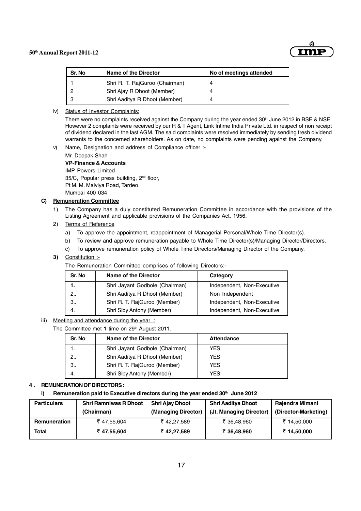

| Sr. No | Name of the Director           | No of meetings attended |
|--------|--------------------------------|-------------------------|
|        | Shri R. T. RajGuroo (Chairman) | Δ                       |
|        | Shri Ajay R Dhoot (Member)     |                         |
| - 2    | Shri Aaditya R Dhoot (Member)  |                         |

#### iv) Status of Investor Complaints:

There were no complaints received against the Company during the year ended 30<sup>th</sup> June 2012 in BSE & NSE. However 2 complaints were received by our R & T Agent, Link Intime India Private Ltd. in respect of non receipt of dividend declared in the last AGM. The said complaints were resolved immediately by sending fresh dividend warrants to the concerned shareholders. As on date, no complaints were pending against the Company.

#### v) Name, Designation and address of Compliance officer :-

Mr. Deepak Shah **VP-Finance & Accounts**

IMP Powers Limited 35/C, Popular press building, 2nd floor, Pt M. M. Malviya Road, Tardeo Mumbai 400 034

#### **C) Remuneration Committee**

1) The Company has a duly constituted Remuneration Committee in accordance with the provisions of the Listing Agreement and applicable provisions of the Companies Act, 1956.

#### 2) Terms of Reference

- a) To approve the appointment, reappointment of Managerial Personal/Whole Time Director(s).
- b) To review and approve remuneration payable to Whole Time Director(s)/Managing Director/Directors.
- c) To approve remuneration policy of Whole Time Directors/Managing Director of the Company.
- **3)** Constitution :-

The Remuneration Committee comprises of following Directors:-

| Sr. No      | Name of the Director           | Category                   |
|-------------|--------------------------------|----------------------------|
|             | Shri Jayant Godbole (Chairman) | Independent, Non-Executive |
| $2_{\cdot}$ | Shri Aaditya R Dhoot (Member)  | Non Independent            |
| 3           | Shri R. T. RajGuroo (Member)   | Independent, Non-Executive |
| 4.          | Shri Siby Antony (Member)      | Independent, Non-Executive |

#### iii) Meeting and attendance during the year:

The Committee met 1 time on 29<sup>th</sup> August 2011. **Sr. No Name of the Director No. 1. Attendance** 1. Shri Jayant Godbole (Chairman) YES 2.. Shri Aaditya R Dhoot (Member) | YES 3.. Shri R. T. RajGuroo (Member) YES 4. Shri Siby Antony (Member) YES

#### **4 . REMUNERATION OF DIRECTORS :**

#### **i) Remuneration paid to Executive directors during the year ended 30<sup>th</sup> June 2012**

| <b>Particulars</b> | <b>Shri Ramniwas R Dhoot</b><br>(Chairman) | <b>Shri Ajay Dhoot</b><br>(Managing Director) | Shri Aaditya Dhoot<br>(Jt. Managing Director) | Rajendra Mimani<br>(Director-Marketing) |
|--------------------|--------------------------------------------|-----------------------------------------------|-----------------------------------------------|-----------------------------------------|
| Remuneration       | ₹47,55,604                                 | ₹42,27,589                                    | ₹ 36.48.960                                   | ₹ 14,50,000                             |
| Total              | ₹47,55,604                                 | ₹42,27,589                                    | ₹ 36,48,960                                   | ₹ 14,50,000                             |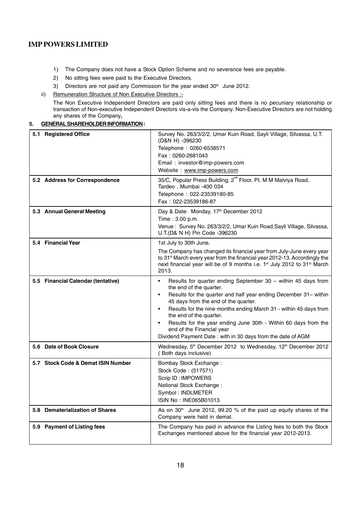- 1) The Company does not have a Stock Option Scheme and no severance fees are payable.
- 2) No sitting fees were paid to the Executive Directors.
- 3) Directors are not paid any Commission for the year ended 30<sup>th</sup> June 2012.

#### ii) Remuneration Structure of Non Executive Directors :-

The Non Executive Independent Directors are paid only sitting fees and there is no pecuniary relationship or transaction of Non-executive Independent Directors vis-a-vis the Company. Non-Executive Directors are not holding any shares of the Company**.**

#### **5. GENERAL SHAREHOLDER INFORMATION :**

| 5.1 Registered Office              | Survey No. 263/3/2/2, Umar Kuin Road, Sayli Village, Silvassa, U.T.<br>(D&N H) -396230<br>Telephone: 0260-6538571<br>Fax: 0260-2681043<br>Email: investor@imp-powers.com<br>Website: www.imp-powers.com                                                                                                                                                                                                                                                                                                    |
|------------------------------------|------------------------------------------------------------------------------------------------------------------------------------------------------------------------------------------------------------------------------------------------------------------------------------------------------------------------------------------------------------------------------------------------------------------------------------------------------------------------------------------------------------|
| 5.2 Address for Correspondence     | 35/C, Popular Press Building, 2 <sup>nd</sup> Floor, Pt. M M Malviya Road,<br>Tardeo, Mumbai -400 034<br>Telephone: 022-23539180-85<br>Fax: 022-23539186-87                                                                                                                                                                                                                                                                                                                                                |
| 5.3 Annual General Meeting         | Day & Date: Monday, 17th December 2012<br>Time: 3.00 p.m.<br>Venue: Survey No. 263/3/2/2, Umar Kuin Road, Sayli Village, Silvassa,<br>U.T.(D& N H) Pin Code -396230                                                                                                                                                                                                                                                                                                                                        |
| 5.4 Financial Year                 | 1st July to 30th June.<br>The Company has changed its financial year from July-June every year<br>to 31 <sup>st</sup> March every year from the financial year 2012-13. Accordingly the<br>next financial year will be of 9 months i.e. 1 <sup>st</sup> July 2012 to 31 <sup>st</sup> March<br>2013.                                                                                                                                                                                                       |
| 5.5 Financial Calendar (tentative) | Results for quarter ending September 30 - within 45 days from<br>$\bullet$<br>the end of the quarter.<br>Results for the quarter and half year ending December 31- within<br>$\bullet$<br>45 days from the end of the quarter.<br>Results for the nine months ending March 31 - within 45 days from<br>$\bullet$<br>the end of the quarter.<br>Results for the year ending June 30th - Within 60 days from the<br>end of the Financial year<br>Dividend Payment Date: with in 30 days from the date of AGM |
| 5.6 Date of Book Closure           | Wednesday, 5 <sup>th</sup> December 2012 to Wednesday, 12 <sup>th</sup> December 2012<br>(Both days inclusive)                                                                                                                                                                                                                                                                                                                                                                                             |
| 5.7 Stock Code & Demat ISIN Number | Bombay Stock Exchange:<br>Stock Code: (517571)<br>Scrip ID: IMPOWERS<br>National Stock Exchange:<br>Symbol: INDLMETER<br>ISIN No: INE065B01013                                                                                                                                                                                                                                                                                                                                                             |
| 5.8 Dematerialization of Shares    | As on 30 <sup>th</sup> June 2012, 99.20 % of the paid up equity shares of the<br>Company were held in demat.                                                                                                                                                                                                                                                                                                                                                                                               |
| 5.9 Payment of Listing fees        | The Company has paid in advance the Listing fees to both the Stock<br>Exchanges mentioned above for the financial year 2012-2013.                                                                                                                                                                                                                                                                                                                                                                          |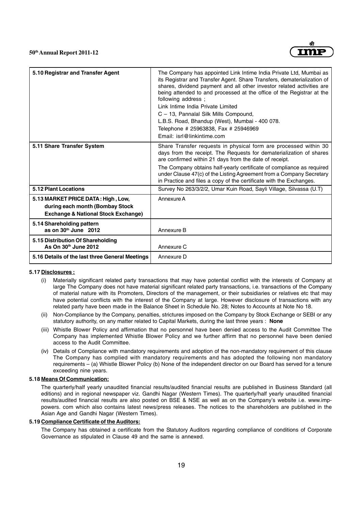

| 5.10 Registrar and Transfer Agent                                                                                       | The Company has appointed Link Intime India Private Ltd, Mumbai as<br>its Registrar and Transfer Agent. Share Transfers, dematerialization of<br>shares, dividend payment and all other investor related activities are<br>being attended to and processed at the office of the Registrar at the<br>following address;<br>Link Intime India Private Limited<br>C - 13, Pannalal Silk Mills Compound,<br>L.B.S. Road, Bhandup (West), Mumbai - 400 078.<br>Telephone # 25963838, Fax # 25946969<br>Email: isrl@linkintime.com |
|-------------------------------------------------------------------------------------------------------------------------|------------------------------------------------------------------------------------------------------------------------------------------------------------------------------------------------------------------------------------------------------------------------------------------------------------------------------------------------------------------------------------------------------------------------------------------------------------------------------------------------------------------------------|
| 5.11 Share Transfer System                                                                                              | Share Transfer requests in physical form are processed within 30<br>days from the receipt. The Requests for dematerialization of shares<br>are confirmed within 21 days from the date of receipt.<br>The Company obtains half-yearly certificate of compliance as required<br>under Clause 47(c) of the Listing Agreement from a Company Secretary<br>in Practice and files a copy of the certificate with the Exchanges.                                                                                                    |
| 5.12 Plant Locations                                                                                                    | Survey No 263/3/2/2, Umar Kuin Road, Sayli Village, Silvassa (U.T)                                                                                                                                                                                                                                                                                                                                                                                                                                                           |
| 5.13 MARKET PRICE DATA: High, Low,<br>during each month (Bombay Stock<br><b>Exchange &amp; National Stock Exchange)</b> | Annexure A                                                                                                                                                                                                                                                                                                                                                                                                                                                                                                                   |
| 5.14 Shareholding pattern<br>as on $30th$ June $2012$                                                                   | Annexure B                                                                                                                                                                                                                                                                                                                                                                                                                                                                                                                   |
| 5.15 Distribution Of Shareholding<br>As On $30th$ June 2012                                                             | Annexure C                                                                                                                                                                                                                                                                                                                                                                                                                                                                                                                   |
| 5.16 Details of the last three General Meetings                                                                         | Annexure D                                                                                                                                                                                                                                                                                                                                                                                                                                                                                                                   |

#### **5.17 Disclosures :**

- (i) Materially significant related party transactions that may have potential conflict with the interests of Company at large The Company does not have material significant related party transactions, i.e. transactions of the Company of material nature with its Promoters, Directors of the management, or their subsidiaries or relatives etc that may have potential conflicts with the interest of the Company at large. However disclosure of transactions with any related party have been made in the Balance Sheet in Schedule No. 28; Notes to Accounts at Note No 18.
- (ii) Non-Compliance by the Company, penalties, strictures imposed on the Company by Stock Exchange or SEBI or any statutory authority, on any matter related to Capital Markets, during the last three years : **None**
- (iii) Whistle Blower Policy and affirmation that no personnel have been denied access to the Audit Committee The Company has implemented Whistle Blower Policy and we further affirm that no personnel have been denied access to the Audit Committee.
- (iv) Details of Compliance with mandatory requirements and adoption of the non-mandatory requirement of this clause The Company has complied with mandatory requirements and has adopted the following non mandatory requirements – (a) Whistle Blower Policy (b) None of the independent director on our Board has served for a tenure exceeding nine years.

#### **5.18 Means Of Communication:**

The quarterly/half yearly unaudited financial results/audited financial results are published in Business Standard (all editions) and in regional newspaper viz. Gandhi Nagar (Western Times). The quarterly/half yearly unaudited financial results/audited financial results are also posted on BSE & NSE as well as on the Company's website i.e. www.imppowers. com which also contains latest news/press releases. The notices to the shareholders are published in the Asian Age and Gandhi Nagar (Western Times).

#### **5.19 Compliance Certificate of the Auditors:**

The Company has obtained a certificate from the Statutory Auditors regarding compliance of conditions of Corporate Governance as stipulated in Clause 49 and the same is annexed.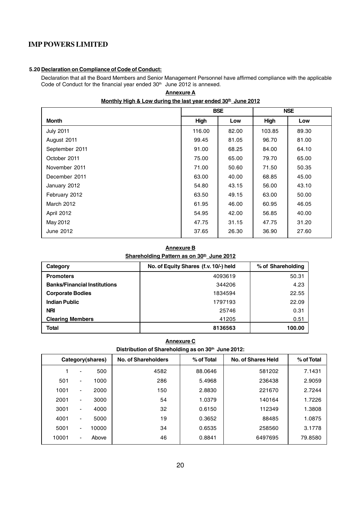#### **5.20 Declaration on Compliance of Code of Conduct:**

Declaration that all the Board Members and Senior Management Personnel have affirmed compliance with the applicable Code of Conduct for the financial year ended 30<sup>th</sup> June 2012 is annexed.

**Annexure A**

| Monthly High & Low during the last year ended 30 <sup>th</sup> June 2012 |  |
|--------------------------------------------------------------------------|--|
|--------------------------------------------------------------------------|--|

|                  | <b>BSE</b> |       |        | <b>NSE</b> |
|------------------|------------|-------|--------|------------|
| Month            | High       | Low   | High   | Low        |
| <b>July 2011</b> | 116.00     | 82.00 | 103.85 | 89.30      |
| August 2011      | 99.45      | 81.05 | 96.70  | 81.00      |
| September 2011   | 91.00      | 68.25 | 84.00  | 64.10      |
| October 2011     | 75.00      | 65.00 | 79.70  | 65.00      |
| November 2011    | 71.00      | 50.60 | 71.50  | 50.35      |
| December 2011    | 63.00      | 40.00 | 68.85  | 45.00      |
| January 2012     | 54.80      | 43.15 | 56.00  | 43.10      |
| February 2012    | 63.50      | 49.15 | 63.00  | 50.00      |
| March 2012       | 61.95      | 46.00 | 60.95  | 46.05      |
| April 2012       | 54.95      | 42.00 | 56.85  | 40.00      |
| May 2012         | 47.75      | 31.15 | 47.75  | 31.20      |
| June 2012        | 37.65      | 26.30 | 36.90  | 27.60      |

# **Annexure B**

Shareholding Pattern as on 30<sup>th</sup> June 2012

| Category                            | No. of Equity Shares (f.v. 10/-) held | % of Shareholding |
|-------------------------------------|---------------------------------------|-------------------|
| <b>Promoters</b>                    | 4093619                               | 50.31             |
| <b>Banks/Financial Institutions</b> | 344206                                | 4.23              |
| <b>Corporate Bodies</b>             | 1834594                               | 22.55             |
| <b>Indian Public</b>                | 1797193                               | 22.09             |
| <b>NRI</b>                          | 25746                                 | 0.31              |
| <b>Clearing Members</b>             | 41205                                 | 0.51              |
| Total                               | 8136563                               | 100.00            |

#### **Annexure C**

Distribution of Shareholding as on 30<sup>th</sup> June 2012:

| Category(shares) |                          |       | No. of Shareholders | % of Total | <b>No. of Shares Held</b> | % of Total |
|------------------|--------------------------|-------|---------------------|------------|---------------------------|------------|
|                  | $\overline{\phantom{a}}$ | 500   | 4582                | 88.0646    | 581202                    | 7.1431     |
| 501              | $\blacksquare$           | 1000  | 286                 | 5.4968     | 236438                    | 2.9059     |
| 1001             | $\blacksquare$           | 2000  | 150                 | 2.8830     | 221670                    | 2.7244     |
| 2001             | ۰                        | 3000  | 54                  | 1.0379     | 140164                    | 1.7226     |
| 3001             | $\blacksquare$           | 4000  | 32                  | 0.6150     | 112349                    | 1.3808     |
| 4001             | $\blacksquare$           | 5000  | 19                  | 0.3652     | 88485                     | 1.0875     |
| 5001             | ۰.                       | 10000 | 34                  | 0.6535     | 258560                    | 3.1778     |
| 10001            | $\blacksquare$           | Above | 46                  | 0.8841     | 6497695                   | 79.8580    |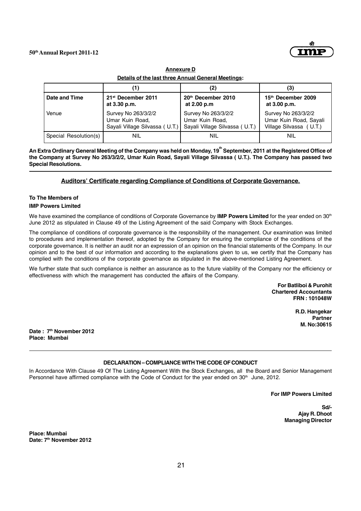

**Annexure D Details of the last three Annual General Meetings:**

|                       | 1)                             | (2)                            | (3)                     |
|-----------------------|--------------------------------|--------------------------------|-------------------------|
| Date and Time         | 21 <sup>st</sup> December 2011 | 20th December 2010             | 15th December 2009      |
|                       | at 3.30 p.m.                   | at 2.00 p.m                    | at 3.00 p.m.            |
| Venue                 | Survey No 263/3/2/2            | Survey No 263/3/2/2            | Survey No 263/3/2/2     |
|                       | Umar Kuin Road,                | Umar Kuin Road,                | Umar Kuin Road, Sayali  |
|                       | Sayali Village Silvassa (U.T.) | Sayali Village Silvassa (U.T.) | Village Silvassa (U.T.) |
| Special Resolution(s) | NIL                            | NIL                            | NIL                     |

An Extra Ordinary General Meeting of the Company was held on Monday, 19<sup>th</sup> September, 2011 at the Registered Office of **the Company at Survey No 263/3/2/2, Umar Kuin Road, Sayali Village Silvassa ( U.T.). The Company has passed two Special Resolutions.**

#### **Auditors' Certificate regarding Compliance of Conditions of Corporate Governance.**

# **To The Members of**

#### **IMP Powers Limited**

We have examined the compliance of conditions of Corporate Governance by **IMP Powers Limited** for the year ended on 30th June 2012 as stipulated in Clause 49 of the Listing Agreement of the said Company with Stock Exchanges.

The compliance of conditions of corporate governance is the responsibility of the management. Our examination was limited to procedures and implementation thereof, adopted by the Company for ensuring the compliance of the conditions of the corporate governance. It is neither an audit nor an expression of an opinion on the financial statements of the Company. In our opinion and to the best of our information and according to the explanations given to us, we certify that the Company has complied with the conditions of the corporate governance as stipulated in the above-mentioned Listing Agreement.

We further state that such compliance is neither an assurance as to the future viability of the Company nor the efficiency or effectiveness with which the management has conducted the affairs of the Company.

> **For Batliboi & Purohit Chartered Accountants FRN : 101048W**

> > **R.D. Hangekar Partner M. No:30615**

**Date : 7th November 2012 Place: Mumbai**

#### **DECLARATION – COMPLIANCE WITH THE CODE OF CONDUCT**

In Accordance With Clause 49 Of The Listing Agreement With the Stock Exchanges, all the Board and Senior Management Personnel have affirmed compliance with the Code of Conduct for the year ended on 30<sup>th</sup> June, 2012.

**For IMP Powers Limited**

**Sd/- Ajay R. Dhoot Managing Director**

**Place: Mumbai Date: 7th November 2012**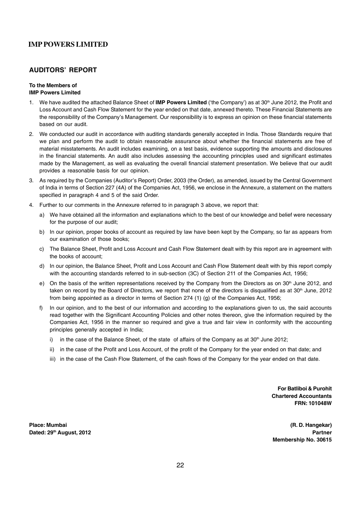# **AUDITORS' REPORT**

#### **To the Members of IMP Powers Limited**

- 1. We have audited the attached Balance Sheet of **IMP Powers Limited** ('the Company') as at 30<sup>th</sup> June 2012, the Profit and Loss Account and Cash Flow Statement for the year ended on that date, annexed thereto. These Financial Statements are the responsibility of the Company's Management. Our responsibility is to express an opinion on these financial statements based on our audit.
- 2. We conducted our audit in accordance with auditing standards generally accepted in India. Those Standards require that we plan and perform the audit to obtain reasonable assurance about whether the financial statements are free of material misstatements. An audit includes examining, on a test basis, evidence supporting the amounts and disclosures in the financial statements. An audit also includes assessing the accounting principles used and significant estimates made by the Management, as well as evaluating the overall financial statement presentation. We believe that our audit provides a reasonable basis for our opinion.
- 3. As required by the Companies (Auditor's Report) Order, 2003 (the Order), as amended, issued by the Central Government of India in terms of Section 227 (4A) of the Companies Act, 1956, we enclose in the Annexure, a statement on the matters specified in paragraph 4 and 5 of the said Order.
- 4. Further to our comments in the Annexure referred to in paragraph 3 above, we report that:
	- a) We have obtained all the information and explanations which to the best of our knowledge and belief were necessary for the purpose of our audit;
	- b) In our opinion, proper books of account as required by law have been kept by the Company, so far as appears from our examination of those books;
	- c) The Balance Sheet, Profit and Loss Account and Cash Flow Statement dealt with by this report are in agreement with the books of account;
	- d) In our opinion, the Balance Sheet, Profit and Loss Account and Cash Flow Statement dealt with by this report comply with the accounting standards referred to in sub-section (3C) of Section 211 of the Companies Act, 1956;
	- e) On the basis of the written representations received by the Company from the Directors as on 30<sup>th</sup> June 2012, and taken on record by the Board of Directors, we report that none of the directors is disqualified as at  $30<sup>th</sup>$  June, 2012 from being appointed as a director in terms of Section 274 (1) (g) of the Companies Act, 1956;
	- f) In our opinion, and to the best of our information and according to the explanations given to us, the said accounts read together with the Significant Accounting Policies and other notes thereon, give the information required by the Companies Act, 1956 in the manner so required and give a true and fair view in conformity with the accounting principles generally accepted in India;
		- i) in the case of the Balance Sheet, of the state of affairs of the Company as at  $30<sup>th</sup>$  June 2012;
		- ii) in the case of the Profit and Loss Account, of the profit of the Company for the year ended on that date; and
		- iii) in the case of the Cash Flow Statement, of the cash flows of the Company for the year ended on that date.

**For Batliboi & Purohit Chartered Accountants FRN: 101048W**

**Place: Mumbai (R. D. Hangekar) Dated: 29th August, 2012 Partner**

**Membership No. 30615**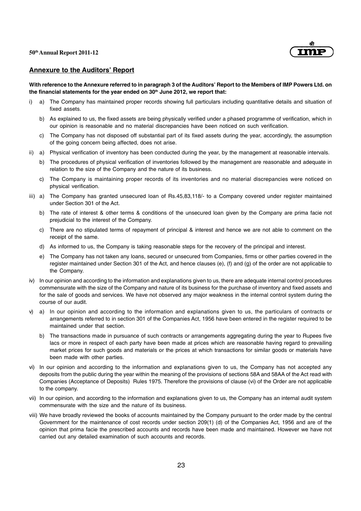

#### **Annexure to the Auditors' Report**

**With reference to the Annexure referred to in paragraph 3 of the Auditors' Report to the Members of IMP Powers Ltd. on** the financial statements for the year ended on 30<sup>th</sup> June 2012, we report that:

- i) a) The Company has maintained proper records showing full particulars including quantitative details and situation of fixed assets.
	- b) As explained to us, the fixed assets are being physically verified under a phased programme of verification, which in our opinion is reasonable and no material discrepancies have been noticed on such verification.
	- c) The Company has not disposed off substantial part of its fixed assets during the year, accordingly, the assumption of the going concern being affected, does not arise.
- ii) a) Physical verification of inventory has been conducted during the year, by the management at reasonable intervals.
	- b) The procedures of physical verification of inventories followed by the management are reasonable and adequate in relation to the size of the Company and the nature of its business.
	- c) The Company is maintaining proper records of its inventories and no material discrepancies were noticed on physical verification.
- iii) a) The Company has granted unsecured loan of Rs.45,83,118/- to a Company covered under register maintained under Section 301 of the Act.
	- b) The rate of interest & other terms & conditions of the unsecured loan given by the Company are prima facie not prejudicial to the interest of the Company.
	- c) There are no stipulated terms of repayment of principal & interest and hence we are not able to comment on the receipt of the same.
	- d) As informed to us, the Company is taking reasonable steps for the recovery of the principal and interest.
	- e) The Company has not taken any loans, secured or unsecured from Companies, firms or other parties covered in the register maintained under Section 301 of the Act, and hence clauses (e), (f) and (g) of the order are not applicable to the Company.
- iv) In our opinion and according to the information and explanations given to us, there are adequate internal control procedures commensurate with the size of the Company and nature of its business for the purchase of inventory and fixed assets and for the sale of goods and services. We have not observed any major weakness in the internal control system during the course of our audit.
- v) a) In our opinion and according to the information and explanations given to us, the particulars of contracts or arrangements referred to in section 301 of the Companies Act, 1956 have been entered in the register required to be maintained under that section.
	- b) The transactions made in pursuance of such contracts or arrangements aggregating during the year to Rupees five lacs or more in respect of each party have been made at prices which are reasonable having regard to prevailing market prices for such goods and materials or the prices at which transactions for similar goods or materials have been made with other parties.
- vi) In our opinion and according to the information and explanations given to us, the Company has not accepted any deposits from the public during the year within the meaning of the provisions of sections 58A and 58AA of the Act read with Companies (Acceptance of Deposits) Rules 1975. Therefore the provisions of clause (vi) of the Order are not applicable to the company.
- vii) In our opinion, and according to the information and explanations given to us, the Company has an internal audit system commensurate with the size and the nature of its business.
- viii) We have broadly reviewed the books of accounts maintained by the Company pursuant to the order made by the central Government for the maintenance of cost records under section 209(1) (d) of the Companies Act, 1956 and are of the opinion that prima facie the prescribed accounts and records have been made and maintained. However we have not carried out any detailed examination of such accounts and records.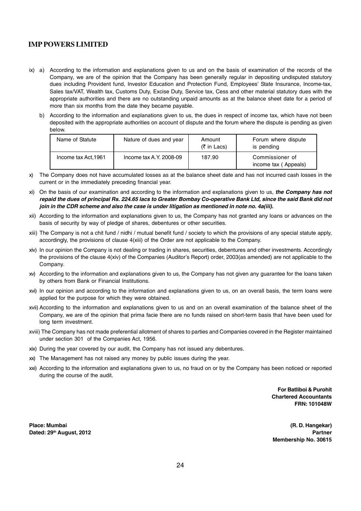- ix) a) According to the information and explanations given to us and on the basis of examination of the records of the Company, we are of the opinion that the Company has been generally regular in depositing undisputed statutory dues including Provident fund, Investor Education and Protection Fund, Employees' State Insurance, Income-tax, Sales tax/VAT, Wealth tax, Customs Duty, Excise Duty, Service tax, Cess and other material statutory dues with the appropriate authorities and there are no outstanding unpaid amounts as at the balance sheet date for a period of more than six months from the date they became payable.
	- b) According to the information and explanations given to us, the dues in respect of income tax, which have not been deposited with the appropriate authorities on account of dispute and the forum where the dispute is pending as given below.

| Name of Statute      | Nature of dues and year | Amount<br>$(5 \in \text{Ln}$ Lacs) | Forum where dispute<br>is pending       |
|----------------------|-------------------------|------------------------------------|-----------------------------------------|
| Income tax Act, 1961 | Income tax A.Y. 2008-09 | 187.90                             | Commissioner of<br>income tax (Appeals) |

- x) The Company does not have accumulated losses as at the balance sheet date and has not incurred cash losses in the current or in the immediately preceding financial year.
- xi) On the basis of our examination and according to the information and explanations given to us, *the Company has not repaid the dues of principal Rs. 224.65 lacs to Greater Bombay Co-operative Bank Ltd, since the said Bank did not join in the CDR scheme and also the case is under litigation as mentioned in note no. 4a(iii).*
- xii) According to the information and explanations given to us, the Company has not granted any loans or advances on the basis of security by way of pledge of shares, debentures or other securities.
- xiii) The Company is not a chit fund / nidhi / mutual benefit fund / society to which the provisions of any special statute apply, accordingly, the provisions of clause 4(xiii) of the Order are not applicable to the Company.
- xiv) In our opinion the Company is not dealing or trading in shares, securities, debentures and other investments. Accordingly the provisions of the clause 4(xiv) of the Companies (Auditor's Report) order, 2003(as amended) are not applicable to the Company.
- xv) According to the information and explanations given to us, the Company has not given any guarantee for the loans taken by others from Bank or Financial Institutions.
- xvi) In our opinion and according to the information and explanations given to us, on an overall basis, the term loans were applied for the purpose for which they were obtained.
- xvii) According to the information and explanations given to us and on an overall examination of the balance sheet of the Company, we are of the opinion that prima facie there are no funds raised on short-term basis that have been used for long term investment.
- xviii) The Company has not made preferential allotment of shares to parties and Companies covered in the Register maintained under section 301 of the Companies Act, 1956.
- xix) During the year covered by our audit, the Company has not issued any debentures.
- xx) The Management has not raised any money by public issues during the year.
- xxi) According to the information and explanations given to us, no fraud on or by the Company has been noticed or reported during the course of the audit.

**For Batliboi & Purohit Chartered Accountants FRN: 101048W**

**Place: Mumbai (R. D. Hangekar) Dated: 29th August, 2012 Partner**

**Membership No. 30615**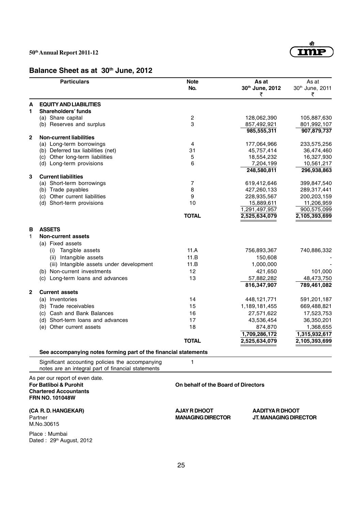# Imr

# **Balance Sheet as at 30th June, 2012**

|              | <b>Particulars</b>                                              | <b>Note</b><br>No.                  | As at<br>30th June, 2012<br>₹  | As at<br>30th June, 2011<br>₹ |  |
|--------------|-----------------------------------------------------------------|-------------------------------------|--------------------------------|-------------------------------|--|
| A            | <b>EQUITY AND LIABILITIES</b>                                   |                                     |                                |                               |  |
| 1            | Shareholders' funds                                             |                                     |                                |                               |  |
|              | (a) Share capital                                               | $\overline{c}$                      | 128,062,390                    | 105,887,630                   |  |
|              | (b) Reserves and surplus                                        | 3                                   | 857,492,921                    | 801,992,107                   |  |
|              |                                                                 |                                     | 985,555,311                    | 907,879,737                   |  |
| $\mathbf{2}$ | <b>Non-current liabilities</b>                                  |                                     |                                |                               |  |
|              | (a) Long-term borrowings                                        | 4                                   | 177,064,966                    | 233,575,256                   |  |
|              | (b) Deferred tax liabilities (net)                              | 31                                  | 45,757,414                     | 36,474,460                    |  |
|              | (c) Other long-term liabilities                                 | 5                                   | 18,554,232                     | 16,327,930                    |  |
|              | (d) Long-term provisions                                        | 6                                   | 7,204,199                      | 10,561,217                    |  |
|              |                                                                 |                                     | 248,580,811                    | 296,938,863                   |  |
| 3            | <b>Current liabilities</b>                                      |                                     |                                |                               |  |
|              | (a) Short-term borrowings                                       | 7                                   | 619,412,646                    | 399,847,540                   |  |
|              | (b) Trade payables                                              | 8                                   | 427,260,133                    | 289,317,441                   |  |
|              | (c) Other current liabilities                                   | 9                                   | 228,935,567                    | 200,203,159                   |  |
|              | (d) Short-term provisions                                       | 10                                  | 15,889,611                     | 11,206,959                    |  |
|              |                                                                 | <b>TOTAL</b>                        | 1,291,497,957<br>2,525,634,079 | 900,575,099<br>2,105,393,699  |  |
|              |                                                                 |                                     |                                |                               |  |
| В            | <b>ASSETS</b>                                                   |                                     |                                |                               |  |
| 1            | <b>Non-current assets</b>                                       |                                     |                                |                               |  |
|              | (a) Fixed assets                                                |                                     |                                |                               |  |
|              |                                                                 |                                     |                                |                               |  |
|              | Tangible assets<br>(i)                                          | 11.A                                | 756,893,367                    | 740,886,332                   |  |
|              | Intangible assets<br>(ii)                                       | 11.B                                | 150,608                        |                               |  |
|              | (iii) Intangible assets under development                       | 11.B                                | 1,000,000                      |                               |  |
|              | (b) Non-current investments                                     | 12                                  | 421,650                        | 101,000                       |  |
|              | (c) Long-term loans and advances                                | 13                                  | 57,882,282                     | 48,473,750                    |  |
|              |                                                                 |                                     | 816,347,907                    | 789,461,082                   |  |
| $\mathbf{2}$ | <b>Current assets</b>                                           |                                     |                                |                               |  |
|              | (a) Inventories                                                 | 14                                  | 448, 121, 771                  | 591,201,187                   |  |
|              | (b) Trade receivables                                           | 15                                  | 1,189,181,455                  | 669,488,821                   |  |
|              | (c) Cash and Bank Balances                                      | 16                                  | 27,571,622                     | 17,523,753                    |  |
|              | (d) Short-term loans and advances                               | 17                                  | 43,536,454                     | 36,350,201                    |  |
|              | Other current assets<br>(e)                                     | 18                                  | 874,870                        | 1,368,655                     |  |
|              |                                                                 |                                     | 1,709,286,172                  | 1,315,932,617                 |  |
|              |                                                                 | <b>TOTAL</b>                        | 2,525,634,079                  | 2,105,393,699                 |  |
|              | See accompanying notes forming part of the financial statements |                                     |                                |                               |  |
|              | Significant accounting policies the accompanying                | 1                                   |                                |                               |  |
|              | notes are an integral part of financial statements              |                                     |                                |                               |  |
|              | As per our report of even date.                                 |                                     |                                |                               |  |
|              | For Batliboi & Purohit                                          | On behalf of the Board of Directors |                                |                               |  |
|              | <b>Chartered Accountants</b>                                    |                                     |                                |                               |  |
|              | <b>FRN NO. 101048W</b>                                          |                                     |                                |                               |  |
|              | (CA R.D. HANGEKAR)                                              | AJAY R DHOOT                        | AADITYA R DHOOT                |                               |  |
|              | Partner                                                         | <b>MANAGING DIRECTOR</b>            | JT. MANAGING DIRECTOR          |                               |  |
|              | M.No.30615                                                      |                                     |                                |                               |  |
|              | Place: Mumbai                                                   |                                     |                                |                               |  |
|              | Dated: 29th August, 2012                                        |                                     |                                |                               |  |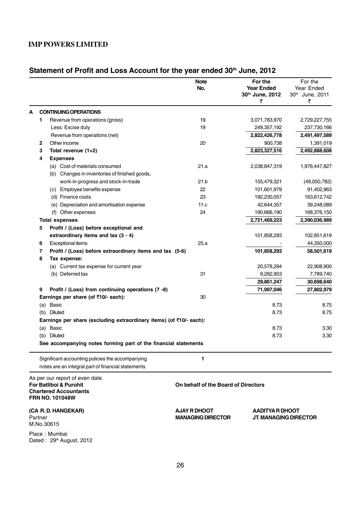# Statement of Profit and Loss Account for the year ended 30<sup>th</sup> June, 2012

|   |                                                                                                                     | <b>Note</b><br>No.                  | For the<br><b>Year Ended</b><br>30th June, 2012<br>₹ | For the<br>Year Ended<br>30th June, 2011<br>₹ |
|---|---------------------------------------------------------------------------------------------------------------------|-------------------------------------|------------------------------------------------------|-----------------------------------------------|
| A | <b>CONTINUING OPERATIONS</b>                                                                                        |                                     |                                                      |                                               |
| 1 | Revenue from operations (gross)                                                                                     | 19                                  | 3,071,783,970                                        | 2,729,227,755                                 |
|   | Less: Excise duty                                                                                                   | 19                                  | 249,357,192                                          | 237,730,166                                   |
|   | Revenue from operations (net)                                                                                       |                                     | 2,822,426,778                                        | 2,491,497,589                                 |
| 2 | Other income                                                                                                        | 20                                  | 900,738                                              | 1,391,019                                     |
| 3 | Total revenue (1+2)                                                                                                 |                                     | 2,823,327,516                                        | 2,492,888,608                                 |
| 4 | <b>Expenses</b>                                                                                                     |                                     |                                                      |                                               |
|   | (a) Cost of materials consumed                                                                                      | 21.a                                | 2,038,847,319                                        | 1,976,447,827                                 |
|   | (b) Changes in inventories of finished goods,                                                                       |                                     |                                                      |                                               |
|   | work-in-progress and stock-in-trade                                                                                 | 21.b                                | 155,479,321                                          | (49,050,782)                                  |
|   | (c) Employee benefits expense                                                                                       | 22                                  | 101,601,979                                          | 91,402,963                                    |
|   | (d) Finance costs                                                                                                   | 23                                  | 192,230,057                                          | 163,612,742                                   |
|   | (e) Depreciation and amortisation expense                                                                           | 11.c                                | 42,644,357                                           | 39,248,089                                    |
|   | (f) Other expenses                                                                                                  | 24                                  | 190,666,190                                          | 168,376,150                                   |
|   | <b>Total expenses</b>                                                                                               |                                     | 2,721,469,223                                        | 2,390,036,989                                 |
| 5 | Profit / (Loss) before exceptional and                                                                              |                                     |                                                      |                                               |
|   | extraordinary items and tax (3 - 4)                                                                                 |                                     | 101,858,293                                          | 102,851,619                                   |
| 6 | <b>Exceptional items</b>                                                                                            | 25.a                                |                                                      | 44,350,000                                    |
| 7 | Profit / (Loss) before extraordinary items and tax (5-6)                                                            |                                     | 101,858,293                                          | 58,501,619                                    |
| 8 | Tax expense:                                                                                                        |                                     |                                                      |                                               |
|   | (a) Current tax expense for current year                                                                            |                                     | 20,578,294                                           | 22,908,900                                    |
|   | (b) Deferred tax                                                                                                    | 31                                  | 9,282,953                                            | 7,789,740                                     |
|   |                                                                                                                     |                                     | 29,861,247                                           | 30,698,640                                    |
| 9 | Profit / (Loss) from continuing operations (7 -8)                                                                   |                                     | 71,997,046                                           | 27,802,979                                    |
|   | Earnings per share (of ₹10/- each):                                                                                 | 30                                  |                                                      |                                               |
|   | <b>Basic</b><br>(a)                                                                                                 |                                     | 8.73                                                 | 8.75                                          |
|   | Diluted<br>(b)                                                                                                      |                                     | 8.73                                                 | 8.75                                          |
|   | Earnings per share (excluding extraordinary items) (of ₹10/- each):                                                 |                                     |                                                      |                                               |
|   | <b>Basic</b><br>(a)                                                                                                 |                                     | 8.73                                                 | 3.30                                          |
|   | <b>Diluted</b><br>(b)                                                                                               |                                     | 8.73                                                 | 3.30                                          |
|   | See accompanying notes forming part of the financial statements                                                     |                                     |                                                      |                                               |
|   | Significant accounting policies the accompanying                                                                    | 1                                   |                                                      |                                               |
|   | notes are an integral part of financial statements                                                                  |                                     |                                                      |                                               |
|   | As per our report of even date.<br>For Batliboi & Purohit<br><b>Chartered Accountants</b><br><b>FRN NO. 101048W</b> | On behalf of the Board of Directors |                                                      |                                               |
|   | (CA R. D. HANGEKAR)                                                                                                 | <b>AJAY R DHOOT</b>                 | AADITYA R DHOOT                                      |                                               |

M.No.30615

Place : Mumbai Dated : 29<sup>th</sup> August, 2012

Partner **MANAGING DIRECTOR JT. MANAGING DIRECTOR**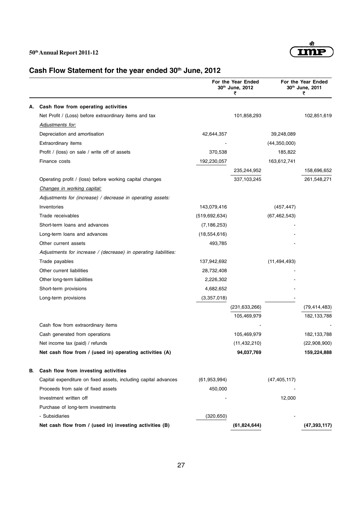

# Cash Flow Statement for the year ended 30<sup>th</sup> June, 2012

|    |                                                                 |                 | For the Year Ended<br>30th June, 2012<br>₹ |                | For the Year Ended<br>30th June, 2011<br>₹ |
|----|-----------------------------------------------------------------|-----------------|--------------------------------------------|----------------|--------------------------------------------|
| А. | Cash flow from operating activities                             |                 |                                            |                |                                            |
|    | Net Profit / (Loss) before extraordinary items and tax          |                 | 101,858,293                                |                | 102,851,619                                |
|    | Adjustments for:                                                |                 |                                            |                |                                            |
|    | Depreciation and amortisation                                   | 42,644,357      |                                            | 39,248,089     |                                            |
|    | Extraordinary items                                             |                 |                                            | (44,350,000)   |                                            |
|    | Profit / (loss) on sale / write off of assets                   | 370,538         |                                            | 185,822        |                                            |
|    | Finance costs                                                   | 192,230,057     |                                            | 163,612,741    |                                            |
|    |                                                                 |                 | 235,244,952                                |                | 158,696,652                                |
|    | Operating profit / (loss) before working capital changes        |                 | 337,103,245                                |                | 261,548,271                                |
|    | Changes in working capital:                                     |                 |                                            |                |                                            |
|    | Adjustments for (increase) / decrease in operating assets:      |                 |                                            |                |                                            |
|    | Inventories                                                     | 143,079,416     |                                            | (457, 447)     |                                            |
|    | Trade receivables                                               | (519, 692, 634) |                                            | (67, 462, 543) |                                            |
|    | Short-term loans and advances                                   | (7, 186, 253)   |                                            |                |                                            |
|    | Long-term loans and advances                                    | (18, 554, 616)  |                                            |                |                                            |
|    | Other current assets                                            | 493,785         |                                            |                |                                            |
|    | Adjustments for increase / (decrease) in operating liabilities: |                 |                                            |                |                                            |
|    | Trade payables                                                  | 137,942,692     |                                            | (11, 494, 493) |                                            |
|    | Other current liabilities                                       | 28,732,408      |                                            |                |                                            |
|    | Other long-term liabilities                                     | 2,226,302       |                                            |                |                                            |
|    | Short-term provisions                                           | 4,682,652       |                                            |                |                                            |
|    | Long-term provisions                                            | (3,357,018)     |                                            |                |                                            |
|    |                                                                 |                 | (231, 633, 266)                            |                | (79, 414, 483)                             |
|    |                                                                 |                 | 105,469,979                                |                | 182,133,788                                |
|    | Cash flow from extraordinary items                              |                 |                                            |                |                                            |
|    | Cash generated from operations                                  |                 | 105,469,979                                |                | 182,133,788                                |
|    | Net income tax (paid) / refunds                                 |                 | (11, 432, 210)                             |                | (22,908,900)                               |
|    | Net cash flow from / (used in) operating activities (A)         |                 | 94,037,769                                 |                | 159,224,888                                |
| В. | Cash flow from investing activities                             |                 |                                            |                |                                            |
|    | Capital expenditure on fixed assets, including capital advances | (61, 953, 994)  |                                            | (47, 405, 117) |                                            |
|    | Proceeds from sale of fixed assets                              | 450,000         |                                            |                |                                            |
|    | Investment written off                                          |                 |                                            | 12,000         |                                            |
|    | Purchase of long-term investments                               |                 |                                            |                |                                            |
|    | - Subsidiaries                                                  | (320, 650)      |                                            |                |                                            |
|    | Net cash flow from / (used in) investing activities (B)         |                 | (61, 824, 644)                             |                | (47, 393, 117)                             |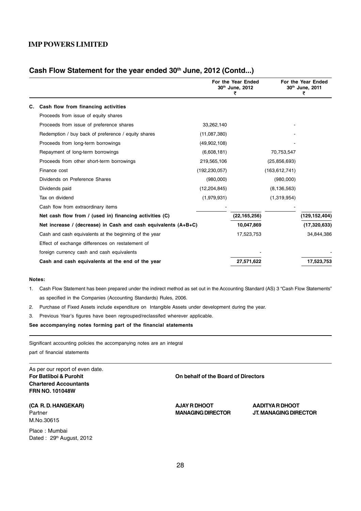# Cash Flow Statement for the year ended 30<sup>th</sup> June, 2012 (Contd...)

|    |                                                                  |                 | For the Year Ended<br>30th June, 2012<br>₹ |                 | For the Year Ended<br>30th June, 2011<br>₹ |
|----|------------------------------------------------------------------|-----------------|--------------------------------------------|-----------------|--------------------------------------------|
| С. | Cash flow from financing activities                              |                 |                                            |                 |                                            |
|    | Proceeds from issue of equity shares                             |                 |                                            |                 |                                            |
|    | Proceeds from issue of preference shares                         | 33,262,140      |                                            |                 |                                            |
|    | Redemption / buy back of preference / equity shares              | (11,087,380)    |                                            |                 |                                            |
|    | Proceeds from long-term borrowings                               | (49,902,108)    |                                            |                 |                                            |
|    | Repayment of long-term borrowings                                | (6,608,181)     |                                            | 70,753,547      |                                            |
|    | Proceeds from other short-term borrowings                        | 219,565,106     |                                            | (25, 856, 693)  |                                            |
|    | Finance cost                                                     | (192, 230, 057) |                                            | (163, 612, 741) |                                            |
|    | Dividends on Preference Shares                                   | (980,000)       |                                            | (980,000)       |                                            |
|    | Dividends paid                                                   | (12, 204, 845)  |                                            | (8, 136, 563)   |                                            |
|    | Tax on dividend                                                  | (1,979,931)     |                                            | (1,319,954)     |                                            |
|    | Cash flow from extraordinary items                               |                 |                                            |                 |                                            |
|    | Net cash flow from / (used in) financing activities (C)          |                 | (22,165,256)                               |                 | (129,152,404)                              |
|    | Net increase / (decrease) in Cash and cash equivalents $(A+B+C)$ |                 | 10,047,869                                 |                 | (17, 320, 633)                             |
|    | Cash and cash equivalents at the beginning of the year           |                 | 17,523,753                                 |                 | 34,844,386                                 |
|    | Effect of exchange differences on restatement of                 |                 |                                            |                 |                                            |
|    | foreign currency cash and cash equivalents                       |                 |                                            |                 |                                            |
|    | Cash and cash equivalents at the end of the year                 |                 | 27,571,622                                 |                 | 17,523,753                                 |

#### **Notes:**

- 1. Cash Flow Statement has been prepared under the indirect method as set out in the Accounting Standard (AS) 3 "Cash Flow Statements" as specified in the Companies (Accounting Standards) Rules, 2006.
- 2. Purchase of Fixed Assets include expenditure on Intangible Assets under development during the year.
- 3. Previous Year's figures have been regrouped/reclassifed wherever applicable.

**See accompanying notes forming part of the financial statements**

Significant accounting policies the accompanying notes are an integral

part of financial statements

As per our report of even date. **Chartered Accountants FRN NO. 101048W**

**(CA R. D. HANGEKAR) AJAY R DHOOT AADITYA R DHOOT** M.No.30615

Place : Mumbai Dated : 29th August, 2012

**For Batliboi & Purohit On behalf of the Board of Directors**

Partner **MANAGING DIRECTOR JT. MANAGING DIRECTOR**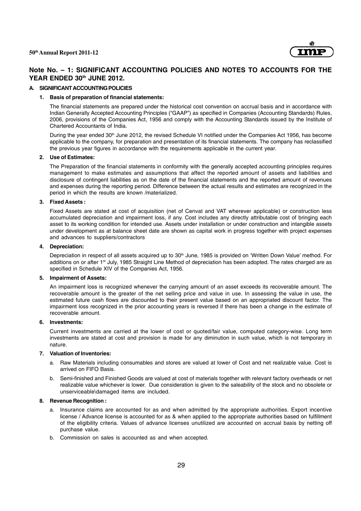

# **Note No. – 1: SIGNIFICANT ACCOUNTING POLICIES AND NOTES TO ACCOUNTS FOR THE YEAR ENDED 30th JUNE 2012.**

#### **A. SIGNIFICANT ACCOUNTING POLICIES**

#### **1. Basis of preparation of financial statements:**

The financial statements are prepared under the historical cost convention on accrual basis and in accordance with Indian Generally Accepted Accounting Principles ("GAAP") as specified in Companies (Accounting Standards) Rules, 2006, provisions of the Companies Act, 1956 and comply with the Accounting Standards issued by the Institute of Chartered Accountants of India.

During the year ended 30<sup>th</sup> June 2012, the revised Schedule VI notified under the Companies Act 1956, has become applicable to the company, for preparation and presentation of its financial statements. The company has reclassified the previous year figures in accordance with the requirements applicable in the current year.

#### **2. Use of Estimates:**

The Preparation of the financial statements in conformity with the generally accepted accounting principles requires management to make estimates and assumptions that affect the reported amount of assets and liabilities and disclosure of contingent liabilities as on the date of the financial statements and the reported amount of revenues and expenses during the reporting period. Difference between the actual results and estimates are recognized in the period in which the results are known /materialized.

#### **3. Fixed Assets :**

Fixed Assets are stated at cost of acquisition (net of Cenvat and VAT wherever applicable) or construction less accumulated depreciation and impairment loss, if any. Cost includes any directly attributable cost of bringing each asset to its working condition for intended use. Assets under installation or under construction and intangible assets under development as at balance sheet date are shown as capital work in progress together with project expenses and advances to suppliers/contractors

#### **4. Depreciation:**

Depreciation in respect of all assets acquired up to 30<sup>th</sup> June, 1985 is provided on 'Written Down Value' method. For additions on or after 1<sup>st</sup> July, 1985 Straight Line Method of depreciation has been adopted. The rates charged are as specified in Schedule XIV of the Companies Act, 1956.

#### **5. Impairment of Assets:**

An impairment loss is recognized whenever the carrying amount of an asset exceeds its recoverable amount. The recoverable amount is the greater of the net selling price and value in use. In assessing the value in use, the estimated future cash flows are discounted to their present value based on an appropriated discount factor. The impairment loss recognized in the prior accounting years is reversed if there has been a change in the estimate of recoverable amount.

#### **6. Investments:**

Current investments are carried at the lower of cost or quoted/fair value, computed category-wise. Long term investments are stated at cost and provision is made for any diminution in such value, which is not temporary in nature.

#### **7. Valuation of Inventories:**

- a. Raw Materials including consumables and stores are valued at lower of Cost and net realizable value. Cost is arrived on FIFO Basis.
- b. Semi-finished and Finished Goods are valued at cost of materials together with relevant factory overheads or net realizable value whichever is lower. Due consideration is given to the saleability of the stock and no obsolete or unserviceable\damaged items are included.

#### **8. Revenue Recognition :**

- a. Insurance claims are accounted for as and when admitted by the appropriate authorities. Export incentive license / Advance license is accounted for as & when applied to the appropriate authorities based on fulfillment of the eligibility criteria. Values of advance licenses unutilized are accounted on accrual basis by netting off purchase value.
- b. Commission on sales is accounted as and when accepted.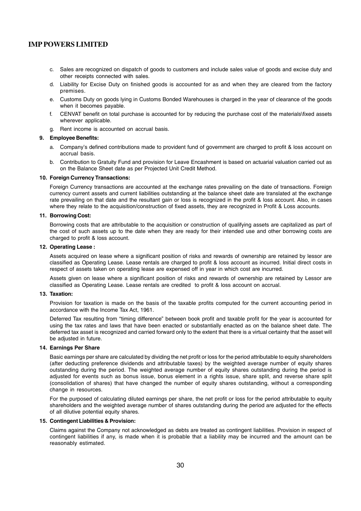- c. Sales are recognized on dispatch of goods to customers and include sales value of goods and excise duty and other receipts connected with sales.
- d. Liability for Excise Duty on finished goods is accounted for as and when they are cleared from the factory premises.
- e. Customs Duty on goods lying in Customs Bonded Warehouses is charged in the year of clearance of the goods when it becomes payable.
- f. CENVAT benefit on total purchase is accounted for by reducing the purchase cost of the materials\fixed assets wherever applicable.
- g. Rent income is accounted on accrual basis.

#### **9. Employee Benefits:**

- a. Company's defined contributions made to provident fund of government are charged to profit & loss account on accrual basis.
- b. Contribution to Gratuity Fund and provision for Leave Encashment is based on actuarial valuation carried out as on the Balance Sheet date as per Projected Unit Credit Method.

#### **10. Foreign Currency Transactions:**

Foreign Currency transactions are accounted at the exchange rates prevailing on the date of transactions. Foreign currency current assets and current liabilities outstanding at the balance sheet date are translated at the exchange rate prevailing on that date and the resultant gain or loss is recognized in the profit & loss account. Also, in cases where they relate to the acquisition/construction of fixed assets, they are recognized in Profit & Loss accounts.

#### **11. Borrowing Cost:**

Borrowing costs that are attributable to the acquisition or construction of qualifying assets are capitalized as part of the cost of such assets up to the date when they are ready for their intended use and other borrowing costs are charged to profit & loss account.

#### **12. Operating Lease :**

Assets acquired on lease where a significant position of risks and rewards of ownership are retained by lessor are classified as Operating Lease. Lease rentals are charged to profit & loss account as incurred. Initial direct costs in respect of assets taken on operating lease are expensed off in year in which cost are incurred.

Assets given on lease where a significant position of risks and rewards of ownership are retained by Lessor are classified as Operating Lease. Lease rentals are credited to profit & loss account on accrual.

#### **13. Taxation:**

Provision for taxation is made on the basis of the taxable profits computed for the current accounting period in accordance with the Income Tax Act, 1961.

Deferred Tax resulting from "timing difference" between book profit and taxable profit for the year is accounted for using the tax rates and laws that have been enacted or substantially enacted as on the balance sheet date. The deferred tax asset is recognized and carried forward only to the extent that there is a virtual certainty that the asset will be adjusted in future.

#### **14. Earnings Per Share**

Basic earnings per share are calculated by dividing the net profit or loss for the period attributable to equity shareholders (after deducting preference dividends and attributable taxes) by the weighted average number of equity shares outstanding during the period. The weighted average number of equity shares outstanding during the period is adjusted for events such as bonus issue, bonus element in a rights issue, share split, and reverse share split (consolidation of shares) that have changed the number of equity shares outstanding, without a corresponding change in resources.

For the purposed of calculating diluted earnings per share, the net profit or loss for the period attributable to equity shareholders and the weighted average number of shares outstanding during the period are adjusted for the effects of all dilutive potential equity shares.

#### **15. Contingent Liabilities & Provision:**

Claims against the Company not acknowledged as debts are treated as contingent liabilities. Provision in respect of contingent liabilities if any, is made when it is probable that a liability may be incurred and the amount can be reasonably estimated.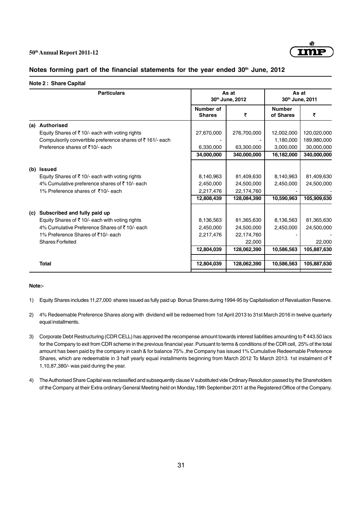

#### Notes forming part of the financial statements for the year ended 30<sup>th</sup> June, 2012

|     | <b>Particulars</b>                                         |                            | As at<br>30th June, 2012 |                            | As at<br>30th June, 2011 |  |
|-----|------------------------------------------------------------|----------------------------|--------------------------|----------------------------|--------------------------|--|
|     |                                                            | Number of<br><b>Shares</b> | ₹                        | <b>Number</b><br>of Shares | ₹                        |  |
| (a) | <b>Authorised</b>                                          |                            |                          |                            |                          |  |
|     | Equity Shares of ₹10/- each with voting rights             | 27,670,000                 | 276,700,000              | 12,002,000                 | 120,020,000              |  |
|     | Compulsorily convertible preference shares of ₹161/- each  |                            |                          | 1,180,000                  | 189,980,000              |  |
|     | Preference shares of ₹10/- each                            | 6,330,000                  | 63,300,000               | 3,000,000                  | 30,000,000               |  |
|     |                                                            | 34,000,000                 | 340,000,000              | 16,182,000                 | 340,000,000              |  |
| (b) | <b>Issued</b>                                              |                            |                          |                            |                          |  |
|     | Equity Shares of $\bar{\tau}$ 10/- each with voting rights | 8,140,963                  | 81,409,630               | 8,140,963                  | 81,409,630               |  |
|     | 4% Cumulative preference shares of ₹10/- each              | 2,450,000                  | 24,500,000               | 2,450,000                  | 24,500,000               |  |
|     | 1% Preference shares of ₹10/- each                         | 2,217,476                  | 22,174,760               |                            |                          |  |
|     |                                                            | 12,808,439                 | 128,084,390              | 10,590,963                 | 105,909,630              |  |
| (c) | Subscribed and fully paid up                               |                            |                          |                            |                          |  |
|     | Equity Shares of $\bar{z}$ 10/- each with voting rights    | 8,136,563                  | 81,365,630               | 8,136,563                  | 81,365,630               |  |
|     | 4% Cumulative Preference Shares of ₹10/- each              | 2,450,000                  | 24,500,000               | 2,450,000                  | 24,500,000               |  |
|     | 1% Preference Shares of ₹10/- each                         | 2,217,476                  | 22,174,760               |                            |                          |  |
|     | <b>Shares Forfeited</b>                                    |                            | 22,000                   |                            | 22,000                   |  |
|     |                                                            | 12,804,039                 | 128,062,390              | 10,586,563                 | 105,887,630              |  |
|     | <b>Total</b>                                               | 12,804,039                 | 128,062,390              | 10,586,563                 | 105,887,630              |  |
|     |                                                            |                            |                          |                            |                          |  |

#### **Note:-**

- 1) Equity Shares includes 11,27,000 shares issued as fully paid up Bonus Shares during 1994-95 by Capitalisation of Revaluation Reserve.
- 2) 4% Redeemable Preference Shares along with dividend will be redeemed from 1st April 2013 to 31st March 2016 in twelve quarterly equal installments.
- 3) Corporate Debt Restructuring (CDR CELL) has approved the recompense amount towards interest liabilities amounting to ₹443.50 lacs for the Company to exit from CDR scheme in the previous financial year. Pursuant to terms & conditions of the CDR cell, 25% of the total amount has been paid by the company in cash & for balance 75% ,the Company has issued 1% Cumulative Redeemable Preference Shares, which are redeemable in 3 half yearly equal installments beginning from March 2012 To March 2013. 1st instalment of  $\bar{\tau}$ 1,10,87,380/- was paid during the year.
- 4) The Authorised Share Capital was reclassified and subsequently clause V substituted vide Ordinary Resolution passed by the Shareholders of the Company at their Extra ordinary General Meeting held on Monday,19th September 2011 at the Registered Office of the Company.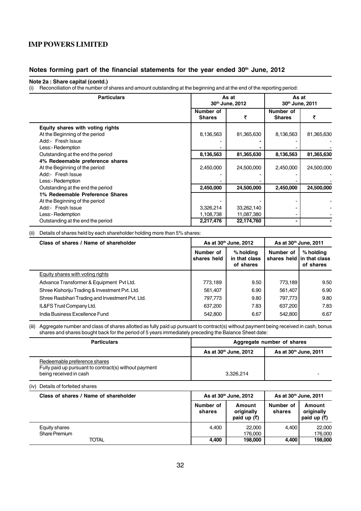#### Notes forming part of the financial statements for the year ended 30<sup>th</sup> June, 2012

#### **Note 2a : Share capital (contd.)**

(i) Reconciliation of the number of shares and amount outstanding at the beginning and at the end of the reporting period:

| <b>Particulars</b>                |                            | As at<br>30th June, 2012 |                            | As at<br>30th June, 2011 |  |
|-----------------------------------|----------------------------|--------------------------|----------------------------|--------------------------|--|
|                                   | Number of<br><b>Shares</b> | ₹                        | Number of<br><b>Shares</b> | ₹                        |  |
| Equity shares with voting rights  |                            |                          |                            |                          |  |
| At the Beginning of the period    | 8,136,563                  | 81,365,630               | 8,136,563                  | 81,365,630               |  |
| Add:- Fresh Issue                 |                            |                          |                            |                          |  |
| Less:- Redemption                 |                            |                          |                            |                          |  |
| Outstanding at the end the period | 8,136,563                  | 81,365,630               | 8,136,563                  | 81,365,630               |  |
| 4% Redeemable preference shares   |                            |                          |                            |                          |  |
| At the Beginning of the period    | 2,450,000                  | 24,500,000               | 2,450,000                  | 24,500,000               |  |
| Add:- Fresh Issue                 |                            |                          |                            |                          |  |
| Less:- Redemption                 |                            |                          |                            |                          |  |
| Outstanding at the end the period | 2,450,000                  | 24,500,000               | 2,450,000                  | 24,500,000               |  |
| 1% Redeemable Preference Shares   |                            |                          |                            |                          |  |
| At the Beginning of the period    |                            |                          |                            |                          |  |
| Add:- Fresh Issue                 | 3,326,214                  | 33,262,140               |                            |                          |  |
| Less:- Redemption                 | 1,108,738                  | 11,087,380               |                            |                          |  |
| Outstanding at the end the period | 2,217,476                  | 22,174,760               |                            |                          |  |

(ii) Details of shares held by each shareholder holding more than 5% shares:

| Class of shares / Name of shareholder            | As at 30th June, 2012    |                                           |           |                                                      |  | As at 30 <sup>th</sup> June, 2011 |
|--------------------------------------------------|--------------------------|-------------------------------------------|-----------|------------------------------------------------------|--|-----------------------------------|
|                                                  | Number of<br>shares held | $%$ holding<br>in that class<br>of shares | Number of | % holding<br>shares held lin that class<br>of shares |  |                                   |
| Equity shares with voting rights                 |                          |                                           |           |                                                      |  |                                   |
| Advance Transformer & Equipment Pvt Ltd.         | 773,189                  | 9.50                                      | 773,189   | 9.50                                                 |  |                                   |
| Shree Kishoriju Trading & Investment Pvt. Ltd.   | 561,407                  | 6.90                                      | 561,407   | 6.90                                                 |  |                                   |
| Shree Rasbihari Trading and Investment Pvt. Ltd. | 797,773                  | 9.80                                      | 797,773   | 9.80                                                 |  |                                   |
| IL&FS Trust Company Ltd.                         | 637,200                  | 7.83                                      | 637,200   | 7.83                                                 |  |                                   |
| India Business Excellence Fund                   | 542,800                  | 6.67                                      | 542,800   | 6.67                                                 |  |                                   |

(iii) Aggregate number and class of shares allotted as fully paid up pursuant to contract(s) without payment being received in cash, bonus shares and shares bought back for the period of 5 years immediately preceding the Balance Sheet date:

| <b>Particulars</b>                                                                    | Aggregate number of shares        |                                   |  |
|---------------------------------------------------------------------------------------|-----------------------------------|-----------------------------------|--|
|                                                                                       | As at 30 <sup>th</sup> June, 2012 | As at 30 <sup>th</sup> June, 2011 |  |
| Redeemable preference shares<br>Fully paid up pursuant to contract(s) without payment |                                   |                                   |  |
| being received in cash                                                                | 3.326.214                         |                                   |  |

#### (iv) Details of forfeited shares

| Class of shares / Name of shareholder |                     | As at 30 <sup>th</sup> June, 2012                   |                     | As at 30 <sup>th</sup> June, 2011                   |
|---------------------------------------|---------------------|-----------------------------------------------------|---------------------|-----------------------------------------------------|
|                                       | Number of<br>shares | Amount<br>originally<br>paid up $(\overline{\tau})$ | Number of<br>shares | Amount<br>originally<br>paid up $(\overline{\tau})$ |
| Equity shares<br>Share Premium        | 4.400               | 22,000<br>176.000                                   | 4.400               | 22,000<br>176.000                                   |
| TOTAL                                 | 4,400               | 198.000                                             | 4,400               | 198,000                                             |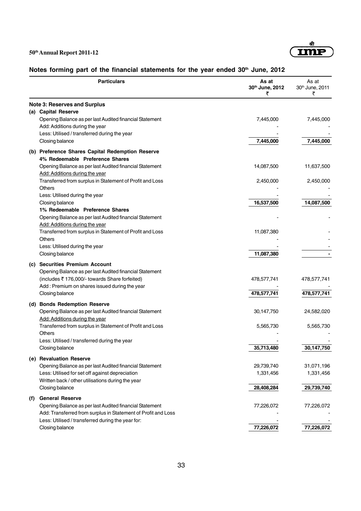

# Notes forming part of the financial statements for the year ended 30<sup>th</sup> June, 2012

|     | <b>Particulars</b>                                                                                                                                                                                      | As at<br>30th June, 2012<br>₹ | As at<br>30th June, 2011<br>₹ |
|-----|---------------------------------------------------------------------------------------------------------------------------------------------------------------------------------------------------------|-------------------------------|-------------------------------|
|     | <b>Note 3: Reserves and Surplus</b>                                                                                                                                                                     |                               |                               |
|     | (a) Capital Reserve<br>Opening Balance as per last Audited financial Statement<br>Add: Additions during the year<br>Less: Utilised / transferred during the year                                        | 7,445,000                     | 7,445,000                     |
|     | Closing balance                                                                                                                                                                                         | 7,445,000                     | 7,445,000                     |
|     | (b) Preference Shares Capital Redemption Reserve<br>4% Redeemable Preference Shares                                                                                                                     |                               |                               |
|     | Opening Balance as per last Audited financial Statement<br>Add: Additions during the year                                                                                                               | 14,087,500                    | 11,637,500                    |
|     | Transferred from surplus in Statement of Profit and Loss<br>Others<br>Less: Utilised during the year                                                                                                    | 2,450,000                     | 2,450,000                     |
|     | Closing balance<br>1% Redeemable Preference Shares                                                                                                                                                      | 16,537,500                    | 14,087,500                    |
|     | Opening Balance as per last Audited financial Statement<br>Add: Additions during the year                                                                                                               |                               |                               |
|     | Transferred from surplus in Statement of Profit and Loss<br>Others                                                                                                                                      | 11,087,380                    |                               |
|     | Less: Utilised during the year<br>Closing balance                                                                                                                                                       | 11,087,380                    |                               |
|     | (c) Securities Premium Account<br>Opening Balance as per last Audited financial Statement                                                                                                               |                               |                               |
|     | (includes ₹176,000/- towards Share forfeited)<br>Add: Premium on shares issued during the year                                                                                                          | 478,577,741                   | 478,577,741                   |
|     | Closing balance                                                                                                                                                                                         | 478,577,741                   | 478,577,741                   |
|     | (d) Bonds Redemption Reserve<br>Opening Balance as per last Audited financial Statement                                                                                                                 | 30,147,750                    | 24,582,020                    |
|     | Add: Additions during the year<br>Transferred from surplus in Statement of Profit and Loss<br>Others                                                                                                    | 5,565,730                     | 5,565,730                     |
|     | Less: Utilised / transferred during the year                                                                                                                                                            |                               |                               |
|     | Closing balance                                                                                                                                                                                         | 35,713,480                    | 30,147,750                    |
|     | (e) Revaluation Reserve<br>Opening Balance as per last Audited financial Statement<br>Less: Utilised for set off against depreciation<br>Written back / other utilisations during the year              | 29,739,740<br>1,331,456       | 31,071,196<br>1,331,456       |
|     | Closing balance                                                                                                                                                                                         | 28,408,284                    | 29,739,740                    |
| (f) | <b>General Reserve</b><br>Opening Balance as per last Audited financial Statement<br>Add: Transferred from surplus in Statement of Profit and Loss<br>Less: Utilised / transferred during the year for: | 77,226,072                    | 77,226,072                    |
|     | Closing balance                                                                                                                                                                                         | 77,226,072                    | 77,226,072                    |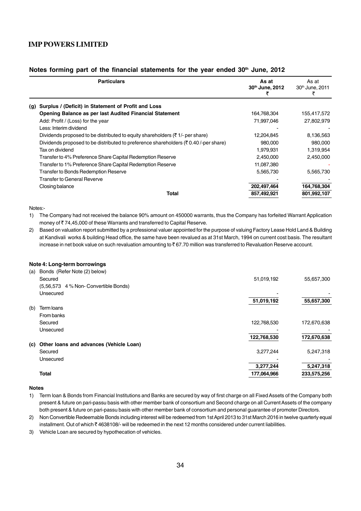#### Notes forming part of the financial statements for the year ended 30<sup>th</sup> June, 2012

|     | <b>Particulars</b>                                                                              | As at<br>30th June, 2012 | As at<br>30 <sup>th</sup> June, 2011 |
|-----|-------------------------------------------------------------------------------------------------|--------------------------|--------------------------------------|
| (g) | Surplus / (Deficit) in Statement of Profit and Loss                                             |                          |                                      |
|     | Opening Balance as per last Audited Financial Statement                                         | 164,768,304              | 155,417,572                          |
|     | Add: Profit / (Loss) for the year                                                               | 71,997,046               | 27,802,979                           |
|     | Less: Interim dividend                                                                          |                          |                                      |
|     | Dividends proposed to be distributed to equity shareholders ( $\bar{\tau}$ 1/- per share)       | 12,204,845               | 8,136,563                            |
|     | Dividends proposed to be distributed to preference shareholders ( $\bar{\tau}$ 0.40/-per share) | 980,000                  | 980,000                              |
|     | Tax on dividend                                                                                 | 1,979,931                | 1,319,954                            |
|     | Transfer to 4% Preference Share Capital Redemption Reserve                                      | 2,450,000                | 2,450,000                            |
|     | Transfer to 1% Preference Share Capital Redemption Reserve                                      | 11,087,380               |                                      |
|     | <b>Transfer to Bonds Redemption Reserve</b>                                                     | 5,565,730                | 5,565,730                            |
|     | Transfer to General Reverve                                                                     |                          |                                      |
|     | Closing balance                                                                                 | 202,497,464              | 164,768,304                          |
|     | Total                                                                                           | 857,492,921              | 801,992,107                          |
|     |                                                                                                 |                          |                                      |

Notes:-

1) The Company had not received the balance 90% amount on 450000 warrants, thus the Company has forfeited Warrant Application money of ₹74,45,000 of these Warrants and transferred to Capital Reserve.

2) Based on valuation report submitted by a professional valuer appointed for the purpose of valuing Factory Lease Hold Land & Building at Kandivali works & building Head office, the same have been revalued as at 31st March, 1994 on current cost basis. The resultant increase in net book value on such revaluation amounting to ₹67.70 million was transferred to Revaluation Reserve account.

#### **Note 4: Long-term borrowings**

| (a) | Bonds (Refer Note (2) below)            |             |             |
|-----|-----------------------------------------|-------------|-------------|
|     | Secured                                 | 51,019,192  | 55,657,300  |
|     | (5,56,573 4 % Non- Convertible Bonds)   |             |             |
|     | Unsecured                               |             |             |
|     |                                         | 51,019,192  | 55,657,300  |
| (b) | Term loans                              |             |             |
|     | From banks                              |             |             |
|     | Secured                                 | 122,768,530 | 172,670,638 |
|     | Unsecured                               |             |             |
|     |                                         | 122,768,530 | 172,670,638 |
| (c) | Other loans and advances (Vehicle Loan) |             |             |
|     | Secured                                 | 3,277,244   | 5,247,318   |
|     | Unsecured                               |             |             |
|     |                                         | 3,277,244   | 5,247,318   |
|     | <b>Total</b>                            | 177,064,966 | 233,575,256 |

#### **Notes**

1) Term loan & Bonds from Financial Institutions and Banks are secured by way of first charge on all Fixed Assets of the Company both present & future on pari-passu basis with other member bank of consortium and Second charge on all Current Assets of the company both present & future on pari-passu basis with other member bank of consortium and personal guarantee of promoter Directors.

2) Non Convertible Redeemable Bonds including interest will be redeemed from 1st April 2013 to 31st March 2016 in twelve quarterly equal installment. Out of which ₹4638108/- will be redeemed in the next 12 months considered under current liabilities.

3) Vehicle Loan are secured by hypothecation of vehicles.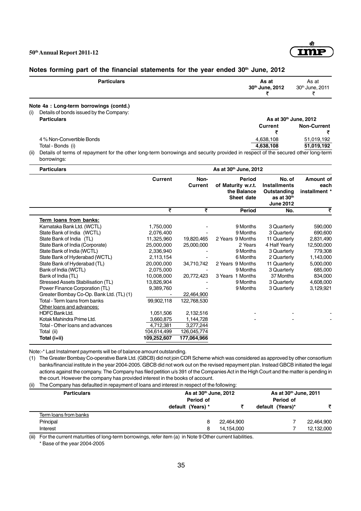

### Notes forming part of the financial statements for the year ended 30<sup>th</sup> June, 2012

| <b>Particulars</b>                      | As at<br>30th June, 2012                | As at<br>30 <sup>th</sup> June, 2011                                                                                                     |
|-----------------------------------------|-----------------------------------------|------------------------------------------------------------------------------------------------------------------------------------------|
| Note 4a : Long-term borrowings (contd.) |                                         |                                                                                                                                          |
|                                         |                                         |                                                                                                                                          |
| <b>Particulars</b>                      |                                         | As at 30th June, 2012                                                                                                                    |
|                                         | Current                                 | <b>Non-Current</b>                                                                                                                       |
|                                         |                                         |                                                                                                                                          |
| 4 % Non-Convertible Bonds               | 4,638,108                               | 51,019,192                                                                                                                               |
| Total - Bonds (i)                       | 4,638,108                               | 51,019,192                                                                                                                               |
|                                         | Details of bonds issued by the Company: | (ii) Dataila af tarma af ranarmaant far tha athar lana tarma barrandraa anal aaannitu nuadal in raanaat af tha aaannaal athar lana tarma |

(ii) Details of terms of repayment for the other long-term borrowings and security provided in respect of the secured other long-term borrowings:

| <b>Particulars</b>                       | As at 30th June, 2012 |                        |                                                           |                                                                                |                                    |  |
|------------------------------------------|-----------------------|------------------------|-----------------------------------------------------------|--------------------------------------------------------------------------------|------------------------------------|--|
|                                          | <b>Current</b>        | Non-<br><b>Current</b> | Period<br>of Maturity w.r.t.<br>the Balance<br>Sheet date | No. of<br><b>Installments</b><br>Outstanding<br>as at 30th<br><b>June 2012</b> | Amount of<br>each<br>installment * |  |
|                                          | ₹                     | ₹                      | Period                                                    | No.                                                                            | ₹                                  |  |
| Term loans from banks:                   |                       |                        |                                                           |                                                                                |                                    |  |
| Karnataka Bank Ltd. (WCTL)               | 1,750,000             |                        | 9 Months                                                  | 3 Quarterly                                                                    | 590,000                            |  |
| State Bank of India (WCTL)               | 2,076,400             |                        | 9 Months                                                  | 3 Quarterly                                                                    | 690,600                            |  |
| State Bank of India (TL)                 | 11,325,960            | 19,820,465             | 2 Years 9 Months                                          | 11 Quarterly                                                                   | 2,831,490                          |  |
| State Bank of India (Corporate)          | 25,000,000            | 25,000,000             | 2 Years                                                   | 4 Half Yearly                                                                  | 12,500,000                         |  |
| State Bank of India (WCTL)               | 2,336,940             |                        | 9 Months                                                  | 3 Quarterly                                                                    | 779,308                            |  |
| State Bank of Hyderabad (WCTL)           | 2,113,154             |                        | 6 Months                                                  | 2 Quarterly                                                                    | 1,143,000                          |  |
| State Bank of Hyderabad (TL)             | 20,000,000            | 34,710,742             | 2 Years 9 Months                                          | 11 Quarterly                                                                   | 5,000,000                          |  |
| Bank of India (WCTL)                     | 2,075,000             |                        | 9 Months                                                  | 3 Quarterly                                                                    | 685,000                            |  |
| Bank of India (TL)                       | 10,008,000            | 20,772,423             | 3 Years 1 Months                                          | 37 Months                                                                      | 834,000                            |  |
| Stressed Assets Stabilisation (TL)       | 13,826,904            |                        | 9 Months                                                  | 3 Quarterly                                                                    | 4,608,000                          |  |
| Power Finance Corporation (TL)           | 9,389,760             |                        | 9 Months                                                  | 3 Quarterly                                                                    | 3,129,921                          |  |
| Greater Bombay Co-Op. Bank Ltd. (TL) (1) |                       | 22,464,900             |                                                           |                                                                                |                                    |  |
| Total - Term loans from banks            | 99,902,118            | 122,768,530            |                                                           |                                                                                |                                    |  |
| Other loans and advances:                |                       |                        |                                                           |                                                                                |                                    |  |
| <b>HDFC Bank Ltd.</b>                    | 1,051,506             | 2,132,516              |                                                           |                                                                                |                                    |  |
| Kotak Mahindra Prime Ltd.                | 3,660,875             | 1,144,728              |                                                           |                                                                                |                                    |  |
| Total - Other loans and advances         | 4,712,381             | 3,277,244              |                                                           |                                                                                |                                    |  |
| Total (ii)                               | 104,614,499           | 126,045,774            |                                                           |                                                                                |                                    |  |
| Total (i+ii)                             | 109,252,607           | 177,064,966            |                                                           |                                                                                |                                    |  |

Note:-\* Last Instalment payments will be of balance amount outstanding.

(1) The Greater Bombay Co-operative Bank Ltd. (GBCB) did not join CDR Scheme which was considered as approved by other consortium banks/financial institute in the year 2004-2005. GBCB did not work out on the revised repayment plan. Instead GBCB initiated the legal actions against the company. The Company has filed petition u/s 391 of the Companies Act in the High Court and the matter is pending in the court. However the company has provided interest in the books of account.

(ii) The Company has defaulted in repayment of loans and interest in respect of the following:

| $\sim$<br><b>Particulars</b> |                   | As at 30 <sup>th</sup> June, 2012 |                  | As at 30th June, 2011 |  |
|------------------------------|-------------------|-----------------------------------|------------------|-----------------------|--|
|                              | Period of         |                                   | Period of        |                       |  |
|                              | default (Years) * |                                   | default (Years)* |                       |  |
| Term loans from banks        |                   |                                   |                  |                       |  |
| Principal                    | 8                 | 22.464.900                        |                  | 22,464,900            |  |
| Interest                     | 8                 | 14,154,000                        |                  | 12,132,000            |  |

(iii) For the current maturities of long-term borrowings, refer item (a) in Note 9 Other current liabilities.

\* Base of the year 2004-2005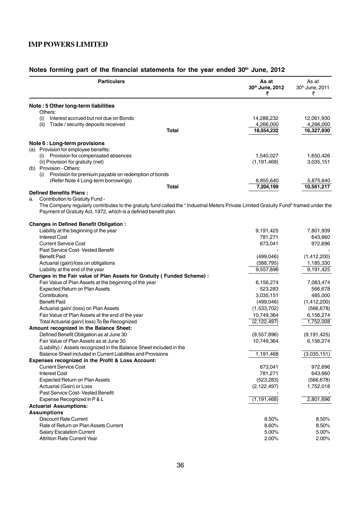| <b>Particulars</b>                                                                                                                   | As at<br>30th June, 2012<br>₹ | As at<br>30th June, 2011<br>₹ |
|--------------------------------------------------------------------------------------------------------------------------------------|-------------------------------|-------------------------------|
| Note: 5 Other long-term liabilities                                                                                                  |                               |                               |
| Others:                                                                                                                              |                               |                               |
| Interest accrued but not due on Bonds<br>(i)                                                                                         | 14,288,232                    | 12,061,930                    |
| Trade / security deposits received<br>(ii)<br>Total                                                                                  | 4,266,000<br>18,554,232       | 4,266,000<br>16,327,930       |
|                                                                                                                                      |                               |                               |
| Note 6 : Long-term provisions                                                                                                        |                               |                               |
| (a) Provision for employee benefits:                                                                                                 |                               |                               |
| Provision for compensated absences<br>(i)                                                                                            | 1,540,027                     | 1,650,426                     |
| (ii) Provision for gratuity (net)                                                                                                    | (1, 191, 468)                 | 3,035,151                     |
| (b) Provision - Others:                                                                                                              |                               |                               |
| (i) Provision for premium payable on redemption of bonds                                                                             |                               |                               |
| (Refer Note 4 Long-term borrowings)                                                                                                  | 6,855,640                     | 5,875,640                     |
| Total<br><b>Defined Benefits Plans:</b>                                                                                              | 7,204,199                     | 10,561,217                    |
| Contribution to Gratuity Fund -<br>a.                                                                                                |                               |                               |
| The Company regularly contributes to the gratuity fund called the "Industrial Meters Private Limited Gratuity Fund" framed under the |                               |                               |
| Payment of Gratuity Act, 1972, which is a defined benefit plan.                                                                      |                               |                               |
| <b>Changes in Defined Benefit Obligation:</b>                                                                                        |                               |                               |
| Liability at the beginning of the year                                                                                               | 9,191,425                     | 7,801,939                     |
| <b>Interest Cost</b>                                                                                                                 | 781,271                       | 643,660                       |
| <b>Current Service Cost</b>                                                                                                          | 673,041                       | 972,696                       |
| Past Service Cost- Vested Benefit                                                                                                    |                               |                               |
| <b>Benefit Paid</b>                                                                                                                  | (499, 046)                    | (1,412,200)                   |
| Actuarial (gain)/loss on obligations                                                                                                 | (588, 795)                    | 1,185,330                     |
| Liability at the end of the year                                                                                                     | 9,557,896                     | 9,191,425                     |
| Changes in the Fair value of Plan Assets for Gratuity ( Funded Scheme) :                                                             |                               |                               |
| Fair Value of Plan Assets at the beginning of the year                                                                               | 6,156,274                     | 7,083,474                     |
| Expected Return on Plan Assets                                                                                                       | 523,283                       | 566,678                       |
| Contributions                                                                                                                        | 3,035,151                     | 485,000                       |
| <b>Benefit Paid</b>                                                                                                                  | (499, 046)                    | (1,412,200)                   |
| Actuarial gain/ (loss) on Plan Assets                                                                                                | (1,533,702)                   | (566, 678)                    |
| Fair Value of Plan Assets at the end of the year                                                                                     | 10,749,364                    | 6,156,274                     |
| Total Actuarial gain/(loss) To Be Recognized                                                                                         | (2, 122, 497)                 | 1,752,008                     |
| Amount recognized in the Balance Sheet:                                                                                              |                               |                               |
| Defined Benefit Obligation as at June 30                                                                                             | (9,557,896)                   | (9, 191, 425)                 |
| Fair Value of Plan Assets as at June 30                                                                                              | 10,749,364                    | 6,156,274                     |
| (Liability) / Assets recognized in the Balance Sheet included in the                                                                 |                               |                               |
| Balance Sheet included in Current Liabilities and Provisions                                                                         | 1,191,468                     | (3,035,151)                   |
| Expenses recognized in the Profit & Loss Account:                                                                                    |                               |                               |
| <b>Current Service Cost</b>                                                                                                          | 673,041                       | 972,696                       |
| <b>Interest Cost</b>                                                                                                                 | 781,271                       | 643,660                       |
| <b>Expected Return on Plan Assets</b>                                                                                                | (523, 283)                    | (566, 678)                    |
| Actuarial (Gain) or Loss                                                                                                             | (2, 122, 497)                 | 1,752,018                     |
| Past Service Cost- Vested Benefit                                                                                                    |                               |                               |
| Expense Recognized in P & L                                                                                                          | (1, 191, 468)                 | 2,801,696                     |
| <b>Actuarial Assumptions:</b>                                                                                                        |                               |                               |
| <b>Assumptions</b>                                                                                                                   |                               |                               |
| <b>Discount Rate Current</b>                                                                                                         | 8.50%                         | 8.50%                         |
| Rate of Return on Plan Assets Current                                                                                                | 8.60%                         | 8.50%                         |
| <b>Salary Escalation Current</b>                                                                                                     | 5.00%                         | 5.00%                         |
| <b>Attrition Rate Current Year</b>                                                                                                   | 2.00%                         | 2.00%                         |
|                                                                                                                                      |                               |                               |

# Notes forming part of the financial statements for the year ended 30<sup>th</sup> June, 2012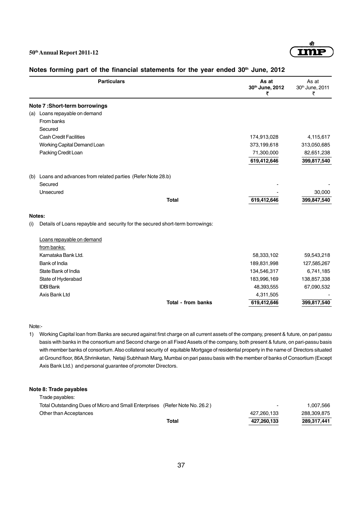

|        | <b>Particulars</b>                                                            | As at<br>30th June, 2012<br>₹ | As at<br>30th June, 2011<br>₹ |
|--------|-------------------------------------------------------------------------------|-------------------------------|-------------------------------|
|        | Note 7:Short-term borrowings                                                  |                               |                               |
|        | (a) Loans repayable on demand                                                 |                               |                               |
|        | From banks                                                                    |                               |                               |
|        | Secured                                                                       |                               |                               |
|        | <b>Cash Credit Facilities</b>                                                 | 174,913,028                   | 4,115,617                     |
|        | Working Capital Demand Loan                                                   | 373,199,618                   | 313,050,685                   |
|        | Packing Credit Loan                                                           | 71,300,000                    | 82,651,238                    |
|        |                                                                               | 619,412,646                   | 399,817,540                   |
| (b)    | Loans and advances from related parties (Refer Note 28.b)                     |                               |                               |
|        | Secured                                                                       |                               |                               |
|        | Unsecured                                                                     |                               | 30,000                        |
|        | <b>Total</b>                                                                  | 619,412,646                   | 399,847,540                   |
| Notes: |                                                                               |                               |                               |
| (i)    | Details of Loans repayble and security for the secured short-term borrowings: |                               |                               |
|        | Loans repayable on demand                                                     |                               |                               |
|        | from banks:                                                                   |                               |                               |
|        | Karnataka Bank Ltd.                                                           | 58,333,102                    | 59,543,218                    |
|        | Bank of India                                                                 | 189,831,998                   | 127,585,267                   |
|        | State Bank of India                                                           | 134,546,317                   | 6,741,185                     |
|        | State of Hyderabad                                                            | 183,996,169                   | 138,857,338                   |
|        | <b>IDBI Bank</b>                                                              | 48,393,555                    | 67,090,532                    |
|        | Axis Bank Ltd                                                                 | 4,311,505                     |                               |
|        | <b>Total - from banks</b>                                                     | 619,412,646                   | 399,817,540                   |

#### Notes forming part of the financial statements for the year ended 30<sup>th</sup> June, 2012

#### Note:-

1) Working Capital loan from Banks are secured against first charge on all current assets of the company, present & future, on pari passu basis with banks in the consortium and Second charge on all Fixed Assets of the company, both present & future, on pari-passu basis with member banks of consortium. Also collateral security of equitable Mortgage of residential property in the name of Directors situated at Ground floor, 86A,Shriniketan, Netaji Subhhash Marg, Mumbai on pari passu basis with the member of banks of Consortium (Except Axis Bank Ltd.) and personal guarantee of promoter Directors.

#### **Note 8: Trade payables**

|                                                                             | Total | 427,260,133 | 289,317,441 |
|-----------------------------------------------------------------------------|-------|-------------|-------------|
| Other than Acceptances                                                      |       | 427.260.133 | 288.309.875 |
| Total Outstanding Dues of Micro and Small Enterprises (Refer Note No. 26.2) |       | ۰           | 1.007.566   |
| Trade payables:                                                             |       |             |             |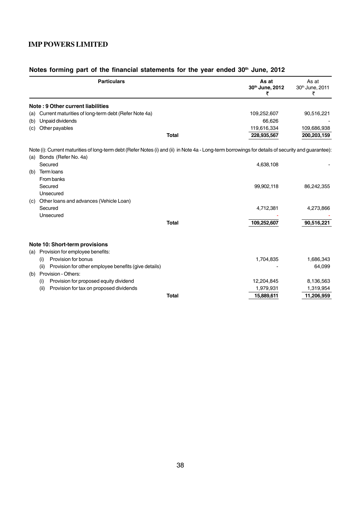|     | <b>Particulars</b>                                                                                                                                 |              | As at<br>30th June, 2012<br>₹ | As at<br>30th June, 2011<br>₹ |
|-----|----------------------------------------------------------------------------------------------------------------------------------------------------|--------------|-------------------------------|-------------------------------|
|     | Note: 9 Other current liabilities                                                                                                                  |              |                               |                               |
| (a) | Current maturities of long-term debt (Refer Note 4a)                                                                                               |              | 109,252,607                   | 90,516,221                    |
| (b) | Unpaid dividends                                                                                                                                   |              | 66.626                        |                               |
| (c) | Other payables                                                                                                                                     |              | 119,616,334                   | 109,686,938                   |
|     |                                                                                                                                                    | <b>Total</b> | 228,935,567                   | 200,203,159                   |
|     | Note (i): Current maturities of long-term debt (Refer Notes (i) and (ii) in Note 4a - Long-term borrowings for details of security and guarantee): |              |                               |                               |
| (a) | Bonds (Refer No. 4a)                                                                                                                               |              |                               |                               |
|     | Secured                                                                                                                                            |              | 4,638,108                     |                               |
| (b) | Term loans                                                                                                                                         |              |                               |                               |
|     | From banks                                                                                                                                         |              |                               |                               |
|     | Secured                                                                                                                                            |              | 99,902,118                    | 86,242,355                    |
|     | Unsecured                                                                                                                                          |              |                               |                               |
| (c) | Other loans and advances (Vehicle Loan)                                                                                                            |              |                               |                               |
|     | Secured                                                                                                                                            |              | 4,712,381                     | 4,273,866                     |
|     | Unsecured                                                                                                                                          |              |                               |                               |
|     |                                                                                                                                                    | <b>Total</b> | 109,252,607                   | 90,516,221                    |
|     | Note 10: Short-term provisions<br>Provision for employee benefits:                                                                                 |              |                               |                               |
| (a) | Provision for bonus                                                                                                                                |              | 1,704,835                     | 1,686,343                     |
|     | (i)<br>Provision for other employee benefits (give details)<br>(ii)                                                                                |              |                               | 64,099                        |
|     | Provision - Others:                                                                                                                                |              |                               |                               |
| (b) | Provision for proposed equity dividend<br>(i)                                                                                                      |              | 12,204,845                    | 8,136,563                     |
|     | (ii)<br>Provision for tax on proposed dividends                                                                                                    |              | 1,979,931                     | 1,319,954                     |
|     |                                                                                                                                                    | <b>Total</b> | 15,889,611                    | 11,206,959                    |
|     |                                                                                                                                                    |              |                               |                               |

# Notes forming part of the financial statements for the year ended 30<sup>th</sup> June, 2012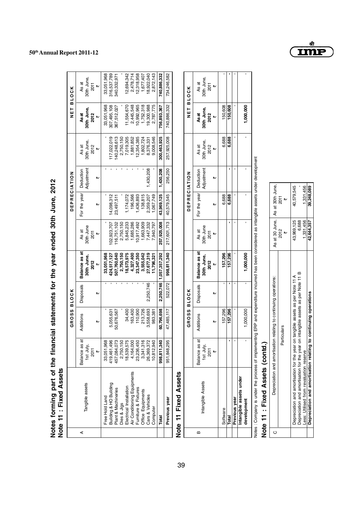|   | Notes forming part of the finar<br>Note 11 : Fixed Assets                                                                                                                                                            |                                                                                                                                         | ncial statements for the year ended 30th June, 2012                                        |                |                                                                                                                                        |                                                                                                                      |                                                                                                   |                              |                                                                                                                      |                                                                                                                           |                                                                                                                           |  |
|---|----------------------------------------------------------------------------------------------------------------------------------------------------------------------------------------------------------------------|-----------------------------------------------------------------------------------------------------------------------------------------|--------------------------------------------------------------------------------------------|----------------|----------------------------------------------------------------------------------------------------------------------------------------|----------------------------------------------------------------------------------------------------------------------|---------------------------------------------------------------------------------------------------|------------------------------|----------------------------------------------------------------------------------------------------------------------|---------------------------------------------------------------------------------------------------------------------------|---------------------------------------------------------------------------------------------------------------------------|--|
|   |                                                                                                                                                                                                                      |                                                                                                                                         | <b>GROSS BLOCK</b>                                                                         |                |                                                                                                                                        |                                                                                                                      | <b>DEPRECIATION</b>                                                                               |                              |                                                                                                                      | <b>TEN</b>                                                                                                                | <b>BLOCK</b>                                                                                                              |  |
| ⋖ | Tangible assets                                                                                                                                                                                                      | ಹ<br>1st July,<br>Balance as<br>$\overline{a}$<br>2011                                                                                  | Additions<br>₩                                                                             | Disposals<br>₩ | Balance as at<br>30th June,<br>2012<br>$\overline{R}$                                                                                  | 30th June<br>As at<br><b>2011</b><br>m                                                                               | For the year<br>₩                                                                                 | Adjustment<br>Deduction<br>₩ | 30th June,<br>As at<br>2012<br>$\overline{b}$                                                                        | 30th June,<br>2012<br>Asat<br>m                                                                                           | 30th June,<br>As at<br>2011<br>$\overline{b}$                                                                             |  |
|   | Air Conditioning Equipments<br>Furniture & Fixtures<br>Building & HO Building<br>Electrical Installation<br>Plant & Machineries<br>Dies & Jigs<br>Office Equipments<br>Cars & Vehicles<br>Free Hold Land<br>Computer | 33,051,968<br>18,539,575<br>4,164,000<br>23,236,450<br>3,341,316<br>419,461,496<br>457,084,073<br>2,750,150<br>26,369,372<br>10,812,940 | 3,558,693<br>163,400<br>110,900<br>213,726<br>34,400<br>50,676,567<br>5,055,631<br>983,381 | 2,250,746      | 27,677,319<br>33,051,968<br>8,573,975<br>4,327,400<br>23,347,350<br>3,555,042<br>507,760,640<br>2,750,150<br>11,796,321<br>424,517,127 | 116,751,102<br>5,845,233<br>7,447,332<br>02,923,707<br>2,750,150<br>1,685,286<br>0,917,492<br>1,663,909<br>7,940,797 | 4,098,312<br>196,566<br>1,436,893<br>138,815<br>2,359,207<br>1,174,072<br>1,067,749<br>23,497,511 | 1,430,208                    | 7,019,305<br>1,881,852<br>9.008.546<br>17,022,019<br>140,248,613<br>12,354,385<br>1,802,724<br>2,750,150<br>8,376,33 | 1,752,318<br>307,495,108<br>2,445,548<br>10,992,965<br>19,300,988<br>2,787,775<br>33,051,968<br>11,554,670<br>367,512,027 | 18,922,040<br>2,872,143<br>33,051,968<br>12,694,342<br>2,478,714<br>12,318,958<br>316,537,789<br>1,677,407<br>340,332,971 |  |
|   | Previous year<br>Total                                                                                                                                                                                               | 998,811,340<br>951,848,295                                                                                                              | 60,796,698<br>47,485,117                                                                   | 522,072        | 998,811,340<br>2,250,746   1,057,357,292                                                                                               | 217,601,713<br>257,925,008                                                                                           | 43,969,125<br>40,579,545                                                                          | 1,430,208<br>256,250         | 257,925,008<br>300,463,925                                                                                           | 740,886,332<br>756,893,367                                                                                                | 740,886,332<br>734,246,582                                                                                                |  |
|   | Note 11 Fixed Assets                                                                                                                                                                                                 |                                                                                                                                         |                                                                                            |                |                                                                                                                                        |                                                                                                                      |                                                                                                   |                              |                                                                                                                      |                                                                                                                           |                                                                                                                           |  |
|   |                                                                                                                                                                                                                      |                                                                                                                                         | GROSS                                                                                      | <b>BLOCK</b>   |                                                                                                                                        |                                                                                                                      | <b>DEPRECIATION</b>                                                                               |                              |                                                                                                                      | T E L                                                                                                                     | <b>BLOCK</b>                                                                                                              |  |
| m | Intangible Assets                                                                                                                                                                                                    | ಕ<br>1st July,<br>Balance as<br><b>2011</b>                                                                                             | Additions<br>₩                                                                             | Disposals<br>₩ | Balance as at<br>30th June,<br>2012<br>$\overline{b}$                                                                                  | 30th June<br>As at<br>2011<br>$\overline{b}$                                                                         | For the year<br>₩                                                                                 | Adjustment<br>Deduction<br>₩ | 30th June,<br>As at<br>2012<br>$\overline{b}$                                                                        | 30th June,<br>2012<br>Asat<br>m                                                                                           | 30th June,<br>As at<br><b>2011</b><br>$\overline{v}$                                                                      |  |

|                     | As at                  | 30th June,<br>2011                     |      |          |         |               |                                        |
|---------------------|------------------------|----------------------------------------|------|----------|---------|---------------|----------------------------------------|
| NET BLOCK           |                        | As at<br>30th June,<br>2012            |      | 150,608  | 150,608 |               | 1,000,000                              |
|                     | As at                  | 30th June,<br>$2012$<br>$\overline{ }$ |      | 6,688    | 6.688   |               |                                        |
|                     |                        | Adjustment                             |      |          |         |               |                                        |
| <b>DEPRECIATION</b> | For the year Deduction |                                        |      | 6,688    | 6,688   |               |                                        |
|                     | As at                  | 30th June<br>2011                      |      |          |         |               |                                        |
|                     | Balance as at          | 30th June, $2012$                      |      | 157,296  | 157,296 |               | 1,000,000                              |
|                     | Disposals              |                                        |      |          |         |               |                                        |
| GROSS BLOCK         | Additions              |                                        |      | 157,296  | 157,296 |               | ,000,000                               |
|                     | đ<br>Balance as        | 1st July,                              | 2011 |          |         |               |                                        |
|                     |                        | ntangible Assets                       |      | Software | Total   | Previous year | Intangible assets under<br>development |
|                     | m                      |                                        |      |          |         |               |                                        |

Notes : Company is under the process of implementing ERP and expenditure incurred has been considered as intangible assets under development Notes : Company is under the process of implementing ERP and expenditure incurred has been considered as intangible assets under development

# Note 11 : Fixed Assets (contd.) **Note 11 : Fixed Assets (contd.)**

| Depreciation and amortisation relating to continuing operations:                 |            | As at 30 June,   As at 30th June, |
|----------------------------------------------------------------------------------|------------|-----------------------------------|
| <b>Particulars</b>                                                               | 2012       | 2011                              |
| Depreciation and amortisation for the year on tangible assets as per Note 11 A   | 43,969,125 | 40,579,545                        |
| Depreciation and amortisation for the year on intangible assets as per Note 11 B | 6.688      |                                   |
| ess: Utilised from revaluation reserve                                           | 1,331,456  | 1,331,456                         |
| Depreciation and amortisation relating to continuing operations                  | 42,644,357 | 39,248,089                        |



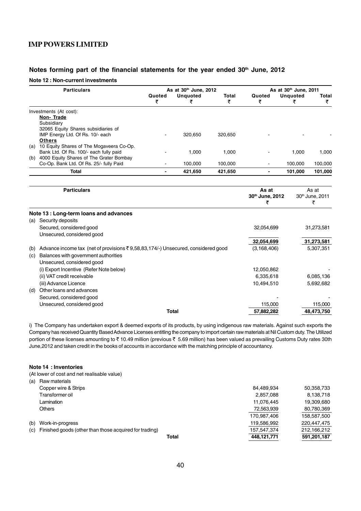# Notes forming part of the financial statements for the year ended 30<sup>th</sup> June, 2012

#### **Note 12 : Non-current investments**

|     | <b>Particulars</b>                                                               |                          | As at 30th June, 2012 |                   | As at 30th June, 2011    |                      |                   |  |
|-----|----------------------------------------------------------------------------------|--------------------------|-----------------------|-------------------|--------------------------|----------------------|-------------------|--|
|     |                                                                                  | Quoted<br>₹              | <b>Unquoted</b><br>₹  | <b>Total</b><br>₹ | Quoted<br>₹              | <b>Unquoted</b><br>₹ | <b>Total</b><br>₹ |  |
|     | Investments (At cost):                                                           |                          |                       |                   |                          |                      |                   |  |
|     | Non-Trade                                                                        |                          |                       |                   |                          |                      |                   |  |
|     | Subsidiary                                                                       |                          |                       |                   |                          |                      |                   |  |
|     | 32065 Equity Shares subsidiaries of<br>IMP Energy Ltd. Of Rs. 10/- each          |                          | 320,650               | 320,650           |                          |                      |                   |  |
|     | <b>Others</b>                                                                    |                          |                       |                   |                          |                      |                   |  |
|     | (a) 10 Equity Shares of The Mogaveera Co-Op.                                     |                          |                       |                   |                          |                      |                   |  |
|     | Bank Ltd. Of Rs. 100/- each fully paid                                           |                          | 1,000                 | 1,000             |                          | 1,000                | 1,000             |  |
|     | (b) 4000 Equity Shares of The Grater Bombay                                      |                          |                       |                   |                          |                      |                   |  |
|     | Co-Op. Bank Ltd. Of Rs. 25/- fully Paid                                          |                          | 100.000               | 100,000           |                          | 100,000              | 100,000           |  |
|     | <b>Total</b>                                                                     | $\overline{\phantom{0}}$ | 421,650               | 421,650           | $\overline{\phantom{a}}$ | 101,000              | 101,000           |  |
|     | <b>Particulars</b>                                                               |                          |                       |                   | As at                    |                      | As at             |  |
|     |                                                                                  |                          |                       |                   | 30th June, 2012          |                      | 30th June, 2011   |  |
|     |                                                                                  |                          |                       |                   | ₹                        |                      | ₹                 |  |
|     | Note 13 : Long-term loans and advances                                           |                          |                       |                   |                          |                      |                   |  |
| (a) | Security deposits                                                                |                          |                       |                   |                          |                      |                   |  |
|     | Secured, considered good                                                         |                          |                       |                   | 32,054,699               |                      | 31,273,581        |  |
|     | Unsecured, considered good                                                       |                          |                       |                   |                          |                      |                   |  |
|     |                                                                                  |                          |                       |                   | 32,054,699               |                      | 31,273,581        |  |
| (b) | Advance income tax (net of provisions ₹9,58,83,174/-) Unsecured, considered good |                          |                       |                   | (3, 168, 406)            |                      | 5,307,351         |  |
| (c) | Balances with government authorities                                             |                          |                       |                   |                          |                      |                   |  |
|     | Unsecured, considered good                                                       |                          |                       |                   |                          |                      |                   |  |
|     | (i) Export Incentive (Refer Note below)                                          |                          |                       |                   | 12,050,862               |                      |                   |  |
|     | (ii) VAT credit receivable                                                       |                          |                       |                   | 6,335,618                |                      | 6,085,136         |  |
|     | (iii) Advance Licence                                                            |                          |                       |                   | 10,494,510               |                      | 5,692,682         |  |
| (d) | Other loans and advances                                                         |                          |                       |                   |                          |                      |                   |  |
|     | Secured, considered good                                                         |                          |                       |                   |                          |                      |                   |  |
|     | Unsecured, considered good                                                       |                          |                       |                   | 115,000                  |                      | 115,000           |  |
|     |                                                                                  |                          | Total                 |                   | 57.882.282               |                      | 48.473.750        |  |

i) The Company has undertaken export & deemed exports of its products, by using indigenous raw materials. Against such exports the Company has received Quantity Based Advance Licenses entitling the company to import certain raw materials at Nil Custom duty. The Utilized portion of these licenses amounting to ₹10.49 million (previous ₹5.69 million) has been valued as prevailing Customs Duty rates 30th June,2012 and taken credit in the books of accounts in accordance with the matching principle of accountancy.

#### **Note 14 : Inventories**

(At lower of cost and net realisable value)

| (a) | Raw materials                                          |       |             |             |
|-----|--------------------------------------------------------|-------|-------------|-------------|
|     | Copper wire & Strips                                   |       | 84.489.934  | 50,358,733  |
|     | Transformer oil                                        |       | 2,857,088   | 8,138,718   |
|     | Lamination                                             |       | 11,076,445  | 19,309,680  |
|     | <b>Others</b>                                          |       | 72,563,939  | 80,780,369  |
|     |                                                        |       | 170,987,406 | 158,587,500 |
| (b) | Work-in-progress                                       |       | 119,586,992 | 220,447,475 |
| (c) | Finished goods (other than those acquired for trading) |       | 157,547,374 | 212.166.212 |
|     |                                                        | Total | 448.121.771 | 591,201,187 |
|     |                                                        |       |             |             |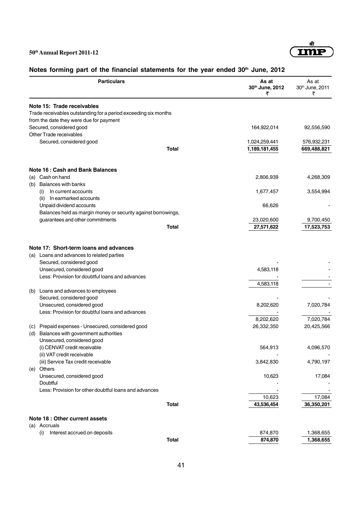

# Notes forming part of the financial statements for the year ended 30<sup>th</sup> June, 2012

|     | <b>Particulars</b>                                              | As at<br>30th June, 2012<br>₹ | As at<br>30th June, 2011<br>₹ |
|-----|-----------------------------------------------------------------|-------------------------------|-------------------------------|
|     | Note 15: Trade receivables                                      |                               |                               |
|     | Trade receivables outstanding for a period exceeding six months |                               |                               |
|     | from the date they were due for payment                         |                               |                               |
|     | Secured, considered good                                        | 164,922,014                   | 92,556,590                    |
|     | Other Trade receivables                                         |                               |                               |
|     | Secured, considered good                                        | 1,024,259,441                 | 576,932,231                   |
|     | <b>Total</b>                                                    | 1,189,181,455                 | 669,488,821                   |
|     | <b>Note 16: Cash and Bank Balances</b>                          |                               |                               |
|     | (a) Cash on hand                                                | 2,806,939                     | 4,268,309                     |
| (b) | <b>Balances with banks</b>                                      |                               |                               |
|     | In current accounts<br>(i)                                      | 1,677,457                     | 3,554,994                     |
|     | In earmarked accounts<br>(ii)                                   |                               |                               |
|     | Unpaid dividend accounts                                        | 66,626                        |                               |
|     | Balances held as margin money or security against borrowings,   |                               |                               |
|     | guarantees and other commitments                                | 23,020,600                    | 9,700,450                     |
|     | Total                                                           | 27,571,622                    | 17,523,753                    |
|     | Note 17: Short-term loans and advances                          |                               |                               |
|     | (a) Loans and advances to related parties                       |                               |                               |
|     | Secured, considered good                                        |                               |                               |
|     | Unsecured, considered good                                      | 4,583,118                     |                               |
|     | Less: Provision for doubtful loans and advances                 |                               |                               |
|     |                                                                 | 4,583,118                     |                               |
|     | (b) Loans and advances to employees                             |                               |                               |
|     | Secured, considered good                                        |                               |                               |
|     | Unsecured, considered good                                      | 8,202,620                     | 7,020,784                     |
|     | Less: Provision for doubtful loans and advances                 |                               |                               |
|     |                                                                 | 8,202,620                     | 7,020,784                     |
| (C) | Prepaid expenses - Unsecured, considered good                   | 26,332,350                    | 20,425,566                    |
| (d) | Balances with government authorities                            |                               |                               |
|     | Unsecured, considered good                                      |                               |                               |
|     | (i) CENVAT credit receivable                                    | 564,913                       | 4,096,570                     |
|     | (ii) VAT credit receivable                                      |                               |                               |
| (e) | (iii) Service Tax credit receivable<br>Others                   | 3,842,830                     | 4,790,197                     |
|     | Unsecured, considered good                                      | 10,623                        | 17,084                        |
|     | Doubtful                                                        |                               |                               |
|     | Less: Provision for other doubtful loans and advances           |                               |                               |
|     |                                                                 | 10,623                        | 17,084                        |
|     | <b>Total</b>                                                    | 43,536,454                    | 36,350,201                    |
|     | Note 18 : Other current assets                                  |                               |                               |
|     | (a) Accruals                                                    |                               |                               |
|     | Interest accrued on deposits<br>(i)                             | 874,870                       | 1,368,655                     |
|     | <b>Total</b>                                                    | 874,870                       | 1,368,655                     |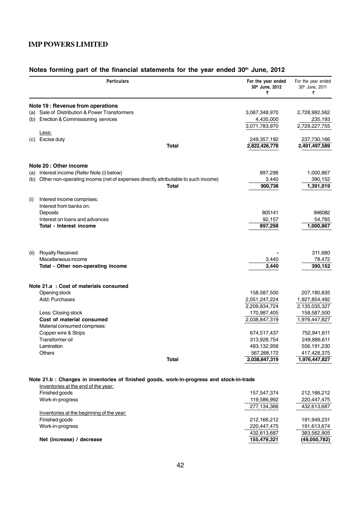|      | <b>Particulars</b>                                                                        |              | For the year ended<br>30th June, 2012<br>₹ | For the year ended<br>30th June, 2011<br>₹ |
|------|-------------------------------------------------------------------------------------------|--------------|--------------------------------------------|--------------------------------------------|
|      | Note 19 : Revenue from operations                                                         |              |                                            |                                            |
|      | (a) Sale of Distribution & Power Transformers                                             |              | 3,067,348,970                              | 2,728,992,562                              |
|      | (b) Erection & Commissioning services                                                     |              | 4,435,000                                  | 235,193                                    |
|      |                                                                                           |              | 3,071,783,970                              | 2,729,227,755                              |
|      | Less:                                                                                     |              |                                            |                                            |
| (c)  | Excise duty                                                                               |              | 249,357,192                                | 237,730,166                                |
|      |                                                                                           | <b>Total</b> | 2,822,426,778                              | 2,491,497,589                              |
|      | Note 20 : Other income                                                                    |              |                                            |                                            |
| (a)  | Interest income (Refer Note (i) below)                                                    |              | 897,298                                    | 1,000,867                                  |
| (b)  | Other non-operating income (net of expenses directly attributable to such income)         |              | 3,440                                      | 390,152                                    |
|      |                                                                                           | <b>Total</b> | 900,738                                    | 1,391,019                                  |
| (i)  | Interest income comprises:                                                                |              |                                            |                                            |
|      | Interest from banks on:                                                                   |              |                                            |                                            |
|      | Deposits                                                                                  |              | 805141                                     | 946082                                     |
|      | Interest on loans and advances                                                            |              | 92,157                                     | 54,785                                     |
|      | Total - Interest income                                                                   |              | 897,298                                    | 1,000,867                                  |
|      |                                                                                           |              |                                            |                                            |
| (ii) | <b>Royalty Received</b>                                                                   |              |                                            | 311,680                                    |
|      | Miscellaneous income                                                                      |              | 3,440                                      | 78,472                                     |
|      | Total - Other non-operating income                                                        |              | 3,440                                      | 390,152                                    |
|      | Note 21.a : Cost of materials consumed                                                    |              |                                            |                                            |
|      | Opening stock                                                                             |              | 158,587,500                                | 207,180,835                                |
|      | Add: Purchases                                                                            |              | 2,051,247,224                              | 1,927,854,492                              |
|      |                                                                                           |              | 2,209,834,724                              | 2,135,035,327                              |
|      | Less: Closing stock                                                                       |              | 170,987,405                                | 158,587,500                                |
|      | Cost of material consumed                                                                 |              | 2,038,847,319                              | 1,976,447,827                              |
|      | Material consumed comprises:                                                              |              |                                            |                                            |
|      | Copper wire & Strips                                                                      |              | 674,517,437                                | 752,941,611                                |
|      | Transformer oil                                                                           |              | 313,928,754                                | 249,886,611                                |
|      | Lamination                                                                                |              | 483,132,956                                | 556, 191, 230                              |
|      | Others                                                                                    |              | 567,268,172                                | 417,428,375                                |
|      |                                                                                           | <b>Total</b> | 2,038,847,319                              | 1,976,447,827                              |
|      | Note 21.b : Changes in inventories of finished goods, work-in-progress and stock-in-trade |              |                                            |                                            |
|      | Inventories at the end of the year:<br>Finished goods                                     |              |                                            |                                            |
|      |                                                                                           |              | 157,547,374                                | 212,166,212                                |
|      | Work-in-progress                                                                          |              | 119,586,992<br>277,134,366                 | 220,447,475<br>432,613,687                 |
|      | Inventories at the beginning of the year:                                                 |              |                                            |                                            |
|      | Finished goods                                                                            |              | 212,166,212                                | 191,949,231                                |
|      | Work-in-progress                                                                          |              | 220,447,475                                | 191,613,674                                |
|      |                                                                                           |              | 432,613,687                                | 383,562,905                                |
|      | Net (increase) / decrease                                                                 |              | 155,479,321                                | (49,050,782)                               |

# Notes forming part of the financial statements for the year ended 30<sup>th</sup> June, 2012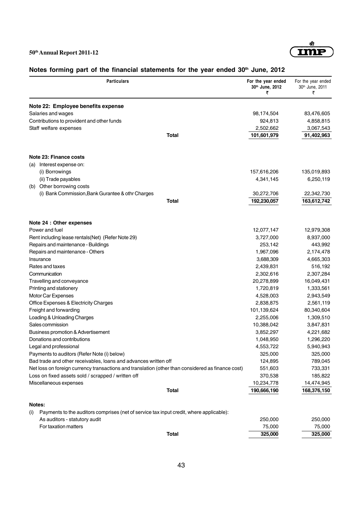

# Notes forming part of the financial statements for the year ended 30<sup>th</sup> June, 2012

|               | <b>Particulars</b>                                                                                | For the year ended<br>30th June, 2012<br>₹ | For the year ended<br>30th June, 2011<br>₹ |
|---------------|---------------------------------------------------------------------------------------------------|--------------------------------------------|--------------------------------------------|
|               | Note 22: Employee benefits expense                                                                |                                            |                                            |
|               | Salaries and wages                                                                                | 98,174,504                                 | 83,476,605                                 |
|               | Contributions to provident and other funds                                                        | 924,813                                    | 4,858,815                                  |
|               | Staff welfare expenses                                                                            | 2,502,662                                  | 3,067,543                                  |
|               | <b>Total</b>                                                                                      | 101,601,979                                | 91,402,963                                 |
|               | Note 23: Finance costs                                                                            |                                            |                                            |
|               | (a) Interest expense on:                                                                          |                                            |                                            |
|               | (i) Borrowings                                                                                    | 157,616,206                                | 135,019,893                                |
|               | (ii) Trade payables                                                                               | 4,341,145                                  | 6,250,119                                  |
|               | (b) Other borrowing costs                                                                         |                                            |                                            |
|               | (i) Bank Commission, Bank Gurantee & othr Charges                                                 | 30,272,706                                 | 22,342,730                                 |
|               | Total                                                                                             | 192,230,057                                | 163,612,742                                |
|               | Note 24 : Other expenses                                                                          |                                            |                                            |
|               | Power and fuel                                                                                    | 12,077,147                                 | 12,979,308                                 |
|               | Rent including lease rentals (Net) (Refer Note 29)                                                | 3,727,000                                  | 8,937,000                                  |
|               | Repairs and maintenance - Buildings                                                               | 253,142                                    | 443,992                                    |
|               | Repairs and maintenance - Others                                                                  | 1,967,096                                  | 2,174,478                                  |
|               | Insurance                                                                                         | 3,688,309                                  | 4,665,303                                  |
|               | Rates and taxes                                                                                   | 2,439,831                                  | 516,192                                    |
|               | Communication                                                                                     | 2,302,616                                  | 2,307,284                                  |
|               | Travelling and conveyance                                                                         | 20,278,899                                 | 16,049,431                                 |
|               | Printing and stationery                                                                           | 1,720,819                                  | 1,333,561                                  |
|               | Motor Car Expenses                                                                                | 4,528,003                                  | 2,943,549                                  |
|               | Office Expenses & Electricity Charges                                                             | 2,838,875                                  | 2,561,119                                  |
|               | Freight and forwarding                                                                            | 101,139,624                                | 80,340,604                                 |
|               | Loading & Unloading Charges                                                                       | 2,255,006                                  | 1,309,510                                  |
|               | Sales commission                                                                                  | 10,388,042                                 | 3,847,831                                  |
|               | Business promotion & Advertisement                                                                | 3,852,297                                  | 4,221,682                                  |
|               | Donations and contributions                                                                       | 1,048,950                                  | 1,296,220                                  |
|               | Legal and professional                                                                            | 4,553,722                                  | 5,940,943                                  |
|               | Payments to auditors (Refer Note (i) below)                                                       | 325,000                                    | 325,000                                    |
|               | Bad trade and other receivables, loans and advances written off                                   | 124,895                                    | 789,045                                    |
|               | Net loss on foreign currency transactions and translation (other than considered as finance cost) | 551,603                                    | 733,331                                    |
|               | Loss on fixed assets sold / scrapped / written off                                                | 370,538                                    | 185,822                                    |
|               | Miscellaneous expenses<br><b>Total</b>                                                            | 10,234,778<br>190,666,190                  | 14,474,945                                 |
|               |                                                                                                   |                                            | 168,376,150                                |
| Notes:<br>(i) | Payments to the auditors comprises (net of service tax input credit, where applicable):           |                                            |                                            |
|               | As auditors - statutory audit                                                                     | 250,000                                    | 250,000                                    |
|               | For taxation matters                                                                              | 75,000                                     | 75,000                                     |
|               | <b>Total</b>                                                                                      | 325,000                                    | 325,000                                    |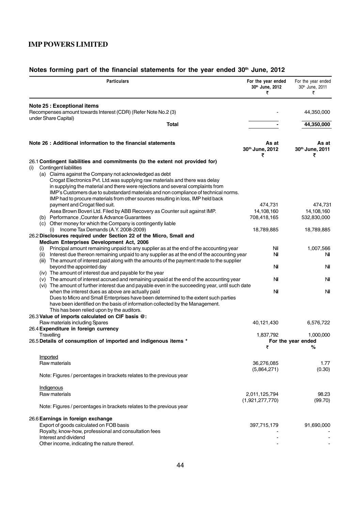| <b>Particulars</b>                                                                                                                                                                                                                                                                                                                                                                                                                           | For the year ended<br>30th June, 2012<br>₹ | For the year ended<br>30th June, 2011<br>₹ |
|----------------------------------------------------------------------------------------------------------------------------------------------------------------------------------------------------------------------------------------------------------------------------------------------------------------------------------------------------------------------------------------------------------------------------------------------|--------------------------------------------|--------------------------------------------|
| <b>Note 25 : Exceptional items</b>                                                                                                                                                                                                                                                                                                                                                                                                           |                                            |                                            |
| Recompenses amount towards Interest (CDR) (Refer Note No.2 (3)<br>under Share Capital)                                                                                                                                                                                                                                                                                                                                                       |                                            | 44,350,000                                 |
| Total                                                                                                                                                                                                                                                                                                                                                                                                                                        |                                            | 44,350,000                                 |
| Note 26 : Additional information to the financial statements                                                                                                                                                                                                                                                                                                                                                                                 | As at<br>30th June, 2012<br>₹              | As at<br>30th June, 2011<br>₹              |
| 26.1 Contingent liabilities and commitments (to the extent not provided for)                                                                                                                                                                                                                                                                                                                                                                 |                                            |                                            |
| <b>Contingent liabilities</b><br>(i)<br>(a) Claims against the Company not acknowledged as debt<br>Crogat Electronics Pvt. Ltd.was supplying raw materials and there was delay<br>in supplying the material and there were rejections and several complaints from<br>IMP's Customers due to substandard materials and non compliance of technical norms.<br>IMP had to procure materials from other sources resulting in loss, IMP held back |                                            |                                            |
| payment and Crogat filed suit.<br>Asea Brown Boveri Ltd. Filed by ABB Recovery as Counter suit against IMP.                                                                                                                                                                                                                                                                                                                                  | 474,731<br>14,108,160                      | 474,731<br>14,108,160                      |
| (b) Performance, Counter & Advance Guarantees                                                                                                                                                                                                                                                                                                                                                                                                | 708,418,165                                | 532,830,000                                |
| (c) Other money for which the Company is contingently liable                                                                                                                                                                                                                                                                                                                                                                                 |                                            |                                            |
| $(i)$ Income Tax Demands $(A.Y. 2008-2009)$<br>26.2 Disclosures required under Section 22 of the Micro, Small and                                                                                                                                                                                                                                                                                                                            | 18,789,885                                 | 18,789,885                                 |
| Medium Enterprises Development Act, 2006                                                                                                                                                                                                                                                                                                                                                                                                     |                                            |                                            |
| Principal amount remaining unpaid to any supplier as at the end of the accounting year<br>(i)<br>(ii) Interest due thereon remaining unpaid to any supplier as at the end of the accounting year<br>The amount of interest paid along with the amounts of the payment made to the supplier<br>(iii)                                                                                                                                          | Nil<br>Νi                                  | 1,007,566<br>Nil                           |
| beyond the appointed day<br>(iv) The amount of interest due and payable for the year                                                                                                                                                                                                                                                                                                                                                         | Nil                                        | Nil                                        |
| (v) The amount of interest accrued and remaining unpaid at the end of the accounting year<br>(vi) The amount of further interest due and payable even in the succeeding year, until such date                                                                                                                                                                                                                                                | Nil                                        | Nil                                        |
| when the interest dues as above are actually paid<br>Dues to Micro and Small Enterprises have been determined to the extent such parties<br>have been identified on the basis of information collected by the Management.<br>This has been relied upon by the auditors.                                                                                                                                                                      | Nil                                        | Nil                                        |
| 26.3 Value of imports calculated on CIF basis @:                                                                                                                                                                                                                                                                                                                                                                                             |                                            |                                            |
| Raw materials including Spares<br>26.4 Expenditure in foreign currency                                                                                                                                                                                                                                                                                                                                                                       | 40,121,430                                 | 6,576,722                                  |
| Travelling                                                                                                                                                                                                                                                                                                                                                                                                                                   | 1,837,792                                  | 1,000,000                                  |
| 26.5 Details of consumption of imported and indigenous items *                                                                                                                                                                                                                                                                                                                                                                               | ₹                                          | For the year ended<br>℅                    |
| Imported                                                                                                                                                                                                                                                                                                                                                                                                                                     |                                            |                                            |
| Raw materials                                                                                                                                                                                                                                                                                                                                                                                                                                | 36,276,085                                 | 1.77                                       |
| Note: Figures / percentages in brackets relates to the previous year                                                                                                                                                                                                                                                                                                                                                                         | (5,864,271)                                | (0.30)                                     |
|                                                                                                                                                                                                                                                                                                                                                                                                                                              |                                            |                                            |
| Indigenous<br>Raw materials                                                                                                                                                                                                                                                                                                                                                                                                                  | 2,011,125,794<br>(1,921,277,770)           | 98.23<br>(99.70)                           |
| Note: Figures / percentages in brackets relates to the previous year                                                                                                                                                                                                                                                                                                                                                                         |                                            |                                            |
| 26.6 Earnings in foreign exchange<br>Export of goods calculated on FOB basis<br>Royalty, know-how, professional and consultation fees                                                                                                                                                                                                                                                                                                        | 397,715,179                                | 91,690,000                                 |
| Interest and dividend                                                                                                                                                                                                                                                                                                                                                                                                                        |                                            |                                            |
| Other income, indicating the nature thereof.                                                                                                                                                                                                                                                                                                                                                                                                 |                                            |                                            |

# Notes forming part of the financial statements for the year ended 30<sup>th</sup> June, 2012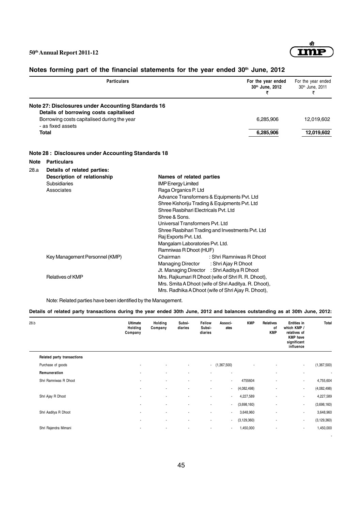

-

| <b>Particulars</b>                                                                           | For the year ended<br>30th June, 2012 | For the year ended<br>30 <sup>th</sup> June, 2011 |
|----------------------------------------------------------------------------------------------|---------------------------------------|---------------------------------------------------|
| Note 27: Disclosures under Accounting Standards 16<br>Details of borrowing costs capitalised |                                       |                                                   |

Borrowing costs capitalised during the year 6,285,906 12,019,602

# Notes forming part of the financial statements for the year ended 30<sup>th</sup> June, 2012

- as fixed assets **Total 6,285,906 12,019,602**

#### **Note 28 : Disclosures under Accounting Standards 18**

| <b>Note</b> | <b>Particulars</b>             |                                                  |                                                      |  |  |  |  |
|-------------|--------------------------------|--------------------------------------------------|------------------------------------------------------|--|--|--|--|
| 28.a        | Details of related parties:    |                                                  |                                                      |  |  |  |  |
|             | Description of relationship    |                                                  | Names of related parties                             |  |  |  |  |
|             | <b>Subsidiaries</b>            | <b>IMP Energy Limited</b>                        |                                                      |  |  |  |  |
|             | Associates                     | Raga Organics P. Ltd                             |                                                      |  |  |  |  |
|             |                                |                                                  | Advance Transformers & Equipments Pvt. Ltd           |  |  |  |  |
|             |                                |                                                  | Shree Kishoriju Trading & Equipments Pvt. Ltd        |  |  |  |  |
|             |                                | Shree Rasbihari Electricals Pvt. Ltd             |                                                      |  |  |  |  |
|             |                                | Shree & Sons.                                    |                                                      |  |  |  |  |
|             |                                | Universal Transformers Pvt. Ltd                  |                                                      |  |  |  |  |
|             |                                | Shree Rasbihari Trading and Investments Pvt. Ltd |                                                      |  |  |  |  |
|             |                                | Raj Exports Pvt. Ltd.                            |                                                      |  |  |  |  |
|             |                                | Mangalam Laboratories Pvt. Ltd.                  |                                                      |  |  |  |  |
|             |                                | Ramniwas R Dhoot (HUF)                           |                                                      |  |  |  |  |
|             | Key Management Personnel (KMP) | Chairman                                         | : Shri Ramniwas R Dhoot                              |  |  |  |  |
|             |                                | Managing Director : Shri Ajay R Dhoot            |                                                      |  |  |  |  |
|             |                                |                                                  | Jt. Managing Director : Shri Aaditya R Dhoot         |  |  |  |  |
|             | <b>Relatives of KMP</b>        |                                                  | Mrs. Rajkumari R Dhoot (wife of Shri R. R. Dhoot),   |  |  |  |  |
|             |                                |                                                  | Mrs. Smita A Dhoot (wife of Shri Aaditya. R. Dhoot), |  |  |  |  |
|             |                                |                                                  | Mrs. Radhika A Dhoot (wife of Shri Ajay R. Dhoot),   |  |  |  |  |

Note: Related parties have been identified by the Management.

#### **Details of related party transactions during the year ended 30th June, 2012 and balances outstanding as at 30th June, 2012:**

| 28.b                       | <b>Ultimate</b><br>Holding<br>Company | Holding<br>Company       | Subsi-<br>diaries        | Fellow<br>Subsi-<br>diaries | Associ-<br>ates          | <b>KMP</b>    | Relatives<br>of<br><b>KMP</b> | Entities in<br>which KMP /<br>relatives of<br><b>KMP</b> have<br>significant<br>influence | Total         |
|----------------------------|---------------------------------------|--------------------------|--------------------------|-----------------------------|--------------------------|---------------|-------------------------------|-------------------------------------------------------------------------------------------|---------------|
| Related party transactions |                                       |                          |                          |                             |                          |               |                               |                                                                                           |               |
| Purchase of goods          | $\blacksquare$                        | ٠                        | ٠                        |                             | $-$ (1,367,500)          | ä,            | ٠                             | $\sim$                                                                                    | (1,367,500)   |
| Remuneration               | ٠                                     |                          | $\overline{\phantom{a}}$ | $\blacksquare$              | $\overline{\phantom{a}}$ |               | ٠                             | ٠                                                                                         | ٠             |
| Shri Ramniwas R Dhoot      | $\blacksquare$                        | $\blacksquare$           | $\overline{\phantom{a}}$ | $\sim$                      | $\sim$                   | 4755604       | ۰                             | $\sim$                                                                                    | 4,755,604     |
|                            | ٠                                     |                          |                          | $\overline{\phantom{a}}$    | $\sim$                   | (4,082,498)   | ٠                             | $\sim$                                                                                    | (4,082,498)   |
| Shri Ajay R Dhoot          | ٠                                     | $\blacksquare$           | $\overline{\phantom{a}}$ | $\blacksquare$              | $\sim$                   | 4,227,589     | ٠                             | ٠.                                                                                        | 4,227,589     |
|                            | ٠                                     |                          | $\blacksquare$           | $\blacksquare$              | $\blacksquare$           | (3,698,160)   | ٠                             | $\sim$                                                                                    | (3,698,160)   |
| Shri Aaditya R Dhoot       | ٠                                     | ٠                        | $\overline{\phantom{a}}$ | ٠                           | $\sim$                   | 3,648,960     | ٠                             | ٠                                                                                         | 3,648,960     |
|                            | ٠                                     | $\overline{\phantom{a}}$ | $\blacksquare$           | $\blacksquare$              | $\sim$                   | (3, 129, 360) | ٠                             | $\sim$                                                                                    | (3, 129, 360) |
| Shri Rajendra Mimani       | ٠                                     |                          |                          | ٠                           | $\sim$                   | 1,450,000     | ٠                             | ٠.                                                                                        | 1,450,000     |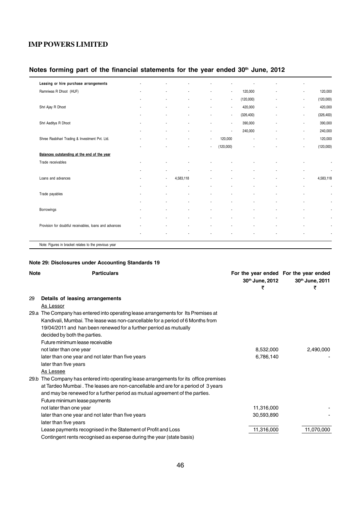# Notes forming part of the financial statements for the year ended 30<sup>th</sup> June, 2012

| Leasing or hire purchase arrangements                  |                |                          |                          |                          |            | ٠                        |                          |
|--------------------------------------------------------|----------------|--------------------------|--------------------------|--------------------------|------------|--------------------------|--------------------------|
| Ramniwas R Dhoot (HUF)                                 |                |                          | ٠                        | $\overline{\phantom{a}}$ | 120,000    | $\overline{\phantom{a}}$ | 120,000                  |
|                                                        | ٠              | $\overline{\phantom{a}}$ | $\overline{\phantom{a}}$ | $\overline{\phantom{a}}$ | (120,000)  | $\overline{\phantom{a}}$ | (120,000)                |
| Shri Ajay R Dhoot                                      | ٠              | $\overline{\phantom{a}}$ | $\blacksquare$           | $\blacksquare$           | 420,000    | $\overline{\phantom{a}}$ | 420,000                  |
|                                                        |                |                          | $\blacksquare$           | $\blacksquare$           | (326, 400) | ÷                        | (326, 400)               |
| Shri Aaditya R Dhoot                                   |                |                          | ٠                        | $\blacksquare$           | 390,000    | ä,                       | 390,000                  |
|                                                        |                |                          | $\overline{\phantom{a}}$ | $\blacksquare$           | 240,000    | ä,                       | 240,000                  |
| Shree Rasbihari Trading & Investment Pvt. Ltd.         | ٠              | $\blacksquare$           | $\blacksquare$           | 120,000                  |            | ٠                        | 120,000                  |
|                                                        |                |                          | $\blacksquare$           | (120,000)                |            | ÷                        | (120,000)                |
| Balances outstanding at the end of the year            |                |                          |                          |                          |            |                          |                          |
| Trade receivables                                      |                |                          |                          |                          |            |                          |                          |
|                                                        | ٠              | ٠                        | ٠                        | ä,                       | ٠          | ä,                       | $\blacksquare$           |
| Loans and advances                                     | $\blacksquare$ | 4,583,118                |                          |                          |            | ÷                        | 4,583,118                |
|                                                        | ٠              |                          |                          |                          |            | ٠                        | $\blacksquare$           |
| Trade payables                                         |                |                          |                          |                          |            |                          |                          |
|                                                        | ٠              | ٠                        | ٠                        | ä,                       | ٠          | ٠                        |                          |
| Borrowings                                             |                |                          |                          |                          |            | ä,                       |                          |
|                                                        |                |                          | ٠                        |                          |            | ä,                       | $\blacksquare$           |
| Provision for doubtful receivables, loans and advances |                |                          |                          |                          |            |                          |                          |
|                                                        |                | ٠                        | ٠                        | ä,                       |            | ٠                        | $\overline{\phantom{a}}$ |
| Note: Figures in bracket relates to the previous year  |                |                          |                          |                          |            |                          |                          |
|                                                        |                |                          |                          |                          |            |                          |                          |

#### **Note 29: Disclosures under Accounting Standards 19**

| <b>Note</b> | <b>Particulars</b>                                                                     | 30th June, 2012<br>₹ | For the year ended For the year ended<br>30th June, 2011<br>₹ |
|-------------|----------------------------------------------------------------------------------------|----------------------|---------------------------------------------------------------|
| 29          | Details of leasing arrangements                                                        |                      |                                                               |
|             | As Lessor                                                                              |                      |                                                               |
|             | 29.a The Company has entered into operating lease arrangements for Its Premises at     |                      |                                                               |
|             | Kandivali, Mumbai. The lease was non-cancellable for a period of 6 Months from         |                      |                                                               |
|             | 19/04/2011 and han been renewed for a further perriod as mutually                      |                      |                                                               |
|             | decided by both the parties.                                                           |                      |                                                               |
|             | Future minimum lease receivable                                                        |                      |                                                               |
|             | not later than one year                                                                | 8,532,000            | 2,490,000                                                     |
|             | later than one year and not later than five years                                      | 6,786,140            |                                                               |
|             | later than five years                                                                  |                      |                                                               |
|             | As Lessee                                                                              |                      |                                                               |
|             | 29.b The Company has entered into operating lease arrangements for its office premises |                      |                                                               |
|             | at Tardeo Mumbai. The leases are non-cancellable and are for a period of 3 years       |                      |                                                               |
|             | and may be renewed for a further period as mutual agreement of the parties.            |                      |                                                               |
|             | Future minimum lease payments                                                          |                      |                                                               |
|             | not later than one year                                                                | 11,316,000           |                                                               |
|             | later than one year and not later than five years                                      | 30,593,890           |                                                               |
|             | later than five years                                                                  |                      |                                                               |
|             | Lease payments recognised in the Statement of Profit and Loss                          | 11,316,000           | 11,070,000                                                    |
|             | Contingent rents recognised as expense during the year (state basis)                   |                      |                                                               |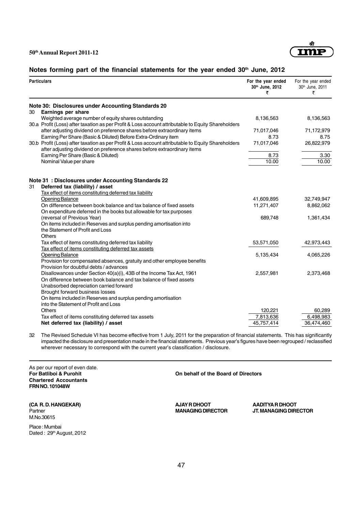

# Notes forming part of the financial statements for the year ended 30<sup>th</sup> June, 2012

| <b>Particulars</b>                                                                                                                                                             | For the year ended<br>30th June, 2012<br>₹ | For the year ended<br>30th June, 2011<br>₹ |
|--------------------------------------------------------------------------------------------------------------------------------------------------------------------------------|--------------------------------------------|--------------------------------------------|
| Note 30: Disclosures under Accounting Standards 20                                                                                                                             |                                            |                                            |
| Earnings per share<br>30                                                                                                                                                       |                                            |                                            |
| Weighted average number of equity shares outstanding                                                                                                                           | 8,136,563                                  | 8,136,563                                  |
| 30.a Profit (Loss) after taxation as per Profit & Loss account attributable to Equity Shareholders                                                                             |                                            |                                            |
| after adjusting dividend on preference shares before extraordinary items                                                                                                       | 71,017,046                                 | 71,172,979                                 |
| Earning Per Share (Basic & Diluted) Before Extra-Ordinary item                                                                                                                 | 8.73                                       | 8.75                                       |
| 30.b Profit (Loss) after taxation as per Profit & Loss account attributable to Equity Shareholders<br>after adjusting dividend on preference shares before extraordinary items | 71,017,046                                 | 26,822,979                                 |
| Earning Per Share (Basic & Diluted)                                                                                                                                            | 8.73                                       | 3.30                                       |
| Nominal Value per share                                                                                                                                                        | 10.00                                      | 10.00                                      |
| Note 31: Disclosures under Accounting Standards 22<br>Deferred tax (liability) / asset<br>31                                                                                   |                                            |                                            |
| Tax effect of items constituting deferred tax liability                                                                                                                        |                                            |                                            |
| <b>Opening Balance</b>                                                                                                                                                         | 41,609,895                                 | 32,749,947                                 |
| On difference between book balance and tax balance of fixed assets                                                                                                             | 11,271,407                                 | 8,862,062                                  |
| On expenditure deferred in the books but allowable for tax purposes                                                                                                            |                                            |                                            |
| (reversal of Previous Year)                                                                                                                                                    | 689,748                                    | 1,361,434                                  |
| On items included in Reserves and surplus pending amortisation into                                                                                                            |                                            |                                            |
| the Statement of Profit and Loss                                                                                                                                               |                                            |                                            |
| Others                                                                                                                                                                         |                                            |                                            |
| Tax effect of items constituting deferred tax liability                                                                                                                        | 53,571,050                                 | 42,973,443                                 |
| Tax effect of items constituting deferred tax assets                                                                                                                           |                                            |                                            |
| <b>Opening Balance</b>                                                                                                                                                         | 5,135,434                                  | 4,065,226                                  |
| Provision for compensated absences, gratuity and other employee benefits                                                                                                       |                                            |                                            |
| Provision for doubtful debts / advances                                                                                                                                        |                                            |                                            |
| Disallowances under Section 40(a)(i), 43B of the Income Tax Act, 1961                                                                                                          | 2,557,981                                  | 2,373,468                                  |
| On difference between book balance and tax balance of fixed assets                                                                                                             |                                            |                                            |
| Unabsorbed depreciation carried forward                                                                                                                                        |                                            |                                            |
| Brought forward business losses<br>On items included in Reserves and surplus pending amortisation                                                                              |                                            |                                            |
| into the Statement of Profit and Loss                                                                                                                                          |                                            |                                            |
| Others                                                                                                                                                                         | 120,221                                    | 60,289                                     |
| Tax effect of items constituting deferred tax assets                                                                                                                           | 7,813,636                                  | 6,498,983                                  |
| Net deferred tax (liability) / asset                                                                                                                                           | 45,757,414                                 | 36,474,460                                 |
|                                                                                                                                                                                |                                            |                                            |

32 The Revised Schedule VI has become effective from 1 July, 2011 for the preparation of financial statements. This has significantly impacted the disclosure and presentation made in the financial statements. Previous year's figures have been regrouped / reclassified wherever necessary to correspond with the current year's classification / disclosure.

As per our report of even date.<br>For Batliboi & Purohit **Chartered Accountants FRN NO. 101048W**

**(CA R. D. HANGEKAR)** (CA R. D. HANGEKAR) **ADITYA R DHOOT** AJAY R DHOOT **AADITYA R DHOOT**<br>Partner **ADITYA R DHOOT** MANAGING DIRECTOR JIT. MANAGING DIRE M.No.30615

Place : Mumbai Dated: 29<sup>th</sup> August, 2012 **On behalf of the Board of Directors**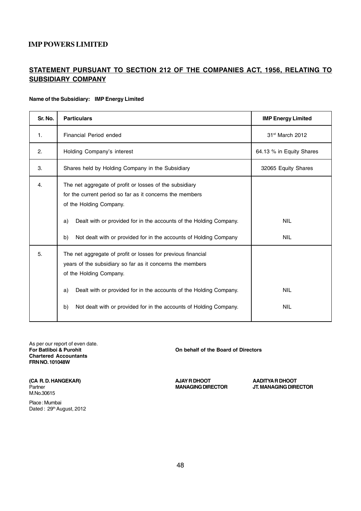# **STATEMENT PURSUANT TO SECTION 212 OF THE COMPANIES ACT, 1956, RELATING TO SUBSIDIARY COMPANY**

#### **Name of the Subsidiary: IMP Energy Limited**

| Sr. No.        | <b>Particulars</b>                                                                                                                                                                                                                                                                                           | <b>IMP Energy Limited</b>   |
|----------------|--------------------------------------------------------------------------------------------------------------------------------------------------------------------------------------------------------------------------------------------------------------------------------------------------------------|-----------------------------|
| $\mathbf{1}$ . | <b>Financial Period ended</b>                                                                                                                                                                                                                                                                                | 31 <sup>st</sup> March 2012 |
| 2.             | Holding Company's interest                                                                                                                                                                                                                                                                                   | 64.13 % in Equity Shares    |
| 3.             | Shares held by Holding Company in the Subsidiary                                                                                                                                                                                                                                                             | 32065 Equity Shares         |
| 4.             | The net aggregate of profit or losses of the subsidiary<br>for the current period so far as it concerns the members<br>of the Holding Company.<br>Dealt with or provided for in the accounts of the Holding Company.<br>a)<br>Not dealt with or provided for in the accounts of Holding Company<br>b)        | <b>NIL</b><br><b>NIL</b>    |
| 5.             | The net aggregate of profit or losses for previous financial<br>years of the subsidiary so far as it concerns the members<br>of the Holding Company.<br>Dealt with or provided for in the accounts of the Holding Company.<br>a)<br>Not dealt with or provided for in the accounts of Holding Company.<br>b) | <b>NIL</b><br><b>NIL</b>    |

As per our report of even date.<br>For Batliboi & Purohit **Chartered Accountants FRN NO. 101048W**

**On behalf of the Board of Directors** 

(CA R. D. HANGEKAR) **AJAY R DHOOT** AADITYA R DHOOT M.No.30615

Place : Mumbai Dated: 29<sup>th</sup> August, 2012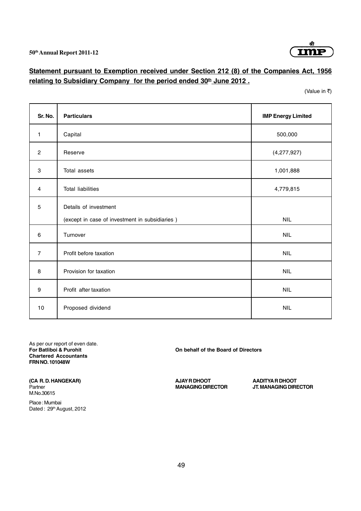

# **Statement pursuant to Exemption received under Section 212 (8) of the Companies Act, 1956** relating to Subsidiary Company for the period ended 30<sup>th</sup> June 2012.

(Value in  $\bar{z}$ )

| Sr. No.                   | <b>Particulars</b>                             | <b>IMP Energy Limited</b> |
|---------------------------|------------------------------------------------|---------------------------|
| 1                         | Capital                                        | 500,000                   |
| $\overline{c}$            | Reserve                                        | (4,277,927)               |
| $\ensuremath{\mathsf{3}}$ | Total assets                                   | 1,001,888                 |
| 4                         | <b>Total liabilities</b>                       | 4,779,815                 |
| 5                         | Details of investment                          |                           |
|                           | (except in case of investment in subsidiaries) | <b>NIL</b>                |
| 6                         | Turnover                                       | <b>NIL</b>                |
| $\overline{7}$            | Profit before taxation                         | <b>NIL</b>                |
| 8                         | Provision for taxation                         | <b>NIL</b>                |
| $\boldsymbol{9}$          | Profit after taxation                          | <b>NIL</b>                |
| 10                        | Proposed dividend                              | <b>NIL</b>                |

As per our report of even date.<br>For Batliboi & Purohit **Chartered Accountants FRN NO. 101048W**

**On behalf of the Board of Directors** 

(CA R. D. HANGEKAR) **AJAY R DHOOT** AADITYA R DHOOT M.No.30615

Place : Mumbai Dated: 29<sup>th</sup> August, 2012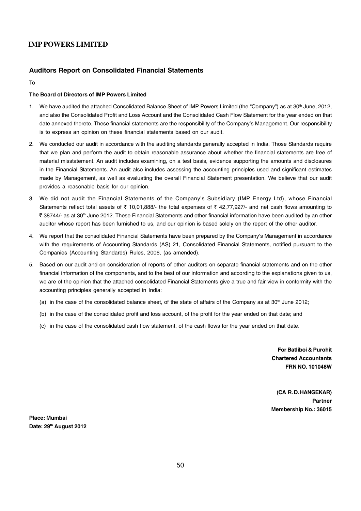#### **Auditors Report on Consolidated Financial Statements**

To

#### **The Board of Directors of IMP Powers Limited**

- 1. We have audited the attached Consolidated Balance Sheet of IMP Powers Limited (the "Company") as at  $30<sup>th</sup>$  June, 2012, and also the Consolidated Profit and Loss Account and the Consolidated Cash Flow Statement for the year ended on that date annexed thereto. These financial statements are the responsibility of the Company's Management. Our responsibility is to express an opinion on these financial statements based on our audit.
- 2. We conducted our audit in accordance with the auditing standards generally accepted in India. Those Standards require that we plan and perform the audit to obtain reasonable assurance about whether the financial statements are free of material misstatement. An audit includes examining, on a test basis, evidence supporting the amounts and disclosures in the Financial Statements. An audit also includes assessing the accounting principles used and significant estimates made by Management, as well as evaluating the overall Financial Statement presentation. We believe that our audit provides a reasonable basis for our opinion.
- 3. We did not audit the Financial Statements of the Company's Subsidiary (IMP Energy Ltd), whose Financial Statements reflect total assets of  $\bar{\tau}$  10,01,888/- the total expenses of  $\bar{\tau}$  42,77,927/- and net cash flows amounting to ₹ 38744/- as at 30<sup>th</sup> June 2012. These Financial Statements and other financial information have been audited by an other auditor whose report has been furnished to us, and our opinion is based solely on the report of the other auditor.
- 4. We report that the consolidated Financial Statements have been prepared by the Company's Management in accordance with the requirements of Accounting Standards (AS) 21, Consolidated Financial Statements, notified pursuant to the Companies (Accounting Standards) Rules, 2006, (as amended).
- 5. Based on our audit and on consideration of reports of other auditors on separate financial statements and on the other financial information of the components, and to the best of our information and according to the explanations given to us, we are of the opinion that the attached consolidated Financial Statements give a true and fair view in conformity with the accounting principles generally accepted in India:
	- (a) in the case of the consolidated balance sheet, of the state of affairs of the Company as at  $30<sup>th</sup>$  June 2012;
	- (b) in the case of the consolidated profit and loss account, of the profit for the year ended on that date; and
	- (c) in the case of the consolidated cash flow statement, of the cash flows for the year ended on that date.

**For Batliboi & Purohit Chartered Accountants FRN NO. 101048W**

**(CA R. D. HANGEKAR) Partner Membership No.: 36015**

**Place: Mumbai Date: 29th August 2012**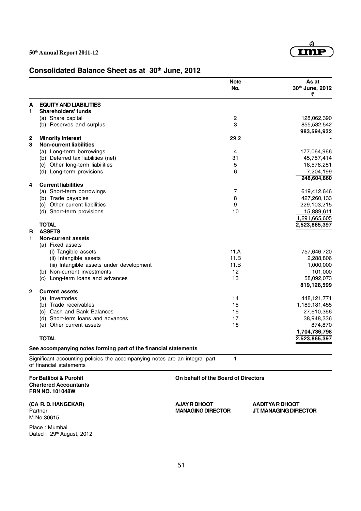

# Consolidated Balance Sheet as at 30<sup>th</sup> June, 2012

|              |                                                                                             | <b>Note</b><br>No.                  | As at<br>30th June, 2012<br>₹ |
|--------------|---------------------------------------------------------------------------------------------|-------------------------------------|-------------------------------|
| А            | <b>EQUITY AND LIABILITIES</b>                                                               |                                     |                               |
| 1            | <b>Shareholders' funds</b>                                                                  |                                     |                               |
|              | (a) Share capital                                                                           | $\overline{c}$                      | 128,062,390                   |
|              | (b) Reserves and surplus                                                                    | 3                                   | 855,532,542                   |
|              | <b>Minority Interest</b>                                                                    | 29.2                                | 983,594,932                   |
| 2<br>3       | <b>Non-current liabilities</b>                                                              |                                     |                               |
|              | (a) Long-term borrowings                                                                    | 4                                   | 177,064,966                   |
|              | (b) Deferred tax liabilities (net)                                                          | 31                                  | 45,757,414                    |
|              | (c) Other long-term liabilities                                                             | 5                                   | 18,578,281                    |
|              | (d) Long-term provisions                                                                    | 6                                   | 7,204,199                     |
|              |                                                                                             |                                     | 248,604,860                   |
| 4            | <b>Current liabilities</b>                                                                  |                                     |                               |
|              | (a) Short-term borrowings                                                                   | 7                                   | 619,412,646                   |
|              | (b) Trade payables                                                                          | 8                                   | 427,260,133                   |
|              | (c) Other current liabilities                                                               | 9                                   | 229,103,215                   |
|              | (d) Short-term provisions                                                                   | 10                                  | 15,889,611                    |
|              |                                                                                             |                                     | 1,291,665,605                 |
|              | <b>TOTAL</b>                                                                                |                                     | 2,523,865,397                 |
| В            | <b>ASSETS</b>                                                                               |                                     |                               |
| 1            | <b>Non-current assets</b>                                                                   |                                     |                               |
|              | (a) Fixed assets                                                                            |                                     |                               |
|              | (i) Tangible assets                                                                         | 11.A                                | 757,646,720                   |
|              | (ii) Intangible assets                                                                      | 11.B                                | 2,288,806                     |
|              | (iii) Intangible assets under development                                                   | 11.B                                | 1,000,000                     |
|              | (b) Non-current investments                                                                 | 12                                  | 101,000                       |
|              | Long-term loans and advances<br>(C)                                                         | 13                                  | 58,092,073                    |
| $\mathbf{2}$ |                                                                                             |                                     | 819,128,599                   |
|              | <b>Current assets</b><br>(a) Inventories                                                    | 14                                  |                               |
|              | (b) Trade receivables                                                                       | 15                                  | 448,121,771<br>1,189,181,455  |
|              | (c) Cash and Bank Balances                                                                  | 16                                  | 27,610,366                    |
|              | (d) Short-term loans and advances                                                           | 17                                  | 38,948,336                    |
|              | (e) Other current assets                                                                    | 18                                  | 874,870                       |
|              |                                                                                             |                                     | 1,704,736,798                 |
|              | <b>TOTAL</b>                                                                                |                                     | 2,523,865,397                 |
|              | See accompanying notes forming part of the financial statements                             |                                     |                               |
|              | Significant accounting policies the accompanying notes are an integral part                 | 1                                   |                               |
|              | of financial statements                                                                     |                                     |                               |
|              | <b>For Batliboi &amp; Purohit</b><br><b>Chartered Accountants</b><br><b>FRN NO. 101048W</b> | On behalf of the Board of Directors |                               |

**(CA R. D. HANGEKAR) AJAY R DHOOT AADITYA R DHOOT** M.No.30615

Place : Mumbai Dated : 29<sup>th</sup> August, 2012

**JT. MANAGING DIRECTOR**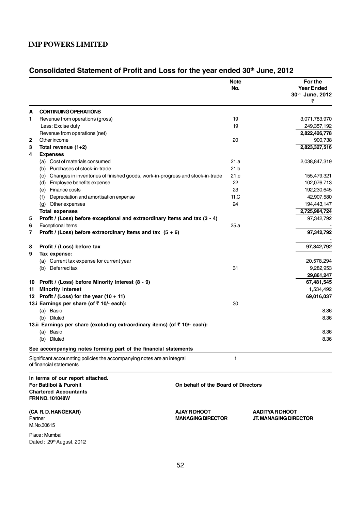Dated: 29<sup>th</sup> August, 2012

# Consolidated Statement of Profit and Loss for the year ended 30<sup>th</sup> June, 2012

|              |                                                                                                                                            | <b>Note</b><br>No.                  | For the<br><b>Year Ended</b><br>30th June, 2012<br>₹ |
|--------------|--------------------------------------------------------------------------------------------------------------------------------------------|-------------------------------------|------------------------------------------------------|
| А            | <b>CONTINUING OPERATIONS</b>                                                                                                               |                                     |                                                      |
| 1            | Revenue from operations (gross)                                                                                                            | 19                                  | 3,071,783,970                                        |
|              | Less: Excise duty                                                                                                                          | 19                                  | 249,357,192                                          |
|              | Revenue from operations (net)                                                                                                              |                                     | 2,822,426,778                                        |
| $\mathbf{2}$ | Other income                                                                                                                               | 20                                  | 900,738                                              |
| 3            | Total revenue (1+2)                                                                                                                        |                                     | 2,823,327,516                                        |
| 4            | <b>Expenses</b>                                                                                                                            |                                     |                                                      |
|              | (a) Cost of materials consumed                                                                                                             | 21.a                                | 2,038,847,319                                        |
|              | (b) Purchases of stock-in-trade                                                                                                            | 21.b                                |                                                      |
|              | (c) Changes in inventories of finished goods, work-in-progress and stock-in-trade                                                          | 21.c                                | 155,479,321                                          |
|              | (d) Employee benefits expense                                                                                                              | 22                                  | 102,076,713                                          |
|              | (e) Finance costs                                                                                                                          | 23                                  | 192,230,645                                          |
|              | Depreciation and amortisation expense<br>(f)                                                                                               | 11.C                                | 42,907,580                                           |
|              | (g) Other expenses                                                                                                                         | 24                                  | 194,443,147                                          |
|              | <b>Total expenses</b>                                                                                                                      |                                     | 2,725,984,724                                        |
| 5            | Profit / (Loss) before exceptional and extraordinary items and tax (3 - 4)                                                                 |                                     | 97,342,792                                           |
| 6            | <b>Exceptional items</b>                                                                                                                   | 25.a                                |                                                      |
| 7            | Profit / (Loss) before extraordinary items and tax $(5 + 6)$                                                                               |                                     | 97,342,792                                           |
| 8            | Profit / (Loss) before tax                                                                                                                 |                                     | 97,342,792                                           |
| 9            | Tax expense:                                                                                                                               |                                     |                                                      |
|              | (a) Current tax expense for current year                                                                                                   |                                     | 20,578,294                                           |
|              | (b) Deferred tax                                                                                                                           | 31                                  | 9,282,953                                            |
|              |                                                                                                                                            |                                     | 29,861,247                                           |
|              | 10 Profit / (Loss) before Minority Interest (8 - 9)                                                                                        |                                     | 67,481,545                                           |
| 11           | <b>Minority Interest</b>                                                                                                                   |                                     | 1,534,492                                            |
|              | 12 Profit / (Loss) for the year $(10 + 11)$                                                                                                |                                     | 69,016,037                                           |
|              | 13.i Earnings per share (of ₹ 10/- each):                                                                                                  | 30                                  |                                                      |
|              | (a) Basic                                                                                                                                  |                                     | 8.36                                                 |
|              | (b) Diluted                                                                                                                                |                                     | 8.36                                                 |
|              | 13.ii Earnings per share (excluding extraordinary items) (of ₹ 10/- each):                                                                 |                                     |                                                      |
|              | <b>Basic</b><br>(a)                                                                                                                        |                                     | 8.36                                                 |
|              | Diluted<br>(b)                                                                                                                             |                                     | 8.36                                                 |
|              | See accompanying notes forming part of the financial statements<br>Significant accounnting policies the accompanying notes are an integral | 1                                   |                                                      |
|              | of financial statements                                                                                                                    |                                     |                                                      |
|              | In terms of our report attached.                                                                                                           |                                     |                                                      |
|              | <b>For Batliboi &amp; Purohit</b>                                                                                                          | On behalf of the Board of Directors |                                                      |
|              | <b>Chartered Accountants</b>                                                                                                               |                                     |                                                      |
|              | <b>FRN NO. 101048W</b>                                                                                                                     |                                     |                                                      |
|              | (CA R.D. HANGEKAR)                                                                                                                         | <b>AJAY R DHOOT</b>                 | AADITYA R DHOOT                                      |
| Partner      |                                                                                                                                            | <b>MANAGING DIRECTOR</b>            | JT. MANAGING DIRECTOR                                |
|              | M.No.30615                                                                                                                                 |                                     |                                                      |
|              | Place: Mumbai                                                                                                                              |                                     |                                                      |

52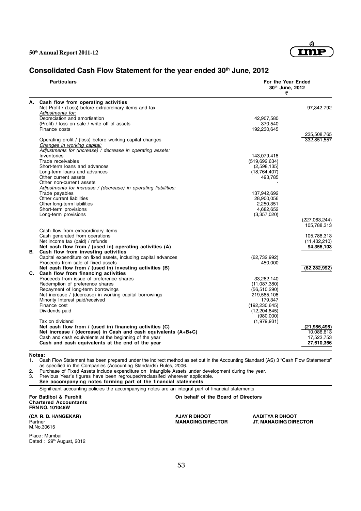

# Consolidated Cash Flow Statement for the year ended 30<sup>th</sup> June, 2012

|    | <b>Particulars</b>                                                                                | For the Year Ended<br>30th June, 2012<br>₹ |                |
|----|---------------------------------------------------------------------------------------------------|--------------------------------------------|----------------|
| А. | Cash flow from operating activities                                                               |                                            |                |
|    | Net Profit / (Loss) before extraordinary items and tax                                            |                                            | 97,342,792     |
|    | Adjustments for:                                                                                  |                                            |                |
|    | Depreciation and amortisation<br>(Profit) / loss on sale / write off of assets                    | 42,907,580<br>370,540                      |                |
|    | Finance costs                                                                                     | 192,230,645                                |                |
|    |                                                                                                   |                                            | 235,508,765    |
|    | Operating profit / (loss) before working capital changes<br>Changes in working capital:           |                                            | 332,851,557    |
|    | Adjustments for (increase) / decrease in operating assets:                                        |                                            |                |
|    | Inventories                                                                                       | 143,079,416                                |                |
|    | Trade receivables                                                                                 | (519, 692, 634)                            |                |
|    | Short-term loans and advances                                                                     | (2,598,135)                                |                |
|    | Long-term loans and advances                                                                      | (18, 764, 407)                             |                |
|    | Other current assets                                                                              | 493,785                                    |                |
|    | Other non-current assets                                                                          |                                            |                |
|    | Adjustments for increase / (decrease) in operating liabilities:<br>Trade payables                 | 137,942,692                                |                |
|    | Other current liabilities                                                                         | 28,900,056                                 |                |
|    | Other long-term liabilities                                                                       | 2.250.351                                  |                |
|    | Short-term provisions                                                                             | 4,682,652                                  |                |
|    | Long-term provisions                                                                              | (3,357,020)                                |                |
|    |                                                                                                   |                                            | (227,063,244)  |
|    |                                                                                                   |                                            | 105,788,313    |
|    | Cash flow from extraordinary items                                                                |                                            |                |
|    | Cash generated from operations                                                                    |                                            | 105,788,313    |
|    | Net income tax (paid) / refunds                                                                   |                                            | (11, 432, 210) |
|    | Net cash flow from / (used in) operating activities (A)<br>B. Cash flow from investing activities |                                            | 94,356,103     |
|    | Capital expenditure on fixed assets, including capital advances                                   | (62, 732, 992)                             |                |
|    | Proceeds from sale of fixed assets                                                                | 450,000                                    |                |
|    | Net cash flow from / (used in) investing activities (B)                                           |                                            | (62, 282, 992) |
|    | C. Cash flow from financing activities                                                            |                                            |                |
|    | Proceeds from issue of preference shares                                                          | 33,262,140                                 |                |
|    | Redemption of preference shares                                                                   | (11,087,380)                               |                |
|    | Repayment of long-term borrowings                                                                 | (56, 510, 290)                             |                |
|    | Net increase / (decrease) in working capital borrowings                                           | 219,565,106                                |                |
|    | Minority Interest paid/received                                                                   | 179.347                                    |                |
|    | Finance cost                                                                                      | (192, 230, 645)                            |                |
|    | Dividends paid                                                                                    | (12, 204, 845)                             |                |
|    | Tax on dividend                                                                                   | (980,000)                                  |                |
|    | Net cash flow from / (used in) financing activities (C)                                           | (1,979,931)                                | (21, 986, 498) |
|    | Net increase / (decrease) in Cash and cash equivalents (A+B+C)                                    |                                            | 10,086,613     |
|    | Cash and cash equivalents at the beginning of the year                                            |                                            | 17,523,753     |
|    | Cash and cash equivalents at the end of the year                                                  |                                            | 27,610,366     |
|    |                                                                                                   |                                            |                |

**Notes:**

1. Cash Flow Statement has been prepared under the indirect method as set out in the Accounting Standard (AS) 3 "Cash Flow Statements" as specified in the Companies (Accounting Standards) Rules, 2006.

2. Purchase of Fixed Assets include expenditure on Intangible Assets under development during the year.

3. Previous Year's figures have been regrouped/reclassifed wherever applicable.

**See accompanying notes forming part of the financial statements**

Significant accounting policies the accompanying notes are an integral part of financial statements

**For Batliboi & Purohit On behalf of the Board of Directors Chartered Accountants FRN NO. 101048W**

**(CA R. D. HANGEKAR) AJAY R DHOOT AADITYA R DHOOT** Partner<br>M.No.30615

Place : Mumbai Dated : 29<sup>th</sup> August, 2012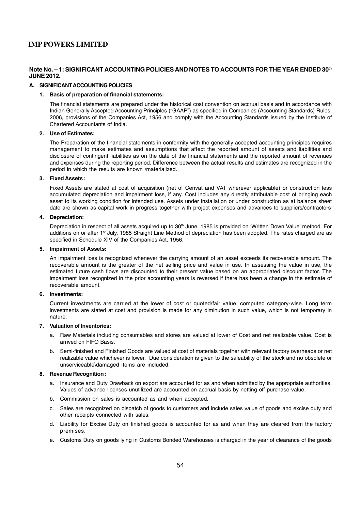#### **Note No. – 1: SIGNIFICANT ACCOUNTING POLICIES AND NOTES TO ACCOUNTS FOR THE YEAR ENDED 30th JUNE 2012.**

#### **A. SIGNIFICANT ACCOUNTING POLICIES**

#### **1. Basis of preparation of financial statements:**

The financial statements are prepared under the historical cost convention on accrual basis and in accordance with Indian Generally Accepted Accounting Principles ("GAAP") as specified in Companies (Accounting Standards) Rules, 2006, provisions of the Companies Act, 1956 and comply with the Accounting Standards issued by the Institute of Chartered Accountants of India.

#### **2. Use of Estimates:**

The Preparation of the financial statements in conformity with the generally accepted accounting principles requires management to make estimates and assumptions that affect the reported amount of assets and liabilities and disclosure of contingent liabilities as on the date of the financial statements and the reported amount of revenues and expenses during the reporting period. Difference between the actual results and estimates are recognized in the period in which the results are known /materialized.

#### **3. Fixed Assets :**

Fixed Assets are stated at cost of acquisition (net of Cenvat and VAT wherever applicable) or construction less accumulated depreciation and impairment loss, if any. Cost includes any directly attributable cost of bringing each asset to its working condition for intended use. Assets under installation or under construction as at balance sheet date are shown as capital work in progress together with project expenses and advances to suppliers/contractors

#### **4. Depreciation:**

Depreciation in respect of all assets acquired up to 30<sup>th</sup> June, 1985 is provided on 'Written Down Value' method. For additions on or after 1<sup>st</sup> July, 1985 Straight Line Method of depreciation has been adopted. The rates charged are as specified in Schedule XIV of the Companies Act, 1956.

#### **5. Impairment of Assets:**

An impairment loss is recognized whenever the carrying amount of an asset exceeds its recoverable amount. The recoverable amount is the greater of the net selling price and value in use. In assessing the value in use, the estimated future cash flows are discounted to their present value based on an appropriated discount factor. The impairment loss recognized in the prior accounting years is reversed if there has been a change in the estimate of recoverable amount.

#### **6. Investments:**

Current investments are carried at the lower of cost or quoted/fair value, computed category-wise. Long term investments are stated at cost and provision is made for any diminution in such value, which is not temporary in nature.

#### **7. Valuation of Inventories:**

- a. Raw Materials including consumables and stores are valued at lower of Cost and net realizable value. Cost is arrived on FIFO Basis.
- b. Semi-finished and Finished Goods are valued at cost of materials together with relevant factory overheads or net realizable value whichever is lower. Due consideration is given to the saleability of the stock and no obsolete or unserviceable\damaged items are included.

#### **8. Revenue Recognition :**

- a. Insurance and Duty Drawback on export are accounted for as and when admitted by the appropriate authorities. Values of advance licenses unutilized are accounted on accrual basis by netting off purchase value.
- b. Commission on sales is accounted as and when accepted.
- c. Sales are recognized on dispatch of goods to customers and include sales value of goods and excise duty and other receipts connected with sales.
- d. Liability for Excise Duty on finished goods is accounted for as and when they are cleared from the factory premises.
- e. Customs Duty on goods lying in Customs Bonded Warehouses is charged in the year of clearance of the goods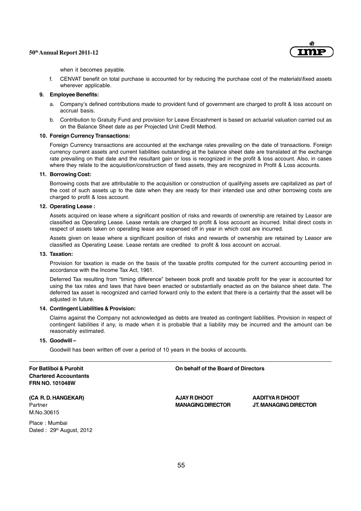

when it becomes payable.

f. CENVAT benefit on total purchase is accounted for by reducing the purchase cost of the materials\fixed assets wherever applicable.

#### **9. Employee Benefits:**

- a. Company's defined contributions made to provident fund of government are charged to profit & loss account on accrual basis.
- b. Contribution to Gratuity Fund and provision for Leave Encashment is based on actuarial valuation carried out as on the Balance Sheet date as per Projected Unit Credit Method.

#### **10. Foreign Currency Transactions:**

Foreign Currency transactions are accounted at the exchange rates prevailing on the date of transactions. Foreign currency current assets and current liabilities outstanding at the balance sheet date are translated at the exchange rate prevailing on that date and the resultant gain or loss is recognized in the profit & loss account. Also, in cases where they relate to the acquisition/construction of fixed assets, they are recognized in Profit & Loss accounts.

#### **11. Borrowing Cost:**

Borrowing costs that are attributable to the acquisition or construction of qualifying assets are capitalized as part of the cost of such assets up to the date when they are ready for their intended use and other borrowing costs are charged to profit & loss account.

#### **12. Operating Lease :**

Assets acquired on lease where a significant position of risks and rewards of ownership are retained by Leasor are classified as Operating Lease. Lease rentals are charged to profit & loss account as incurred. Initial direct costs in respect of assets taken on operating lease are expensed off in year in which cost are incurred.

Assets given on lease where a significant position of risks and rewards of ownership are retained by Leasor are classified as Operating Lease. Lease rentals are credited to profit & loss account on accrual.

#### **13. Taxation:**

Provision for taxation is made on the basis of the taxable profits computed for the current accounting period in accordance with the Income Tax Act, 1961.

Deferred Tax resulting from "timing difference" between book profit and taxable profit for the year is accounted for using the tax rates and laws that have been enacted or substantially enacted as on the balance sheet date. The deferred tax asset is recognized and carried forward only to the extent that there is a certainty that the asset will be adjusted in future.

#### **14. Contingent Liabilities & Provision:**

Claims against the Company not acknowledged as debts are treated as contingent liabilities. Provision in respect of contingent liabilities if any, is made when it is probable that a liability may be incurred and the amount can be reasonably estimated.

#### **15. Goodwill –**

Goodwill has been written off over a period of 10 years in the books of accounts.

**Chartered Accountants FRN NO. 101048W**

**For Batliboi & Purohit On behalf of the Board of Directors**

**(CA R. D. HANGEKAR) AJAY R DHOOT AADITYA R DHOOT** M.No.30615

Place : Mumbai Dated : 29<sup>th</sup> August, 2012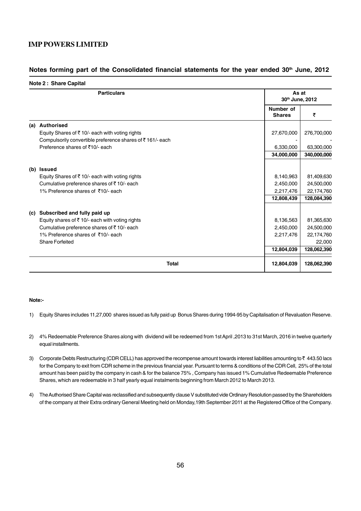#### Notes forming part of the Consolidated financial statements for the year ended 30<sup>th</sup> June, 2012

|     | <b>Particulars</b>                                             |                            | As at<br>30th June, 2012 |  |
|-----|----------------------------------------------------------------|----------------------------|--------------------------|--|
|     |                                                                | Number of<br><b>Shares</b> | ₹                        |  |
| (a) | <b>Authorised</b>                                              |                            |                          |  |
|     | Equity Shares of ₹10/- each with voting rights                 | 27,670,000                 | 276,700,000              |  |
|     | Compulsorily convertible preference shares of ₹161/- each      |                            |                          |  |
|     | Preference shares of ₹10/- each                                | 6,330,000                  | 63,300,000               |  |
|     |                                                                | 34,000,000                 | 340,000,000              |  |
|     | (b) Issued                                                     |                            |                          |  |
|     | Equity Shares of ₹10/- each with voting rights                 | 8,140,963                  | 81,409,630               |  |
|     | Cumulative preference shares of ₹10/- each                     | 2,450,000                  | 24,500,000               |  |
|     | 1% Preference shares of ₹10/- each                             | 2,217,476                  | 22,174,760               |  |
|     |                                                                | 12,808,439                 | 128,084,390              |  |
|     | (c) Subscribed and fully paid up                               |                            |                          |  |
|     | Equity shares of $\overline{\xi}$ 10/- each with voting rights | 8,136,563                  | 81,365,630               |  |
|     | Cumulative preference shares of ₹10/- each                     | 2,450,000                  | 24,500,000               |  |
|     | 1% Preference shares of ₹10/- each                             | 2,217,476                  | 22,174,760               |  |
|     | Share Forfeited                                                |                            | 22,000                   |  |
|     |                                                                | 12,804,039                 | 128,062,390              |  |
|     | <b>Total</b>                                                   | 12,804,039                 | 128,062,390              |  |

#### **Note:-**

- 1) Equity Shares includes 11,27,000 shares issued as fully paid up Bonus Shares during 1994-95 by Capitalisation of Revaluation Reserve.
- 2) 4% Redeemable Preference Shares along with dividend will be redeemed from 1st April ,2013 to 31st March, 2016 in twelve quarterly equal installments.
- 3) Corporate Debts Restructuring (CDR CELL) has approved the recompense amount towards interest liabilities amounting to  $\bar{\tau}$  443.50 lacs for the Company to exit from CDR scheme in the previous financial year. Pursuant to terms & conditions of the CDR Cell, 25% of the total amount has been paid by the company in cash & for the balance 75% , Company has issued 1% Cumulative Redeemable Preference Shares, which are redeemable in 3 half yearly equal instalments beginning from March 2012 to March 2013.
- 4) The Authorised Share Capital was reclassified and subsequently clause V substituted vide Ordinary Resolution passed by the Shareholders of the company at their Extra ordinary General Meeting held on Monday,19th September 2011 at the Registered Office of the Company.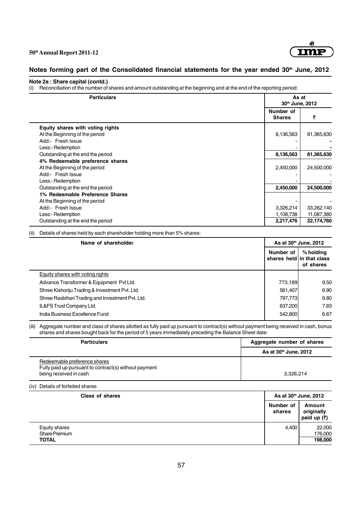

# Notes forming part of the Consolidated financial statements for the year ended 30<sup>th</sup> June, 2012

#### **Note 2a : Share capital (contd.)**

(i) Reconciliation of the number of shares and amount outstanding at the beginning and at the end of the reporting period:

| <b>Particulars</b>                |                            | As at<br>30th June, 2012 |  |
|-----------------------------------|----------------------------|--------------------------|--|
|                                   | Number of<br><b>Shares</b> | ₹                        |  |
| Equity shares with voting rights  |                            |                          |  |
| At the Beginning of the period    | 8,136,563                  | 81,365,630               |  |
| Add:- Fresh Issue                 |                            |                          |  |
| Less:- Redemption                 |                            |                          |  |
| Outstanding at the end the period | 8,136,563                  | 81,365,630               |  |
| 4% Redeemable preference shares   |                            |                          |  |
| At the Beginning of the period    | 2,450,000                  | 24,500,000               |  |
| Add:- Fresh Issue                 |                            |                          |  |
| Less:- Redemption                 |                            |                          |  |
| Outstanding at the end the period | 2,450,000                  | 24,500,000               |  |
| 1% Redeemable Preference Shares   |                            |                          |  |
| At the Beginning of the period    |                            |                          |  |
| Add:- Fresh Issue                 | 3,326,214                  | 33,262,140               |  |
| Less:- Redemption                 | 1,108,738                  | 11,087,380               |  |
| Outstanding at the end the period | 2,217,476                  | 22,174,760               |  |

(ii) Details of shares held by each shareholder holding more than 5% shares:

| Name of shareholder                              |           | As at 30 <sup>th</sup> June, 2012                   |  |
|--------------------------------------------------|-----------|-----------------------------------------------------|--|
|                                                  | Number of | % holding<br>shares held in that class<br>of shares |  |
| Equity shares with voting rights                 |           |                                                     |  |
| Advance Transformer & Equipment Pvt Ltd.         | 773.189   | 9.50                                                |  |
| Shree Kishoriju Trading & Investment Pvt. Ltd.   | 561.407   | 6.90                                                |  |
| Shree Rasbihari Trading and Investment Pvt. Ltd. | 797,773   | 9.80                                                |  |
| IL&FS Trust Company Ltd.                         | 637,200   | 7.83                                                |  |
| India Business Excellence Fund                   | 542,800   | 6.67                                                |  |

(iii) Aggregate number and class of shares allotted as fully paid up pursuant to contract(s) without payment being received in cash, bonus shares and shares bought back for the period of 5 years immediately preceding the Balance Sheet date:

| <b>Particulars</b>                                                                                              | Aggregate number of shares |  |
|-----------------------------------------------------------------------------------------------------------------|----------------------------|--|
|                                                                                                                 | As at $30th$ June, 2012    |  |
| Redeemable preference shares<br>Fully paid up pursuant to contract(s) without payment<br>being received in cash | 3.326.214                  |  |

(iv) Details of forfeited shares

| <b>Class of shares</b>                                |                     | As at 30 <sup>th</sup> June, 2012                    |  |
|-------------------------------------------------------|---------------------|------------------------------------------------------|--|
|                                                       | Number of<br>shares | Amount<br>originally<br>paid up $(\overline{\zeta})$ |  |
| <b>Equity shares</b><br>Share Premium<br><b>TOTAL</b> | 4,400               | 22,000<br>176,000<br>198,000                         |  |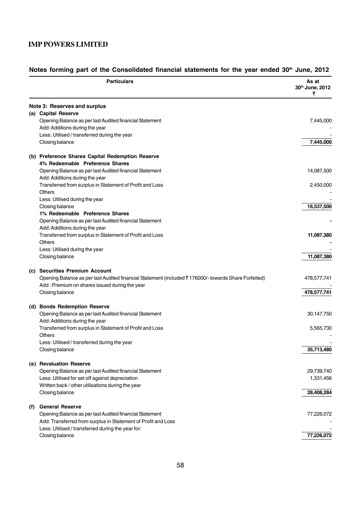|     | <b>Particulars</b>                                                                                         | As at<br>30th June, 2012<br>₹ |
|-----|------------------------------------------------------------------------------------------------------------|-------------------------------|
|     | Note 3: Reserves and surplus                                                                               |                               |
|     | (a) Capital Reserve<br>Opening Balance as per last Audited financial Statement                             | 7,445,000                     |
|     | Add: Additions during the year<br>Less: Utilised / transferred during the year                             |                               |
|     | Closing balance                                                                                            | 7,445,000                     |
|     | (b) Preference Shares Capital Redemption Reserve                                                           |                               |
|     | 4% Redeemable Preference Shares                                                                            |                               |
|     | Opening Balance as per last Audited financial Statement                                                    | 14,087,500                    |
|     | Add: Additions during the year                                                                             |                               |
|     | Transferred from surplus in Statement of Profit and Loss<br><b>Others</b>                                  | 2,450,000                     |
|     | Less: Utilised during the year                                                                             |                               |
|     | Closing balance                                                                                            | 16,537,500                    |
|     | 1% Redeemable Preference Shares                                                                            |                               |
|     | Opening Balance as per last Audited financial Statement                                                    |                               |
|     | Add: Additions during the year                                                                             |                               |
|     | Transferred from surplus in Statement of Profit and Loss                                                   | 11,087,380                    |
|     | <b>Others</b>                                                                                              |                               |
|     | Less: Utilised during the year<br>Closing balance                                                          | 11,087,380                    |
|     |                                                                                                            |                               |
|     | (c) Securities Premium Account                                                                             |                               |
|     | Opening Balance as per last Audited financial Statement (included ₹176000/- towards Share Forfeited)       | 478,577,741                   |
|     | Add: Premium on shares issued during the year                                                              |                               |
|     | Closing balance                                                                                            | 478,577,741                   |
|     | (d) Bonds Redemption Reserve                                                                               |                               |
|     | Opening Balance as per last Audited financial Statement                                                    | 30,147,750                    |
|     | Add: Additions during the year<br>Transferred from surplus in Statement of Profit and Loss                 |                               |
|     | <b>Others</b>                                                                                              | 5,565,730                     |
|     | Less: Utilised / transferred during the year                                                               |                               |
|     | Closing balance                                                                                            | 35,713,480                    |
|     |                                                                                                            |                               |
|     | (e) Revaluation Reserve                                                                                    |                               |
|     | Opening Balance as per last Audited financial Statement<br>Less: Utilised for set off against depreciation | 29,739,740<br>1,331,456       |
|     | Written back / other utilisations during the year                                                          |                               |
|     | Closing balance                                                                                            | 28,408,284                    |
|     | <b>General Reserve</b>                                                                                     |                               |
| (f) | Opening Balance as per last Audited financial Statement                                                    | 77,226,072                    |
|     | Add: Transferred from surplus in Statement of Profit and Loss                                              |                               |
|     | Less: Utilised / transferred during the year for:                                                          |                               |
|     | Closing balance                                                                                            | 77,226,072                    |

# Notes forming part of the Consolidated financial statements for the year ended 30<sup>th</sup> June, 2012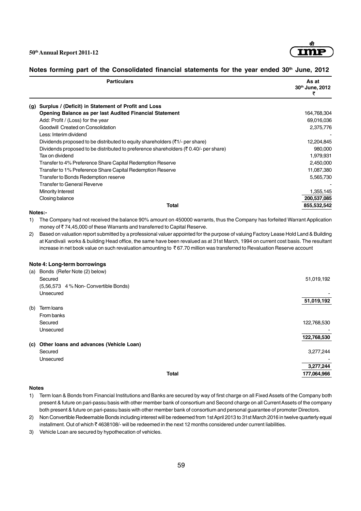

#### Notes forming part of the Consolidated financial statements for the year ended 30<sup>th</sup> June, 2012

| <b>Particulars</b>                                                                               | As at<br>30th June, 2012 |
|--------------------------------------------------------------------------------------------------|--------------------------|
| Surplus / (Deficit) in Statement of Profit and Loss<br>(g)                                       |                          |
| Opening Balance as per last Audited Financial Statement                                          | 164,768,304              |
| Add: Profit / (Loss) for the year                                                                | 69,016,036               |
| Goodwill Created on Consolidation                                                                | 2,375,776                |
| Less: Interim dividend                                                                           |                          |
| Dividends proposed to be distributed to equity shareholders $(31)$ - per share)                  | 12,204,845               |
| Dividends proposed to be distributed to preference shareholders ( $\bar{\tau}$ 0.40/- per share) | 980,000                  |
| Tax on dividend                                                                                  | 1,979,931                |
| Transfer to 4% Preference Share Capital Redemption Reserve                                       | 2,450,000                |
| Transfer to 1% Preference Share Capital Redemption Reserve                                       | 11,087,380               |
| Transfer to Bonds Redemption reserve                                                             | 5,565,730                |
| <b>Transfer to General Reverve</b>                                                               |                          |
| Minority Interest                                                                                | 1,355,145                |
| Closing balance                                                                                  | 200,537,085              |
| <b>Total</b>                                                                                     | 855,532,542              |

#### **Notes:-**

1) The Company had not received the balance 90% amount on 450000 warrants, thus the Company has forfeited Warrant Application money of ₹74,45,000 of these Warrants and transferred to Capital Reserve.

2) Based on valuation report submitted by a professional valuer appointed for the purpose of valuing Factory Lease Hold Land & Building at Kandivali works & building Head office, the same have been revalued as at 31st March, 1994 on current cost basis. The resultant increase in net book value on such revaluation amounting to  $\bar{\tau}$  67.70 million was transferred to Revaluation Reserve account

#### **Note 4: Long-term borrowings**

| (a) | Bonds (Refer Note (2) below)                |             |
|-----|---------------------------------------------|-------------|
|     | Secured                                     | 51,019,192  |
|     | (5,56,573 4 % Non- Convertible Bonds)       |             |
|     | Unsecured                                   |             |
|     |                                             | 51,019,192  |
| (b) | Term loans                                  |             |
|     | From banks                                  |             |
|     | Secured                                     | 122,768,530 |
|     | Unsecured                                   |             |
|     |                                             | 122,768,530 |
|     | (c) Other loans and advances (Vehicle Loan) |             |
|     | Secured                                     | 3,277,244   |
|     | Unsecured                                   |             |
|     |                                             | 3,277,244   |
|     | <b>Total</b>                                | 177,064,966 |
|     |                                             |             |

#### **Notes**

1) Term loan & Bonds from Financial Institutions and Banks are secured by way of first charge on all Fixed Assets of the Company both present & future on pari-passu basis with other member bank of consortium and Second charge on all Current Assets of the company both present & future on pari-passu basis with other member bank of consortium and personal guarantee of promoter Directors.

2) Non Convertible Redeemable Bonds including interest will be redeemed from 1st April 2013 to 31st March 2016 in twelve quarterly equal installment. Out of which ₹4638108/- will be redeemed in the next 12 months considered under current liabilities.

3) Vehicle Loan are secured by hypothecation of vehicles.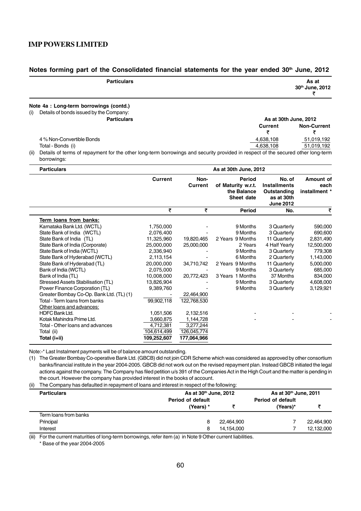#### Notes forming part of the Consolidated financial statements for the year ended 30<sup>th</sup> June, 2012

| <b>Particulars</b>                             |           | As at<br>30th June, 2012 |
|------------------------------------------------|-----------|--------------------------|
| Note 4a : Long-term borrowings (contd.)        |           |                          |
| Details of bonds issued by the Company:<br>(i) |           |                          |
| <b>Particulars</b>                             |           | As at 30th June, 2012    |
|                                                | Current   | <b>Non-Current</b>       |
|                                                |           |                          |
| 4 % Non-Convertible Bonds                      | 4,638,108 | 51,019,192               |
| Total - Bonds (i)                              | 4,638,108 | 51,019,192               |

(ii) Details of terms of repayment for the other long-term borrowings and security provided in respect of the secured other long-term borrowings:

| <b>Particulars</b>                       | As at 30th June, 2012 |                 |                                                                  |                                                                                |                                    |
|------------------------------------------|-----------------------|-----------------|------------------------------------------------------------------|--------------------------------------------------------------------------------|------------------------------------|
|                                          | <b>Current</b>        | Non-<br>Current | <b>Period</b><br>of Maturity w.r.t.<br>the Balance<br>Sheet date | No. of<br><b>Installments</b><br>Outstanding<br>as at 30th<br><b>June 2012</b> | Amount of<br>each<br>installment * |
|                                          | ₹                     | ₹               | <b>Period</b>                                                    | No.                                                                            | ₹                                  |
| Term loans from banks:                   |                       |                 |                                                                  |                                                                                |                                    |
| Karnataka Bank Ltd. (WCTL)               | 1,750,000             |                 | 9 Months                                                         | 3 Quarterly                                                                    | 590,000                            |
| State Bank of India (WCTL)               | 2,076,400             |                 | 9 Months                                                         | 3 Quarterly                                                                    | 690,600                            |
| State Bank of India (TL)                 | 11,325,960            | 19,820,465      | 2 Years 9 Months                                                 | 11 Quarterly                                                                   | 2,831,490                          |
| State Bank of India (Corporate)          | 25,000,000            | 25,000,000      | 2 Years                                                          | 4 Half Yearly                                                                  | 12,500,000                         |
| State Bank of India (WCTL)               | 2,336,940             |                 | 9 Months                                                         | 3 Quarterly                                                                    | 779,308                            |
| State Bank of Hyderabad (WCTL)           | 2,113,154             |                 | 6 Months                                                         | 2 Quarterly                                                                    | 1,143,000                          |
| State Bank of Hyderabad (TL)             | 20,000,000            | 34,710,742      | 2 Years 9 Months                                                 | 11 Quarterly                                                                   | 5,000,000                          |
| Bank of India (WCTL)                     | 2.075.000             |                 | 9 Months                                                         | 3 Quarterly                                                                    | 685,000                            |
| Bank of India (TL)                       | 10,008,000            | 20,772,423      | 3 Years 1 Months                                                 | 37 Months                                                                      | 834,000                            |
| Stressed Assets Stabilisation (TL)       | 13,826,904            |                 | 9 Months                                                         | 3 Quarterly                                                                    | 4,608,000                          |
| Power Finance Corporation (TL)           | 9,389,760             |                 | 9 Months                                                         | 3 Quarterly                                                                    | 3,129,921                          |
| Greater Bombay Co-Op. Bank Ltd. (TL) (1) |                       | 22,464,900      |                                                                  |                                                                                |                                    |
| Total - Term loans from banks            | 99,902,118            | 122,768,530     |                                                                  |                                                                                |                                    |
| Other loans and advances:                |                       |                 |                                                                  |                                                                                |                                    |
| <b>HDFC Bank Ltd.</b>                    | 1,051,506             | 2,132,516       |                                                                  |                                                                                |                                    |
| Kotak Mahindra Prime Ltd.                | 3,660,875             | 1,144,728       |                                                                  |                                                                                |                                    |
| Total - Other loans and advances         | 4,712,381             | 3,277,244       |                                                                  |                                                                                |                                    |
| Total (ii)                               | 104,614,499           | 126,045,774     |                                                                  |                                                                                |                                    |
| Total (i+ii)                             | 109,252,607           | 177,064,966     |                                                                  |                                                                                |                                    |

Note:-\* Last Instalment payments will be of balance amount outstanding.

(1) The Greater Bombay Co-operative Bank Ltd. (GBCB) did not join CDR Scheme which was considered as approved by other consortium banks/financial institute in the year 2004-2005. GBCB did not work out on the revised repayment plan. Instead GBCB initiated the legal actions against the company. The Company has filed petition u/s 391 of the Companies Act in the High Court and the matter is pending in the court. However the company has provided interest in the books of account.

(ii) The Company has defaulted in repayment of loans and interest in respect of the following:

| <b>Particulars</b>    | As at 30th June, 2012<br><b>Period of default</b> |            | As at 30th June, 2011<br><b>Period of default</b> |            |
|-----------------------|---------------------------------------------------|------------|---------------------------------------------------|------------|
|                       |                                                   |            |                                                   |            |
|                       | (Years) *                                         |            | (Years)*                                          |            |
| Term loans from banks |                                                   |            |                                                   |            |
| Principal             | 8                                                 | 22,464,900 |                                                   | 22,464,900 |
| Interest              | 8                                                 | 14,154,000 |                                                   | 12,132,000 |

(iii) For the current maturities of long-term borrowings, refer item (a) in Note 9 Other current liabilities.

\* Base of the year 2004-2005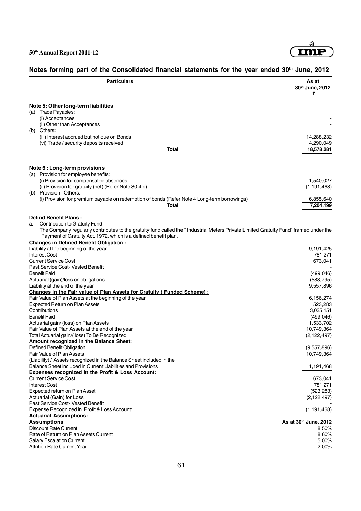

| <b>Particulars</b>                                                                                                                   | As at<br>30th June, 2012<br>₹ |
|--------------------------------------------------------------------------------------------------------------------------------------|-------------------------------|
| Note 5: Other long-term liabilities                                                                                                  |                               |
| (a) Trade Payables:                                                                                                                  |                               |
| (i) Acceptances                                                                                                                      |                               |
| (ii) Other than Acceptances                                                                                                          |                               |
| (b) Others:                                                                                                                          |                               |
| (iii) Interest accrued but not due on Bonds                                                                                          | 14,288,232                    |
| (vi) Trade / security deposits received<br><b>Total</b>                                                                              | 4,290,049<br>18,578,281       |
|                                                                                                                                      |                               |
| Note 6 : Long-term provisions<br>(a) Provision for employee benefits:                                                                |                               |
| (i) Provision for compensated absences                                                                                               | 1,540,027                     |
| (ii) Provision for gratuity (net) (Refer Note 30.4.b)                                                                                | (1, 191, 468)                 |
| (b) Provision - Others:                                                                                                              |                               |
| (i) Provision for premium payable on redemption of bonds (Refer Note 4 Long-term borrowings)                                         | 6,855,640                     |
| Total                                                                                                                                | 7,204,199                     |
| <b>Defind Benefit Plans:</b>                                                                                                         |                               |
| Contribution to Gratuity Fund -<br>a.                                                                                                |                               |
| The Company regularly contributes to the gratuity fund called the "Industrial Meters Private Limited Gratuity Fund" framed under the |                               |
| Payment of Gratuity Act, 1972, which is a defined benefit plan.                                                                      |                               |
| <b>Changes in Defined Benefit Obligation:</b>                                                                                        |                               |
| Liability at the beginning of the year                                                                                               | 9,191,425                     |
| <b>Interest Cost</b><br><b>Current Service Cost</b>                                                                                  | 781,271<br>673,041            |
| Past Service Cost- Vested Benefit                                                                                                    |                               |
| <b>Benefit Paid</b>                                                                                                                  | (499, 046)                    |
| Actuarial (gain)/loss on obligations                                                                                                 | (588, 795)                    |
| Liability at the end of the year                                                                                                     | 9,557,896                     |
| Changes in the Fair value of Plan Assets for Gratuity (Funded Scheme) :                                                              |                               |
| Fair Value of Plan Assets at the beginning of the year                                                                               | 6,156,274                     |
| Expected Return on Plan Assets                                                                                                       | 523,283                       |
| Contributions                                                                                                                        | 3,035,151                     |
| <b>Benefit Paid</b>                                                                                                                  | (499, 046)                    |
| Actuarial gain/ (loss) on Plan Assets                                                                                                | 1,533,702                     |
| Fair Value of Plan Assets at the end of the year                                                                                     | 10,749,364                    |
| Total Actuarial gain/(loss) To Be Recognized<br>Amount recognized in the Balance Sheet:                                              | (2, 122, 497)                 |
| Defined Benefit Obligation                                                                                                           | (9,557,896)                   |
| Fair Value of Plan Assets                                                                                                            | 10,749,364                    |
| (Liability) / Assets recognized in the Balance Sheet included in the                                                                 |                               |
| Balance Sheet included in Current Liabilities and Provisions                                                                         | 1,191,468                     |
| <b>Expenses recognized in the Profit &amp; Loss Account:</b>                                                                         |                               |
| <b>Current Service Cost</b>                                                                                                          | 673,041                       |
| <b>Interest Cost</b>                                                                                                                 | 781,271                       |
| Expected return on Plan Asset                                                                                                        | (523, 283)                    |
| Actuarial (Gain) for Loss                                                                                                            | (2, 122, 497)                 |
| Past Service Cost- Vested Benefit                                                                                                    |                               |
| Expense Recognized in Profit & Loss Account:                                                                                         | (1, 191, 468)                 |
| <b>Actuarial Assumptions:</b><br><b>Assumptions</b>                                                                                  | As at 30th June, 2012         |
| <b>Discount Rate Current</b>                                                                                                         | 8.50%                         |
| Rate of Return on Plan Assets Current                                                                                                | 8.60%                         |
| <b>Salary Escalation Current</b>                                                                                                     | 5.00%                         |
| <b>Attrition Rate Current Year</b>                                                                                                   | 2.00%                         |

# Notes forming part of the Consolidated financial statements for the year ended 30<sup>th</sup> June, 2012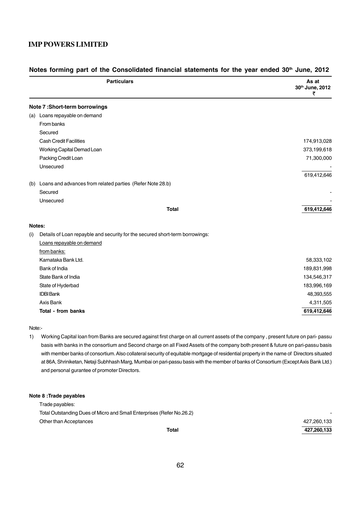| <b>Particulars</b>                                                                  | As at<br>30th June, 2012<br>₹ |
|-------------------------------------------------------------------------------------|-------------------------------|
| Note 7:Short-term borrowings                                                        |                               |
| (a) Loans repayable on demand                                                       |                               |
| From banks                                                                          |                               |
| Secured                                                                             |                               |
| <b>Cash Credit Facilities</b>                                                       | 174,913,028                   |
| Working Capital Demad Loan                                                          | 373,199,618                   |
| Packing Credit Loan                                                                 | 71,300,000                    |
| Unsecured                                                                           |                               |
|                                                                                     | 619,412,646                   |
| (b) Loans and advances from related parties (Refer Note 28.b)                       |                               |
| Secured                                                                             |                               |
| Unsecured                                                                           |                               |
|                                                                                     | <b>Total</b><br>619,412,646   |
| Notes:                                                                              |                               |
| Details of Loan repayble and security for the secured short-term borrowings:<br>(i) |                               |
| Loans repayable on demand                                                           |                               |
| from banks:                                                                         |                               |
| Karnataka Bank Ltd.                                                                 | 58,333,102                    |
| Bank of India                                                                       | 189,831,998                   |
| State Bank of India                                                                 | 134,546,317                   |
| State of Hyderbad                                                                   | 183,996,169                   |
| <b>IDBI Bank</b>                                                                    | 48,393,555                    |
| Axis Bank                                                                           | 4,311,505                     |
| <b>Total - from banks</b>                                                           | 619,412,646                   |

#### Notes forming part of the Consolidated financial statements for the year ended 30<sup>th</sup> June, 2012

#### Note:-

1) Working Capital loan from Banks are secured against first charge on all current assets of the company , present future on pari- passu basis with banks in the consortium and Second charge on all Fixed Assets of the company both present & future on pari-passu basis with member banks of consortium. Also collateral security of equitable mortgage of residential property in the name of Directors situated at 86A, Shriniketan, Netaji Subhhash Marg, Mumbai on pari-passu basis with the member of banks of Consortium (Except Axis Bank Ltd.) and personal gurantee of promoter Directors.

#### **Note 8 :Trade payables**

Trade payables: Total Outstanding Dues of Micro and Small Enterprises (Refer No.26.2) - Other than Acceptances 427,260,133

**Total 427,260,133**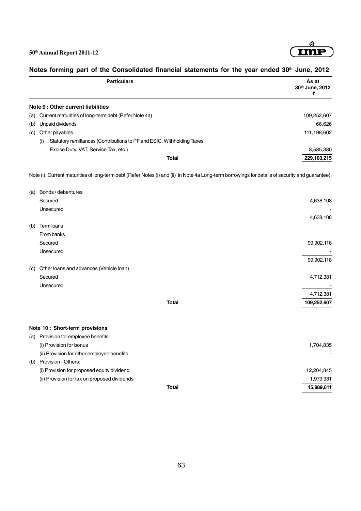

| <b>Particulars</b>                                                                                                                               | As at<br>30th June, 2012<br>₹ |
|--------------------------------------------------------------------------------------------------------------------------------------------------|-------------------------------|
| Note 9 : Other current liabilities                                                                                                               |                               |
| (a) Current maturities of long-term debt (Refer Note 4a)                                                                                         | 109,252,607                   |
| (b) Unpaid dividends                                                                                                                             | 66,626                        |
| (c) Other payables                                                                                                                               | 111,198,602                   |
| Statutory remittances (Contributions to PF and ESIC, Withholding Taxes,<br>(i)                                                                   |                               |
| Excise Duty, VAT, Service Tax, etc.)                                                                                                             | 8,585,380                     |
| <b>Total</b>                                                                                                                                     | 229,103,215                   |
| Note (i): Current maturities of long-term debt (Refer Notes (i) and (ii) in Note 4a Long-term borrowings for details of security and guarantee): |                               |
| (a) Bonds / debentures                                                                                                                           |                               |
| Secured                                                                                                                                          | 4,638,108                     |
| Unsecured                                                                                                                                        | 4,638,108                     |
| (b) Term loans                                                                                                                                   |                               |
| From banks                                                                                                                                       |                               |
| Secured                                                                                                                                          | 99,902,118                    |
| Unsecured                                                                                                                                        |                               |
|                                                                                                                                                  | 99,902,118                    |
| (c) Other loans and advances (Vehicle loan)                                                                                                      |                               |
| Secured                                                                                                                                          | 4,712,381                     |
| Unsecured                                                                                                                                        |                               |
|                                                                                                                                                  | 4,712,381                     |
| <b>Total</b>                                                                                                                                     | 109,252,607                   |
| Note 10 : Short-term provisions                                                                                                                  |                               |
| (a) Provision for employee benefits:                                                                                                             |                               |
| (i) Provision for bonus                                                                                                                          | 1,704,835                     |
| (ii) Provision for other employee benefits                                                                                                       |                               |
| (b) Provision - Others:                                                                                                                          |                               |
| (i) Provision for proposed equity dividend                                                                                                       | 12,204,845                    |
| (ii) Provision for tax on proposed dividends                                                                                                     | 1,979,931                     |
| Total                                                                                                                                            | 15,889,611                    |

# Notes forming part of the Consolidated financial statements for the year ended 30<sup>th</sup> June, 2012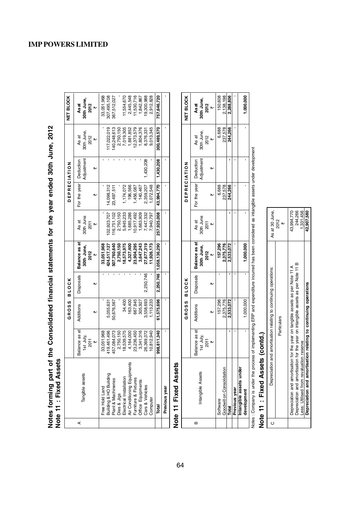| ided 30th June.         |  |
|-------------------------|--|
| ;<br>>>>                |  |
|                         |  |
| for the year $\epsilon$ |  |
|                         |  |
| ֓                       |  |
| <b>Ancial state</b>     |  |
|                         |  |
|                         |  |
| )<br>-<br>-<br>-        |  |
| )<br>1<br>1<br>1        |  |
|                         |  |
|                         |  |
| )<br>S                  |  |

|   | Note 11 : Fixed Assets<br>Notes forming part |                                         |              |                  | of the Consolidated financial statements for the year ended 30th June, 2012 |                                 |              |                         |                            |                                         |
|---|----------------------------------------------|-----------------------------------------|--------------|------------------|-----------------------------------------------------------------------------|---------------------------------|--------------|-------------------------|----------------------------|-----------------------------------------|
|   |                                              |                                         | <b>GROSS</b> | <b>BLOCK</b>     |                                                                             |                                 | DEPRECIATION |                         |                            | NET BLOCK                               |
| ⋖ | Tangible assets                              | Balance as at<br>1st July,<br>2011<br>₩ | Additions    | <b>Disposals</b> | Balance as at<br>30th June,<br>2012<br>₩                                    | 30th June<br>As at<br>2011<br>₩ | For the year | Adjustment<br>Deduction | 30th June<br>As at<br>2012 | 30th June,<br>As at<br><b>2012</b><br>₩ |
|   | Free Hold Land                               | 33,051,968                              |              |                  | 33,051,968                                                                  |                                 |              |                         |                            | 33,051,968                              |
|   | Building & HO Building                       | 419,461,496                             | 5,055,631    |                  | 424,517,127                                                                 | 02,923,707                      | 4,098,312    |                         | 17,022,019                 | 307,495,108                             |
|   | Plant & Machineries                          | 157,084,073                             | 50,676,567   |                  | 507,760,640                                                                 | 16,751,102                      | 23,497,511   |                         | 40,248,613                 | 367,512,027                             |
|   | Dies & Jigs                                  | 2,750,150                               |              |                  | 2,750,150                                                                   | 2,750,150                       |              |                         | 2,750,150                  |                                         |
|   | Electrical Installation                      | 18,539,575                              | 34,400       |                  | 8,573,975                                                                   | 5,845,233                       | ,174,072     |                         | 7,019,305                  | 11,554,670                              |
|   | ω<br>Air Conditioning Equipment              | 4,164,000                               | 163,400      |                  | 4,327,400                                                                   | 1,685,286                       | 196,566      |                         | 1,881,852                  | 2,445,548                               |
|   | Furniture & Fixtures                         | 23,236,450                              | 667,845      |                  | 23,904,295                                                                  | 0,917,492                       | ,456,087     |                         | 2,373,579                  | 11,530,716                              |
|   | Office Equipments                            | 3,341,316                               | 305,927      |                  | 3,647,243                                                                   | ,663,909                        | 140,467      |                         | 1,804,376                  | 842,867                                 |
|   | Cars & Vehicles                              | 26,369,372                              | 3,558,693    | 2,250,746        | 27,677,319                                                                  | 7,447,332                       | 2,359,207    | ,430,208                | 8,376,331                  | 9,300,988                               |
|   | Computer                                     | 10,812,940                              | 1,113,233    |                  | 1,926,173                                                                   | ,940,797                        | ,072,548     |                         | 9,013,345                  | 2,912,828                               |
|   | Total                                        | 998,811,340                             | 61,575,696   | 2,250,746        | 1,058,136,290                                                               | 257,925,008                     | 43,994,770   | 1,430,208               | 300,489,570                | 757,646,720                             |
|   | Previous year                                |                                         |              |                  |                                                                             |                                 |              |                         |                            |                                         |
|   |                                              |                                         |              |                  |                                                                             |                                 |              |                         |                            |                                         |

# Note 11 Fixed Assets **Note 11 Fixed Assets**

|   |                                          |                            | GROSS BLOCK |                  |                             |                    | <b>DEPRECIATION</b>    |            |                     | <b>NET BLOCK</b>  |
|---|------------------------------------------|----------------------------|-------------|------------------|-----------------------------|--------------------|------------------------|------------|---------------------|-------------------|
| ≃ | Intangible Assets                        | Balance as at<br>1st July, | Additions   | <b>Disposals</b> | Balance as at<br>30th June, | 30th June<br>As at | For the year Deduction | Adjustment | 30th June,<br>As at | oth June,<br>Asat |
|   |                                          | 2011                       |             |                  | 2012                        | 2011               |                        |            | 2012                | 2012              |
|   |                                          |                            |             |                  |                             |                    |                        |            |                     |                   |
|   | Software                                 |                            | 157,296     |                  | 157,296                     |                    | 6,688                  |            | 6,688               | 150,608           |
|   | Goodwill on Consolidation                |                            | 2,375,776   |                  | 2,375,776                   |                    | 237,578                |            | 237,578             | 2,138,198         |
|   | Total                                    |                            | 2.533.072   |                  | 2,533,072                   |                    | 244,266                |            | 244,266             | 2,288,806         |
|   | Previous year<br>Intangible assets under |                            |             |                  |                             |                    |                        |            |                     |                   |
|   |                                          |                            |             |                  |                             |                    |                        |            |                     |                   |
|   | development                              |                            | ,000,000    |                  | 1,000,000                   |                    |                        |            |                     | ,000,000          |

Notes : Compary is under the process of implementing ERP and expenditure incurred has been considered as intangible assets under development Notes : Company is under the process of implementing ERP and expenditure incurred has been considered as intangible assets under development

# Note 11 : Fixed Assets (contd.) **Note 11 : Fixed Assets (contd.)**

| Depreciation and amortisation relating to continuing operations:                 | As at 30 June, |
|----------------------------------------------------------------------------------|----------------|
| Particulars                                                                      | 2012           |
| Depreciation and amortisation for the year on tangible assets as per Note 11 A   | 43,994,770     |
| Depreciation and amortisation for the year on intangible assets as per Note 11 B | 244,266        |
| ess: Utilised from revaluation reserve                                           | 1,331,456      |
| depreciation and amortisation relating to continuing operations                  | 42.907.580     |

# **IMP POWERS LIMITED**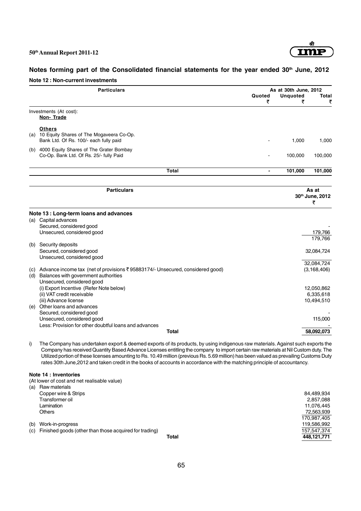

 $\frac{12,888,888}{170,987,405}$ <br>119,586,992

**Total 448,121,771**

# Notes forming part of the Consolidated financial statements for the year ended 30<sup>th</sup> June, 2012 **Note 12 : Non-current investments**

|    | <b>Particulars</b>                                                                                                                                                                                                                                                                                                                                                                                                                                                                                                                                                      | Quoted         | As at 30th June, 2012 | Total                |
|----|-------------------------------------------------------------------------------------------------------------------------------------------------------------------------------------------------------------------------------------------------------------------------------------------------------------------------------------------------------------------------------------------------------------------------------------------------------------------------------------------------------------------------------------------------------------------------|----------------|-----------------------|----------------------|
|    |                                                                                                                                                                                                                                                                                                                                                                                                                                                                                                                                                                         | ₹              | <b>Unquoted</b><br>₹  | ₹                    |
|    | Investments (At cost):<br>Non-Trade                                                                                                                                                                                                                                                                                                                                                                                                                                                                                                                                     |                |                       |                      |
|    | <b>Others</b><br>(a) 10 Equity Shares of The Mogaveera Co-Op.<br>Bank Ltd. Of Rs. 100/- each fully paid                                                                                                                                                                                                                                                                                                                                                                                                                                                                 |                | 1,000                 | 1,000                |
|    | (b) 4000 Equity Shares of The Grater Bombay<br>Co-Op. Bank Ltd. Of Rs. 25/- fully Paid                                                                                                                                                                                                                                                                                                                                                                                                                                                                                  |                | 100,000               | 100,000              |
|    | <b>Total</b>                                                                                                                                                                                                                                                                                                                                                                                                                                                                                                                                                            | $\blacksquare$ | 101,000               | 101,000              |
|    | <b>Particulars</b>                                                                                                                                                                                                                                                                                                                                                                                                                                                                                                                                                      |                |                       | As at                |
|    |                                                                                                                                                                                                                                                                                                                                                                                                                                                                                                                                                                         |                |                       | 30th June, 2012<br>₹ |
|    | Note 13 : Long-term loans and advances                                                                                                                                                                                                                                                                                                                                                                                                                                                                                                                                  |                |                       |                      |
|    | (a) Capital advances                                                                                                                                                                                                                                                                                                                                                                                                                                                                                                                                                    |                |                       |                      |
|    | Secured, considered good                                                                                                                                                                                                                                                                                                                                                                                                                                                                                                                                                |                |                       |                      |
|    | Unsecured, considered good                                                                                                                                                                                                                                                                                                                                                                                                                                                                                                                                              |                |                       | 179,766<br>179,766   |
|    | (b) Security deposits                                                                                                                                                                                                                                                                                                                                                                                                                                                                                                                                                   |                |                       |                      |
|    | Secured, considered good                                                                                                                                                                                                                                                                                                                                                                                                                                                                                                                                                |                |                       | 32,084,724           |
|    | Unsecured, considered good                                                                                                                                                                                                                                                                                                                                                                                                                                                                                                                                              |                |                       |                      |
|    |                                                                                                                                                                                                                                                                                                                                                                                                                                                                                                                                                                         |                |                       | 32.084.724           |
|    | (c) Advance income tax (net of provisions ₹95883174/- Unsecured, considered good)<br>(d) Balances with government authorities<br>Unsecured, considered good                                                                                                                                                                                                                                                                                                                                                                                                             |                |                       | (3, 168, 406)        |
|    | (i) Export Incentive (Refer Note below)                                                                                                                                                                                                                                                                                                                                                                                                                                                                                                                                 |                |                       | 12,050,862           |
|    | (ii) VAT credit receivable                                                                                                                                                                                                                                                                                                                                                                                                                                                                                                                                              |                |                       | 6,335,618            |
|    | (iii) Advance license                                                                                                                                                                                                                                                                                                                                                                                                                                                                                                                                                   |                |                       | 10,494,510           |
|    | (e) Other loans and advances                                                                                                                                                                                                                                                                                                                                                                                                                                                                                                                                            |                |                       |                      |
|    | Secured, considered good                                                                                                                                                                                                                                                                                                                                                                                                                                                                                                                                                |                |                       |                      |
|    | Unsecured, considered good<br>Less: Provision for other doubtful loans and advances                                                                                                                                                                                                                                                                                                                                                                                                                                                                                     |                |                       | 115,000              |
|    | <b>Total</b>                                                                                                                                                                                                                                                                                                                                                                                                                                                                                                                                                            |                |                       | 58,092,073           |
| i) | The Company has undertaken export & deemed exports of its products, by using indigenous raw materials. Against such exports the<br>Company has received Quantity Based Advance Licenses entitling the company to import certain raw materials at Nil Custom duty. The<br>Utilized portion of these licenses amounting to Rs. 10.49 million (previous Rs. 5.69 million) has been valued as prevailing Customs Duty<br>rates 30th June, 2012 and taken credit in the books of accounts in accordance with the matching principle of accountancy.<br>Note 14 : Inventories |                |                       |                      |
|    | (At lower of cost and net realisable value)                                                                                                                                                                                                                                                                                                                                                                                                                                                                                                                             |                |                       |                      |
|    | $(n)$ Dowmatorials                                                                                                                                                                                                                                                                                                                                                                                                                                                                                                                                                      |                |                       |                      |

- (a) Raw materials Copper wire & Strips 84,489,934<br>
Transformer oil and the strips and the strip of the strip of the strip of the strip of the strip of the strip of the strip of the strip of the strip of the strip of the strip of the strip o Transformer oil 2,857,088 Lamination 11,076,445 Others 72,563,939
- 
- (b) Work-in-progress 119,586,992<br>
(c) Finished goods (other than those acquired for trading) (c) finished goods (other than those acquired for trading) (c) Finished goods (other than those acquired for trading) 1577.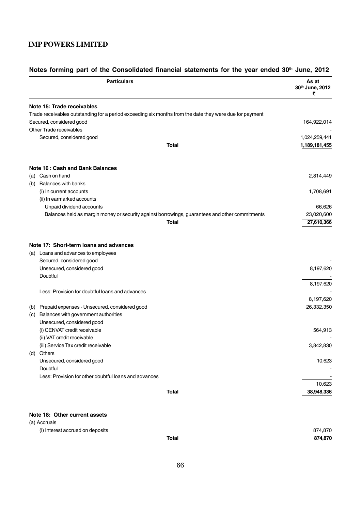|            | <b>Particulars</b>                                                                                                                                  | As at<br>30th June, 2012<br>₹ |
|------------|-----------------------------------------------------------------------------------------------------------------------------------------------------|-------------------------------|
|            | Note 15: Trade receivables                                                                                                                          |                               |
|            | Trade receivables outstanding for a period exceeding six months from the date they were due for payment                                             |                               |
|            | Secured, considered good                                                                                                                            | 164,922,014                   |
|            | Other Trade receivables                                                                                                                             |                               |
|            | Secured, considered good                                                                                                                            | 1,024,259,441                 |
|            | Total                                                                                                                                               | 1,189,181,455                 |
|            | Note 16 : Cash and Bank Balances                                                                                                                    |                               |
|            | (a) Cash on hand                                                                                                                                    | 2,814,449                     |
| (b)        | <b>Balances with banks</b>                                                                                                                          |                               |
|            | (i) In current accounts                                                                                                                             | 1,708,691                     |
|            | (ii) In earmarked accounts                                                                                                                          |                               |
|            | Unpaid dividend accounts                                                                                                                            | 66,626                        |
|            | Balances held as margin money or security against borrowings, guarantees and other commitments                                                      | 23,020,600                    |
|            | <b>Total</b>                                                                                                                                        | 27,610,366                    |
|            | Note 17: Short-term loans and advances<br>(a) Loans and advances to employees<br>Secured, considered good<br>Unsecured, considered good<br>Doubtful | 8,197,620                     |
|            | Less: Provision for doubtful loans and advances                                                                                                     | 8,197,620                     |
|            |                                                                                                                                                     | 8,197,620                     |
| (b)<br>(c) | Prepaid expenses - Unsecured, considered good<br>Balances with government authorities<br>Unsecured, considered good                                 | 26,332,350                    |
|            | (i) CENVAT credit receivable                                                                                                                        | 564,913                       |
|            | (ii) VAT credit receivable                                                                                                                          |                               |
|            | (iii) Service Tax credit receivable                                                                                                                 | 3,842,830                     |
|            | (d) Others                                                                                                                                          |                               |
|            | Unsecured, considered good                                                                                                                          | 10,623                        |
|            | Doubtful                                                                                                                                            |                               |
|            | Less: Provision for other doubtful loans and advances                                                                                               |                               |
|            |                                                                                                                                                     | 10,623                        |
|            | <b>Total</b>                                                                                                                                        | 38,948,336                    |
|            | Note 18: Other current assets                                                                                                                       |                               |

# Notes forming part of the Consolidated financial statements for the year ended 30<sup>th</sup> June, 2012

(a) Accruals

| (i) Interest accrued on deposits |       | 874,870 |
|----------------------------------|-------|---------|
|                                  | Total | 874.870 |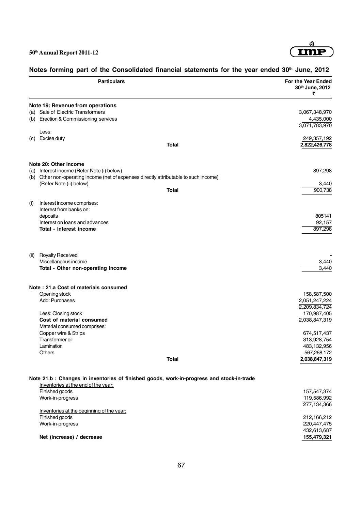

# **Particulars For the Year Ended 30th June, 2012** ₹ **Note 19: Revenue from operations** (a) Sale of Electric Transformers 3,067,348,970 (b) Erection & Commissioning services 4,435,000 3,071,783,970 Less: (c) Excise duty 249,357,192 **Total 2,822,426,778 Note 20: Other income** (a) Interest income (Refer Note (i) below) 897,298 (b) Other non-operating income (net of expenses directly attributable to such income) (Refer Note (ii) below) 3,440 **Total** 900,738 (i) Interest income comprises: Interest from banks on: deposits 805141 Interest on loans and advances 92,157 **Total - Interest income** 897,298 (ii) Royalty Received Miscellaneous income 3,440 **Total - Other non-operating income** 3,440 **Note : 21.a Cost of materials consumed** Opening stock 158,587,500 Add: Purchases 2,051,247,224 2,209,834,724 Less: Closing stock 170,987,405 **Cost of material consumed** 2,038,847,319 Material consumed comprises: Copper wire & Strips 674,517,437 Transformer oil 313,928,754 Lamination 483,132,956 Others 567,268,172 **Total 2,038,847,319 Note 21.b : Changes in inventories of finished goods, work-in-progress and stock-in-trade** Inventories at the end of the year: Finished goods 157,547,374 Work-in-progress 119,586,992 277,134,366 Inventories at the beginning of the year: Finished goods 212,166,212 Work-in-progress 220,447,475 432,613,687 **Net (increase) / decrease 155,479,321**

#### Notes forming part of the Consolidated financial statements for the year ended 30<sup>th</sup> June, 2012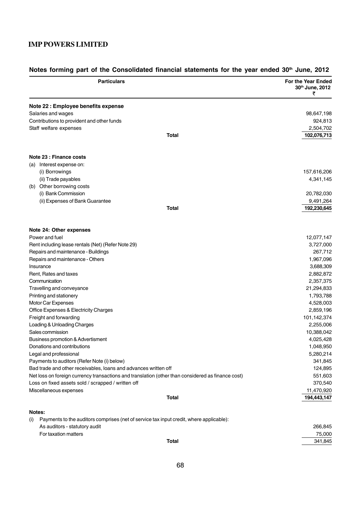|     | <b>Particulars</b>                                                                                | For the Year Ended<br>30th June, 2012<br>₹ |
|-----|---------------------------------------------------------------------------------------------------|--------------------------------------------|
|     | Note 22 : Employee benefits expense                                                               |                                            |
|     | Salaries and wages                                                                                | 98,647,198                                 |
|     | Contributions to provident and other funds                                                        | 924,813                                    |
|     | Staff welfare expenses                                                                            | 2,504,702                                  |
|     | <b>Total</b>                                                                                      | 102,076,713                                |
|     | Note 23 : Finance costs                                                                           |                                            |
|     | (a) Interest expense on:                                                                          |                                            |
|     | (i) Borrowings                                                                                    | 157,616,206                                |
|     | (ii) Trade payables                                                                               | 4,341,145                                  |
|     | (b) Other borrowing costs                                                                         |                                            |
|     | (i) Bank Commission                                                                               | 20,782,030                                 |
|     | (ii) Expenses of Bank Guarantee                                                                   | 9,491,264                                  |
|     | <b>Total</b>                                                                                      | 192,230,645                                |
|     | Note 24: Other expenses                                                                           |                                            |
|     | Power and fuel                                                                                    | 12,077,147                                 |
|     | Rent including lease rentals (Net) (Refer Note 29)                                                | 3,727,000                                  |
|     | Repairs and maintenance - Buildings                                                               | 267,712                                    |
|     | Repairs and maintenance - Others                                                                  | 1,967,096                                  |
|     | Insurance                                                                                         | 3,688,309                                  |
|     | Rent, Rates and taxes                                                                             | 2,882,872                                  |
|     | Communication                                                                                     | 2,357,375                                  |
|     | Travelling and conveyance                                                                         | 21,294,833                                 |
|     | Printing and stationery                                                                           | 1,793,788                                  |
|     | Motor Car Expenses                                                                                | 4,528,003                                  |
|     | Office Expenses & Electricity Charges                                                             | 2,859,196                                  |
|     | Freight and forwarding                                                                            | 101,142,374                                |
|     | Loading & Unloading Charges                                                                       | 2,255,006                                  |
|     | Sales commission                                                                                  | 10,388,042                                 |
|     | Business promotion & Advertisment                                                                 | 4,025,428                                  |
|     | Donations and contributions                                                                       | 1,048,950                                  |
|     | Legal and professional                                                                            | 5,280,214                                  |
|     | Payments to auditors (Refer Note (i) below)                                                       | 341,845                                    |
|     | Bad trade and other receivables, loans and advances written off                                   | 124,895                                    |
|     | Net loss on foreign currency transactions and translation (other than considered as finance cost) | 551,603                                    |
|     | Loss on fixed assets sold / scrapped / written off                                                | 370,540                                    |
|     | Miscellaneous expenses                                                                            | 11,470,920                                 |
|     | Total                                                                                             | 194,443,147                                |
|     | Notes:                                                                                            |                                            |
| (i) | Payments to the auditors comprises (net of service tax input credit, where applicable):           |                                            |
|     | As auditors - statutory audit                                                                     | 266,845                                    |
|     | For taxation matters                                                                              | 75,000                                     |
|     | <b>Total</b>                                                                                      | 341,845                                    |

# Notes forming part of the Consolidated financial statements for the year ended 30<sup>th</sup> June, 2012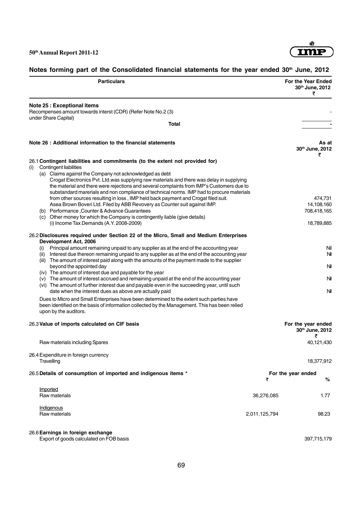

# Notes forming part of the Consolidated financial statements for the year ended 30<sup>th</sup> June, 2012

| <b>Particulars</b>                                                                                                                                                                                                                                                                                                                                                                                                                                                                                                                                                                                                                                                                                                                                                                                                                                                                                                                                                                                                                         |               | <b>For the Year Ended</b><br>30th June, 2012<br>₹     |
|--------------------------------------------------------------------------------------------------------------------------------------------------------------------------------------------------------------------------------------------------------------------------------------------------------------------------------------------------------------------------------------------------------------------------------------------------------------------------------------------------------------------------------------------------------------------------------------------------------------------------------------------------------------------------------------------------------------------------------------------------------------------------------------------------------------------------------------------------------------------------------------------------------------------------------------------------------------------------------------------------------------------------------------------|---------------|-------------------------------------------------------|
| Note 25 : Exceptional items<br>Recompenses amount towards interst (CDR) (Refer Note No.2 (3)                                                                                                                                                                                                                                                                                                                                                                                                                                                                                                                                                                                                                                                                                                                                                                                                                                                                                                                                               |               |                                                       |
| under Share Capital)<br>Total                                                                                                                                                                                                                                                                                                                                                                                                                                                                                                                                                                                                                                                                                                                                                                                                                                                                                                                                                                                                              |               |                                                       |
| Note 26 : Additional information to the financial statements                                                                                                                                                                                                                                                                                                                                                                                                                                                                                                                                                                                                                                                                                                                                                                                                                                                                                                                                                                               |               | As at<br>30th June, 2012                              |
| 26.1 Contingent liabilities and commitments (to the extent not provided for)                                                                                                                                                                                                                                                                                                                                                                                                                                                                                                                                                                                                                                                                                                                                                                                                                                                                                                                                                               |               | ₹                                                     |
| Contingent liabilities<br>(i)<br>(a) Claims against the Company not acknowledged as debt<br>Crogat Electronics Pvt. Ltd.was supplying raw materials and there was delay in supplying<br>the material and there were rejections and several complaints from IMP's Customers due to<br>substandard marerials and non compliance of technical norms. IMP had to procure materials<br>from other sources resulting in loss, IMP held back payment and Crogat filed suit.<br>Asea Brown Boveri Ltd. Filed by ABB Revovery as Counter suit against IMP.<br>(b) Performance, Counter & Advance Guarantees<br>(c) Other money for which the Company is contingently liable (give details)                                                                                                                                                                                                                                                                                                                                                          |               | 474,731<br>14,108,160<br>708,418,165                  |
| (i) Income Tax Demands (A.Y. 2008-2009)                                                                                                                                                                                                                                                                                                                                                                                                                                                                                                                                                                                                                                                                                                                                                                                                                                                                                                                                                                                                    |               | 18,789,885                                            |
| 26.2 Disclosures required under Section 22 of the Micro, Small and Medium Enterprises<br>Development Act, 2006<br>Principal amount remaining unpaid to any supplier as at the end of the accounting year<br>(i)<br>Interest due thereon remaining unpaid to any supplier as at the end of the accounting year<br>(ii)<br>(iii) The amount of interest paid along with the amounts of the payment made to the supplier<br>beyond the appointed day<br>(iv) The amount of interest due and payable for the year<br>(v) The amount of interest accrued and remaining unpaid at the end of the accounting year<br>(vi) The amount of further interest due and payable even in the succeeding year, until such<br>date when the interest dues as above are actually paid<br>Dues to Micro and Small Enterprises have been determined to the extent such parties have<br>been identified on the basis of information collected by the Management. This has been relied<br>upon by the auditors.<br>26.3 Value of imports calculated on CIF basis |               | Nil<br>Nil<br>Nil<br>Nil<br>Nil<br>For the year ended |
|                                                                                                                                                                                                                                                                                                                                                                                                                                                                                                                                                                                                                                                                                                                                                                                                                                                                                                                                                                                                                                            |               | 30th June, 2012<br>₹                                  |
| Raw materials including Spares                                                                                                                                                                                                                                                                                                                                                                                                                                                                                                                                                                                                                                                                                                                                                                                                                                                                                                                                                                                                             |               | 40,121,430                                            |
| 26.4 Expenditure in foreign currency<br>Travelling                                                                                                                                                                                                                                                                                                                                                                                                                                                                                                                                                                                                                                                                                                                                                                                                                                                                                                                                                                                         |               | 18,377,912                                            |
| 26.5 Details of consumption of imported and indigenous items *                                                                                                                                                                                                                                                                                                                                                                                                                                                                                                                                                                                                                                                                                                                                                                                                                                                                                                                                                                             | ₹             | For the year ended<br>%                               |
| Imported<br>Raw materials                                                                                                                                                                                                                                                                                                                                                                                                                                                                                                                                                                                                                                                                                                                                                                                                                                                                                                                                                                                                                  | 36,276,085    | 1.77                                                  |
| Indigenous<br>Raw materials                                                                                                                                                                                                                                                                                                                                                                                                                                                                                                                                                                                                                                                                                                                                                                                                                                                                                                                                                                                                                | 2,011,125,794 | 98.23                                                 |
| 26.6 Earnings in foreign exchange                                                                                                                                                                                                                                                                                                                                                                                                                                                                                                                                                                                                                                                                                                                                                                                                                                                                                                                                                                                                          |               |                                                       |

Export of goods calculated on FOB basis 397,715,179

69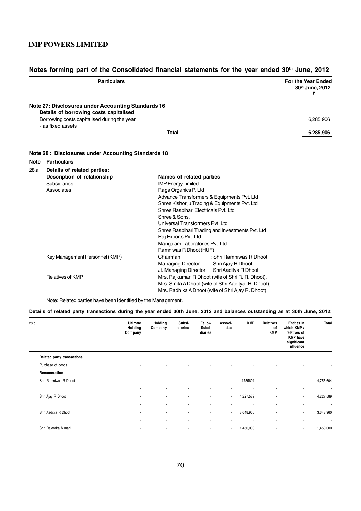|      | <b>Particulars</b>                                                                                                                          |                                                          | For the Year Ended<br>30th June, 2012<br>₹ |
|------|---------------------------------------------------------------------------------------------------------------------------------------------|----------------------------------------------------------|--------------------------------------------|
|      | Note 27: Disclosures under Accounting Standards 16<br>Details of borrowing costs capitalised<br>Borrowing costs capitalised during the year |                                                          | 6,285,906                                  |
|      | - as fixed assets                                                                                                                           |                                                          |                                            |
|      |                                                                                                                                             | Total                                                    | 6,285,906                                  |
|      | Note 28: Disclosures under Accounting Standards 18                                                                                          |                                                          |                                            |
| Note | <b>Particulars</b>                                                                                                                          |                                                          |                                            |
| 28.a | Details of related parties:                                                                                                                 |                                                          |                                            |
|      | Description of relationship                                                                                                                 | Names of related parties                                 |                                            |
|      | Subsidiaries                                                                                                                                | <b>IMP Energy Limited</b>                                |                                            |
|      | Associates                                                                                                                                  | Raga Organics P. Ltd                                     |                                            |
|      |                                                                                                                                             | Advance Transformers & Equipments Pvt. Ltd               |                                            |
|      |                                                                                                                                             | Shree Kishoriju Trading & Equipments Pvt. Ltd            |                                            |
|      |                                                                                                                                             | Shree Rasbihari Electricals Pvt. Ltd                     |                                            |
|      |                                                                                                                                             | Shree & Sons.                                            |                                            |
|      |                                                                                                                                             | Universal Transformers Pvt. Ltd                          |                                            |
|      |                                                                                                                                             | Shree Rasbihari Trading and Investments Pvt. Ltd         |                                            |
|      |                                                                                                                                             | Raj Exports Pvt. Ltd.<br>Mangalam Laboratories Pvt. Ltd. |                                            |
|      |                                                                                                                                             | Ramniwas R Dhoot (HUF)                                   |                                            |
|      | Key Management Personnel (KMP)                                                                                                              | Chairman<br>: Shri Ramniwas R Dhoot                      |                                            |
|      |                                                                                                                                             | <b>Managing Director</b><br>: Shri Ajay R Dhoot          |                                            |
|      |                                                                                                                                             | Jt. Managing Director : Shri Aaditya R Dhoot             |                                            |
|      | <b>Relatives of KMP</b>                                                                                                                     | Mrs. Rajkumari R Dhoot (wife of Shri R. R. Dhoot),       |                                            |
|      |                                                                                                                                             | Mrs. Smita A Dhoot (wife of Shri Aaditya. R. Dhoot),     |                                            |
|      |                                                                                                                                             | Mrs. Radhika A Dhoot (wife of Shri Ajay R. Dhoot),       |                                            |

# Notes forming part of the Consolidated financial statements for the year ended 30<sup>th</sup> June, 2012

Note: Related parties have been identified by the Management.

#### **Details of related party transactions during the year ended 30th June, 2012 and balances outstanding as at 30th June, 2012:**

| 28.b |                            | Ultimate<br>Holding<br>Company | Holding<br>Company | Subsi-<br>diaries        | Fellow<br>Subsi-<br>diaries | Associ-<br>ates | <b>KMP</b>     | Relatives<br>οf<br><b>KMP</b> | <b>Entities in</b><br>which KMP /<br>relatives of<br><b>KMP</b> have<br>significant<br>influence | Total          |
|------|----------------------------|--------------------------------|--------------------|--------------------------|-----------------------------|-----------------|----------------|-------------------------------|--------------------------------------------------------------------------------------------------|----------------|
|      | Related party transactions |                                |                    |                          |                             |                 |                |                               |                                                                                                  |                |
|      | Purchase of goods          | ٠                              | ٠                  |                          |                             | ۰               |                | ×.                            | $\sim$                                                                                           | $\blacksquare$ |
|      | Remuneration               | $\blacksquare$                 | ٠                  | $\blacksquare$           | $\blacksquare$              | $\blacksquare$  |                | $\sim$                        | $\overline{\phantom{a}}$                                                                         | ۰              |
|      | Shri Ramniwas R Dhoot      | ٠                              | ٠                  | $\overline{\phantom{a}}$ | $\blacksquare$              | $\sim$          | 4755604        | ٠                             | $\sim$                                                                                           | 4,755,604      |
|      |                            | ۰                              | ٠                  | ٠                        | ٠                           | ۰               |                | ٠                             | $\overline{\phantom{a}}$                                                                         | ٠              |
|      | Shri Ajay R Dhoot          | ٠                              | ٠                  | $\blacksquare$           | $\overline{\phantom{a}}$    | $\sim$          | 4,227,589      | ٠                             | $\sim$                                                                                           | 4,227,589      |
|      |                            | ٠                              | ٠                  | ٠                        | ٠                           | ۰               |                | ×.                            | $\sim$                                                                                           | ٠              |
|      | Shri Aaditya R Dhoot       | $\blacksquare$                 | $\blacksquare$     | $\blacksquare$           | $\blacksquare$              | $\sim$          | 3,648,960      | $\blacksquare$                | $\sim$                                                                                           | 3,648,960      |
|      |                            | ۰                              | ٠                  | ٠                        | $\blacksquare$              | $\blacksquare$  | $\blacksquare$ | ٠                             | $\sim$                                                                                           | $\blacksquare$ |
|      | Shri Rajendra Mimani       | $\blacksquare$                 | ۰                  | $\blacksquare$           | $\sim$                      | $\sim$          | 1,450,000      | ٠                             | $\sim$                                                                                           | 1,450,000      |
|      |                            |                                |                    |                          |                             |                 |                |                               |                                                                                                  | $\sim$         |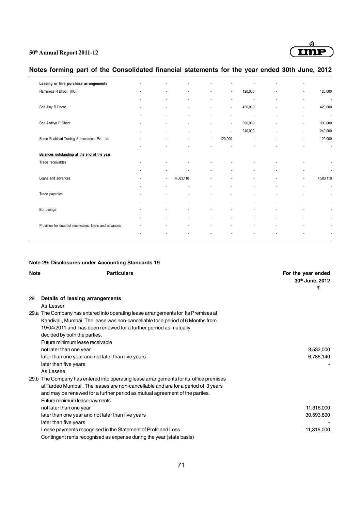

# **Notes forming part of the Consolidated financial statements for the year ended 30th June, 2012**

| Leasing or hire purchase arrangements                  |                          |                          |                          |                          |                          |                          |                |                          |           |
|--------------------------------------------------------|--------------------------|--------------------------|--------------------------|--------------------------|--------------------------|--------------------------|----------------|--------------------------|-----------|
| Ramniwas R Dhoot (HUF)                                 |                          |                          | $\blacksquare$           |                          | $\blacksquare$           | 120,000                  | ٠              | ä,                       | 120,000   |
|                                                        |                          | $\overline{\phantom{a}}$ | $\overline{\phantom{a}}$ | $\overline{\phantom{a}}$ | $\overline{\phantom{a}}$ | $\overline{\phantom{a}}$ | ٠              | ä,                       | Ĭ.        |
| Shri Ajay R Dhoot                                      | $\blacksquare$           | ٠                        | $\overline{\phantom{a}}$ | $\blacksquare$           | $\bullet$                | 420,000                  | ٠              | ٠                        | 420,000   |
|                                                        |                          | ٠                        | $\overline{\phantom{a}}$ | $\blacksquare$           | $\bullet$                | $\blacksquare$           | ٠              | ٠                        | ÷         |
| Shri Aaditya R Dhoot                                   |                          |                          | $\overline{\phantom{a}}$ | $\overline{\phantom{a}}$ | $\blacksquare$           | 390,000                  | $\blacksquare$ | $\overline{\phantom{a}}$ | 390,000   |
|                                                        |                          |                          | $\blacksquare$           | $\overline{\phantom{a}}$ | $\overline{\phantom{a}}$ | 240,000                  |                | ٠                        | 240,000   |
| Shree Rasbihari Trading & Investment Pvt. Ltd.         |                          |                          |                          | $\blacksquare$           | 120,000                  | ÷                        |                | ٠                        | 120,000   |
|                                                        |                          |                          |                          |                          |                          |                          |                | ٠                        | ÷,        |
| Balances outstanding at the end of the year            |                          |                          |                          |                          |                          |                          |                |                          |           |
| Trade receivables                                      |                          |                          | $\blacksquare$           |                          |                          |                          |                | ٠                        |           |
|                                                        |                          | $\blacksquare$           | $\blacksquare$           | $\blacksquare$           | ٠                        | ٠                        | ä,             | ٠                        | ÷,        |
| Loans and advances                                     | $\overline{\phantom{a}}$ | $\sim$                   | 4,583,118                |                          | $\overline{\phantom{a}}$ |                          |                | $\blacksquare$           | 4,583,118 |
|                                                        |                          | $\blacksquare$           | $\overline{\phantom{a}}$ |                          |                          | ٠                        |                | $\overline{\phantom{a}}$ |           |
| Trade payables                                         |                          |                          | ٠                        |                          |                          | ٠                        |                | ٠                        |           |
|                                                        |                          |                          | $\overline{\phantom{a}}$ | $\overline{\phantom{a}}$ | $\blacksquare$           | $\overline{\phantom{a}}$ |                | ٠                        |           |
| Borrowings                                             |                          | ٠                        | $\overline{\phantom{a}}$ | $\blacksquare$           | ٠                        | $\overline{\phantom{a}}$ |                | ä,                       |           |
|                                                        |                          | ٠                        | $\overline{\phantom{a}}$ | $\blacksquare$           | $\blacksquare$           | $\blacksquare$           | ٠              | ٠                        |           |
| Provision for doubtful receivables, loans and advances |                          | ٠                        | $\overline{\phantom{a}}$ | $\overline{\phantom{a}}$ | $\blacksquare$           | $\blacksquare$           | $\blacksquare$ | $\blacksquare$           |           |
|                                                        |                          |                          |                          |                          |                          |                          |                | ٠                        |           |
|                                                        |                          |                          |                          |                          |                          |                          |                |                          |           |

#### **Note 29: Disclosures under Accounting Standards 19**

| <b>Note</b> | <b>Particulars</b>                                                                     | For the year ended<br>30th June, 2012<br>₹ |
|-------------|----------------------------------------------------------------------------------------|--------------------------------------------|
| 29          | Details of leasing arrangements                                                        |                                            |
|             | As Lessor                                                                              |                                            |
|             | 29.a The Company has entered into operating lease arrangements for Its Premises at     |                                            |
|             | Kandivali, Mumbai. The lease was non-cancellable for a period of 6 Months from         |                                            |
|             | 19/04/2011 and has been renewed for a further perriod as mutually                      |                                            |
|             | decided by both the parties.                                                           |                                            |
|             | Future minimum lease receivable                                                        |                                            |
|             | not later than one year                                                                | 8,532,000                                  |
|             | later than one year and not later than five years                                      | 6,786,140                                  |
|             | later than five years                                                                  |                                            |
|             | As Lessee                                                                              |                                            |
|             | 29.b The Company has entered into operating lease arrangements for its office premises |                                            |
|             | at Tardeo Mumbai. The leases are non-cancellable and are for a period of 3 years       |                                            |
|             | and may be renewed for a further period as mutual agreement of the parties.            |                                            |
|             | Future minimum lease payments                                                          |                                            |
|             | not later than one year                                                                | 11,316,000                                 |
|             | later than one year and not later than five years                                      | 30,593,890                                 |
|             | later than five years                                                                  |                                            |
|             | Lease payments recognised in the Statement of Profit and Loss                          | 11,316,000                                 |
|             | Contingent rents recognised as expense during the year (state basis)                   |                                            |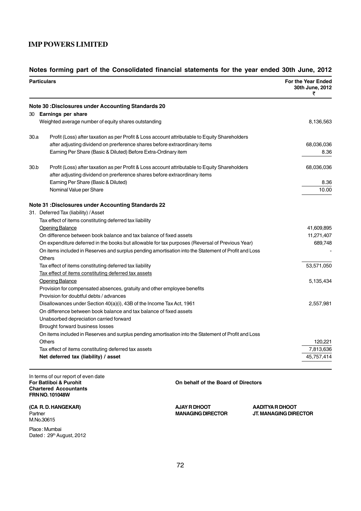### **IMP POWERS LIMITED**

#### **Notes forming part of the Consolidated financial statements for the year ended 30th June, 2012**

| <b>Particulars</b> |                                                                                                                       | For the Year Ended<br>30th June, 2012<br>₹ |  |
|--------------------|-----------------------------------------------------------------------------------------------------------------------|--------------------------------------------|--|
|                    | <b>Note 30: Disclosures under Accounting Standards 20</b>                                                             |                                            |  |
|                    | 30 Earnings per share                                                                                                 |                                            |  |
|                    | Weighted average number of equity shares outstanding                                                                  | 8,136,563                                  |  |
| 30.a               | Profit (Loss) after taxation as per Profit & Loss account attributable to Equity Shareholders                         |                                            |  |
|                    | after adjusting dividend on prerference shares before extraordinary items                                             | 68,036,036                                 |  |
|                    | Earning Per Share (Basic & Diluted) Before Extra-Ordinary item                                                        | 8.36                                       |  |
| 30.b               | Profit (Loss) after taxation as per Profit & Loss account attributable to Equity Shareholders                         | 68,036,036                                 |  |
|                    | after adjusting dividend on prerference shares before extraordinary items                                             |                                            |  |
|                    | Earning Per Share (Basic & Diluted)                                                                                   | 8.36                                       |  |
|                    | Nominal Value per Share                                                                                               | 10.00                                      |  |
|                    | <b>Note 31 : Disclosures under Accounting Standards 22</b>                                                            |                                            |  |
|                    | 31. Deferred Tax (liability) / Asset                                                                                  |                                            |  |
|                    | Tax effect of items constituting deferred tax liability                                                               |                                            |  |
|                    | Opening Balance                                                                                                       | 41,609,895                                 |  |
|                    | On difference between book balance and tax balance of fixed assets                                                    | 11,271,407                                 |  |
|                    | On expenditure deferred in the books but allowable for tax purposes (Reversal of Previous Year)                       | 689,748                                    |  |
|                    | On items included in Reserves and surplus pending amortisation into the Statement of Profit and Loss<br><b>Others</b> |                                            |  |
|                    | Tax effect of items constituting deferred tax liability                                                               | 53,571,050                                 |  |
|                    | Tax effect of items constituting deferred tax assets                                                                  |                                            |  |
|                    | <b>Opening Balance</b>                                                                                                | 5,135,434                                  |  |
|                    | Provision for compensated absences, gratuity and other employee benefits                                              |                                            |  |
|                    | Provision for doubtful debts / advances                                                                               |                                            |  |
|                    | Disallowances under Section $40(a)(i)$ , 43B of the Income Tax Act, 1961                                              | 2,557,981                                  |  |
|                    | On difference between book balance and tax balance of fixed assets                                                    |                                            |  |
|                    | Unabsorbed depreciation carried forward                                                                               |                                            |  |
|                    | Brought forward business losses                                                                                       |                                            |  |
|                    | On items included in Reserves and surplus pending amortisation into the Statement of Profit and Loss                  |                                            |  |
|                    | Others                                                                                                                | 120,221                                    |  |
|                    | Tax effect of items constituting deferred tax assets                                                                  | 7,813,636                                  |  |
|                    | Net deferred tax (liability) / asset                                                                                  | 45,757,414                                 |  |

In terms of our report of even date<br>For Batliboi & Purohit **Chartered Accountants FRN NO. 101048W**

(CA R. D. HANGEKAR) **ALCOMOT ARE ASSESSED AT A PART OF A DISPOSE A PART OF A PART OF A PADITYA R DHOOT** M.No.30615

Place : Mumbai Dated: 29<sup>th</sup> August, 2012 **On behalf of the Board of Directors** 

Partner **MANAGING DIRECTOR JT. MANAGING DIRECTOR**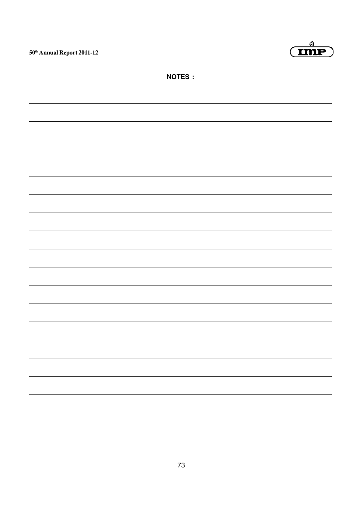



**NOTES :**

| - |
|---|
|   |
|   |
|   |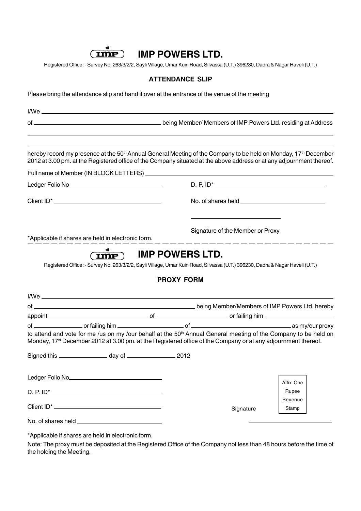

# **IMP POWERS LTD.**

Registered Office :- Survey No. 263/3/2/2, Sayli Village, Umar Kuin Road, Silvassa (U.T.) 396230, Dadra & Nagar Haveli (U.T.)

#### **ATTENDANCE SLIP**

Please bring the attendance slip and hand it over at the entrance of the venue of the meeting

| <u>I/Weider and the set of the set of the set of the set of the set of the set of the set of the set of the set o</u>                                                                                                                                            |  |                   |                                  |                    |  |  |
|------------------------------------------------------------------------------------------------------------------------------------------------------------------------------------------------------------------------------------------------------------------|--|-------------------|----------------------------------|--------------------|--|--|
|                                                                                                                                                                                                                                                                  |  |                   |                                  |                    |  |  |
| hereby record my presence at the 50 <sup>th</sup> Annual General Meeting of the Company to be held on Monday, 17 <sup>th</sup> December<br>2012 at 3.00 pm. at the Registered office of the Company situated at the above address or at any adjournment thereof. |  |                   |                                  |                    |  |  |
|                                                                                                                                                                                                                                                                  |  |                   |                                  |                    |  |  |
|                                                                                                                                                                                                                                                                  |  |                   |                                  |                    |  |  |
|                                                                                                                                                                                                                                                                  |  |                   |                                  |                    |  |  |
| *Applicable if shares are held in electronic form.                                                                                                                                                                                                               |  |                   | Signature of the Member or Proxy |                    |  |  |
|                                                                                                                                                                                                                                                                  |  | <b>PROXY FORM</b> |                                  |                    |  |  |
|                                                                                                                                                                                                                                                                  |  |                   |                                  |                    |  |  |
|                                                                                                                                                                                                                                                                  |  |                   |                                  |                    |  |  |
| to attend and vote for me /us on my /our behalf at the 50 <sup>th</sup> Annual General meeting of the Company to be held on<br>Monday, 17 <sup>st</sup> December 2012 at 3.00 pm. at the Registered office of the Company or at any adjournment thereof.         |  |                   |                                  |                    |  |  |
| Signed this ______________________ day of _______________________ 2012                                                                                                                                                                                           |  |                   |                                  |                    |  |  |
|                                                                                                                                                                                                                                                                  |  |                   |                                  | Affix One<br>Rupee |  |  |
|                                                                                                                                                                                                                                                                  |  |                   | Signature                        | Revenue<br>Stamp   |  |  |
|                                                                                                                                                                                                                                                                  |  |                   |                                  |                    |  |  |

\*Applicable if shares are held in electronic form.

Note: The proxy must be deposited at the Registered Office of the Company not less than 48 hours before the time of the holding the Meeting.